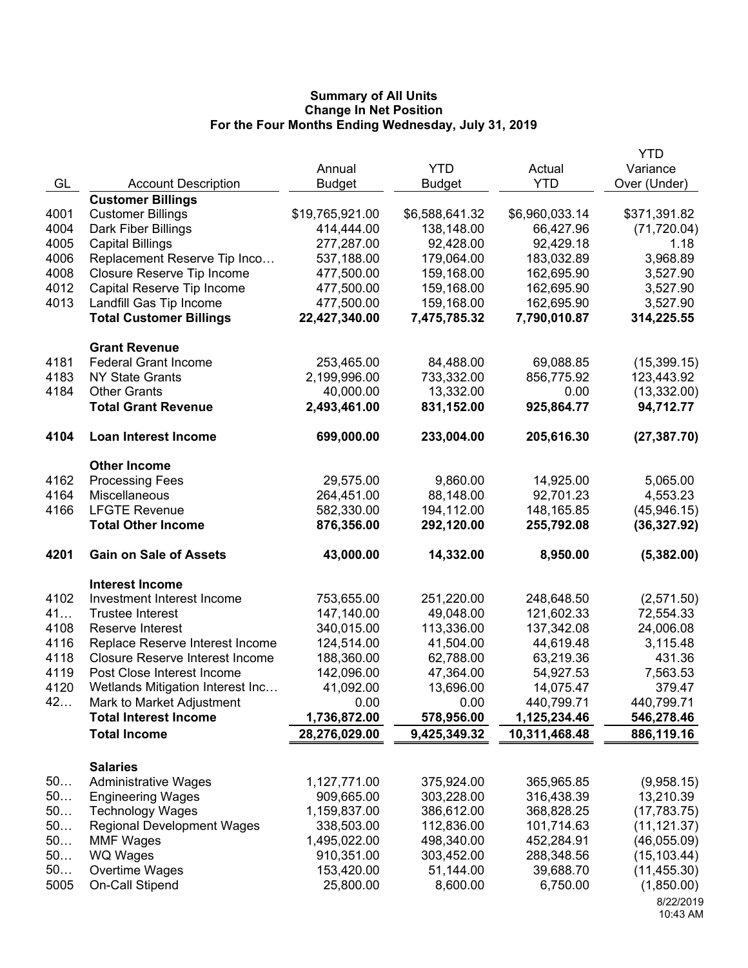|      |                                                     |                            |                          |                          | <b>YTD</b>                |
|------|-----------------------------------------------------|----------------------------|--------------------------|--------------------------|---------------------------|
|      |                                                     | Annual                     | <b>YTD</b>               | Actual                   | Variance                  |
| GL   | <b>Account Description</b>                          | <b>Budget</b>              | <b>Budget</b>            | <b>YTD</b>               | Over (Under)              |
|      | <b>Customer Billings</b>                            |                            |                          |                          |                           |
| 4001 | <b>Customer Billings</b>                            | \$19,765,921.00            | \$6,588,641.32           | \$6,960,033.14           | \$371,391.82              |
| 4004 | Dark Fiber Billings                                 | 414,444.00                 | 138,148.00               | 66,427.96                | (71, 720.04)              |
| 4005 | <b>Capital Billings</b>                             | 277,287.00                 | 92,428.00                | 92,429.18                | 1.18                      |
| 4006 | Replacement Reserve Tip Inco                        | 537,188.00                 | 179,064.00               | 183,032.89               | 3,968.89                  |
| 4008 | Closure Reserve Tip Income                          | 477,500.00                 | 159,168.00               | 162,695.90               | 3,527.90                  |
| 4012 | Capital Reserve Tip Income                          | 477,500.00                 | 159,168.00               | 162,695.90               | 3,527.90                  |
| 4013 | Landfill Gas Tip Income                             | 477,500.00                 | 159,168.00               | 162,695.90               | 3,527.90                  |
|      | <b>Total Customer Billings</b>                      | 22,427,340.00              | 7,475,785.32             | 7,790,010.87             | 314,225.55                |
|      | <b>Grant Revenue</b>                                |                            |                          |                          |                           |
| 4181 | <b>Federal Grant Income</b>                         | 253,465.00                 | 84,488.00                | 69,088.85                | (15, 399.15)              |
| 4183 | <b>NY State Grants</b>                              | 2,199,996.00               | 733,332.00               | 856,775.92               | 123,443.92                |
| 4184 | <b>Other Grants</b>                                 | 40,000.00                  | 13,332.00                | 0.00                     | (13, 332.00)              |
|      | <b>Total Grant Revenue</b>                          | 2,493,461.00               | 831,152.00               | 925,864.77               | 94,712.77                 |
| 4104 | <b>Loan Interest Income</b>                         | 699,000.00                 | 233,004.00               | 205,616.30               | (27, 387.70)              |
|      | <b>Other Income</b>                                 |                            |                          |                          |                           |
| 4162 | <b>Processing Fees</b>                              | 29,575.00                  | 9,860.00                 | 14,925.00                | 5,065.00                  |
| 4164 | Miscellaneous                                       | 264,451.00                 | 88,148.00                | 92,701.23                | 4,553.23                  |
| 4166 | <b>LFGTE Revenue</b>                                | 582,330.00                 | 194,112.00               | 148,165.85               | (45, 946.15)              |
|      | <b>Total Other Income</b>                           | 876,356.00                 | 292,120.00               | 255,792.08               | (36, 327.92)              |
| 4201 | <b>Gain on Sale of Assets</b>                       | 43,000.00                  | 14,332.00                | 8,950.00                 | (5,382.00)                |
|      | <b>Interest Income</b>                              |                            |                          |                          |                           |
| 4102 | Investment Interest Income                          | 753,655.00                 | 251,220.00               | 248,648.50               | (2,571.50)                |
| 41   | <b>Trustee Interest</b>                             | 147,140.00                 | 49,048.00                | 121,602.33               | 72,554.33                 |
| 4108 | Reserve Interest                                    | 340,015.00                 | 113,336.00               | 137,342.08               | 24,006.08                 |
| 4116 | Replace Reserve Interest Income                     | 124,514.00                 | 41,504.00                | 44,619.48                | 3,115.48                  |
| 4118 | <b>Closure Reserve Interest Income</b>              | 188,360.00                 | 62,788.00                | 63,219.36                | 431.36                    |
| 4119 | Post Close Interest Income                          | 142,096.00                 | 47,364.00                | 54,927.53                | 7,563.53                  |
| 4120 | Wetlands Mitigation Interest Inc                    | 41,092.00                  | 13,696.00                | 14,075.47                | 379.47                    |
| 42   | Mark to Market Adjustment                           | 0.00                       | 0.00                     | 440,799.71               | 440,799.71                |
|      | <b>Total Interest Income</b>                        | 1,736,872.00               | 578,956.00               | 1,125,234.46             | 546,278.46                |
|      | <b>Total Income</b>                                 | 28,276,029.00              | 9,425,349.32             | 10,311,468.48            | 886,119.16                |
|      |                                                     |                            |                          |                          |                           |
| 50   | <b>Salaries</b><br><b>Administrative Wages</b>      | 1,127,771.00               | 375,924.00               | 365,965.85               |                           |
| 50   |                                                     |                            |                          |                          | (9,958.15)                |
| 50   | <b>Engineering Wages</b><br><b>Technology Wages</b> | 909,665.00<br>1,159,837.00 | 303,228.00<br>386,612.00 | 316,438.39<br>368,828.25 | 13,210.39<br>(17, 783.75) |
| 50   | <b>Regional Development Wages</b>                   | 338,503.00                 | 112,836.00               | 101,714.63               | (11, 121.37)              |
| 50   | <b>MMF Wages</b>                                    | 1,495,022.00               | 498,340.00               | 452,284.91               | (46,055.09)               |
| 50   | WQ Wages                                            | 910,351.00                 | 303,452.00               | 288,348.56               | (15, 103.44)              |
| 50   | Overtime Wages                                      | 153,420.00                 | 51,144.00                | 39,688.70                | (11, 455.30)              |
| 5005 | On-Call Stipend                                     | 25,800.00                  | 8,600.00                 | 6,750.00                 | (1,850.00)                |
|      |                                                     |                            |                          |                          | 8/22/2019                 |
|      |                                                     |                            |                          |                          | 10:43 AM                  |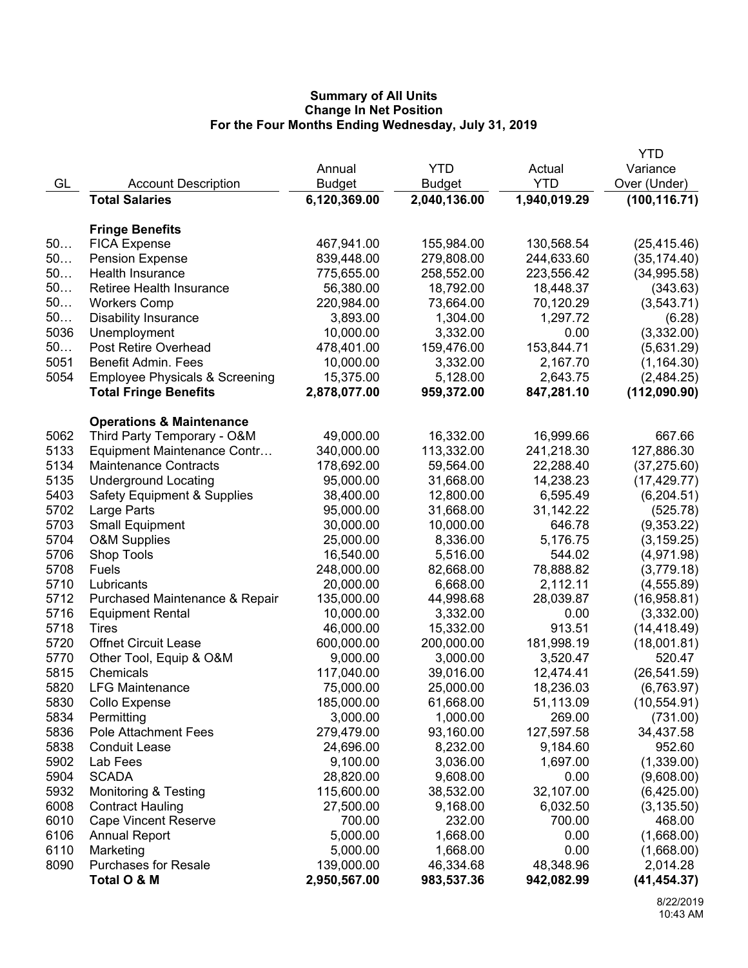|              |                                                                    |               |                        |              | YTD                         |
|--------------|--------------------------------------------------------------------|---------------|------------------------|--------------|-----------------------------|
|              |                                                                    | Annual        | <b>YTD</b>             | Actual       | Variance                    |
| GL           | <b>Account Description</b>                                         | <b>Budget</b> | <b>Budget</b>          | <b>YTD</b>   | Over (Under)                |
|              | <b>Total Salaries</b>                                              | 6,120,369.00  | 2,040,136.00           | 1,940,019.29 | (100, 116.71)               |
|              |                                                                    |               |                        |              |                             |
|              | <b>Fringe Benefits</b>                                             |               |                        |              |                             |
| 50           | <b>FICA Expense</b>                                                | 467,941.00    | 155,984.00             | 130,568.54   | (25, 415.46)                |
| 50           | <b>Pension Expense</b>                                             | 839,448.00    | 279,808.00             | 244,633.60   | (35, 174.40)                |
| 50           | <b>Health Insurance</b>                                            | 775,655.00    | 258,552.00             | 223,556.42   | (34, 995.58)                |
| 50           | Retiree Health Insurance                                           | 56,380.00     | 18,792.00              | 18,448.37    | (343.63)                    |
| 50           | <b>Workers Comp</b>                                                | 220,984.00    | 73,664.00              | 70,120.29    | (3, 543.71)                 |
| 50           | <b>Disability Insurance</b>                                        | 3,893.00      | 1,304.00               | 1,297.72     | (6.28)                      |
| 5036         | Unemployment                                                       | 10,000.00     | 3,332.00               | 0.00         | (3,332.00)                  |
| 50           | Post Retire Overhead                                               | 478,401.00    | 159,476.00             | 153,844.71   | (5,631.29)                  |
| 5051         | Benefit Admin. Fees                                                | 10,000.00     | 3,332.00               | 2,167.70     | (1, 164.30)                 |
| 5054         | <b>Employee Physicals &amp; Screening</b>                          | 15,375.00     | 5,128.00               | 2,643.75     | (2,484.25)                  |
|              | <b>Total Fringe Benefits</b>                                       | 2,878,077.00  | 959,372.00             | 847,281.10   | (112,090.90)                |
|              |                                                                    |               |                        |              |                             |
| 5062         | <b>Operations &amp; Maintenance</b><br>Third Party Temporary - O&M | 49,000.00     | 16,332.00              | 16,999.66    | 667.66                      |
| 5133         | Equipment Maintenance Contr                                        | 340,000.00    | 113,332.00             | 241,218.30   | 127,886.30                  |
| 5134         | <b>Maintenance Contracts</b>                                       | 178,692.00    | 59,564.00              | 22,288.40    | (37, 275.60)                |
| 5135         | <b>Underground Locating</b>                                        | 95,000.00     | 31,668.00              | 14,238.23    | (17, 429.77)                |
| 5403         | <b>Safety Equipment &amp; Supplies</b>                             | 38,400.00     | 12,800.00              | 6,595.49     | (6,204.51)                  |
| 5702         | Large Parts                                                        | 95,000.00     | 31,668.00              | 31,142.22    | (525.78)                    |
| 5703         | <b>Small Equipment</b>                                             | 30,000.00     | 10,000.00              | 646.78       | (9,353.22)                  |
| 5704         | <b>O&amp;M Supplies</b>                                            | 25,000.00     | 8,336.00               | 5,176.75     | (3, 159.25)                 |
| 5706         | Shop Tools                                                         | 16,540.00     | 5,516.00               | 544.02       | (4,971.98)                  |
| 5708         | Fuels                                                              | 248,000.00    | 82,668.00              | 78,888.82    | (3,779.18)                  |
| 5710         | Lubricants                                                         | 20,000.00     | 6,668.00               | 2,112.11     | (4, 555.89)                 |
| 5712         | Purchased Maintenance & Repair                                     | 135,000.00    | 44,998.68              | 28,039.87    | (16,958.81)                 |
| 5716         | <b>Equipment Rental</b>                                            | 10,000.00     | 3,332.00               | 0.00         | (3,332.00)                  |
| 5718         | Tires                                                              | 46,000.00     | 15,332.00              | 913.51       |                             |
| 5720         | <b>Offnet Circuit Lease</b>                                        | 600,000.00    | 200,000.00             |              | (14, 418.49)<br>(18,001.81) |
|              |                                                                    |               |                        | 181,998.19   |                             |
| 5770         | Other Tool, Equip & O&M                                            | 9,000.00      | 3,000.00               | 3,520.47     | 520.47                      |
| 5815<br>5820 | Chemicals<br><b>LFG Maintenance</b>                                | 117,040.00    | 39,016.00              | 12,474.41    | (26, 541.59)                |
|              |                                                                    | 75,000.00     | 25,000.00<br>61,668.00 | 18,236.03    | (6,763.97)<br>(10, 554.91)  |
| 5830         | Collo Expense                                                      | 185,000.00    |                        | 51,113.09    |                             |
| 5834         | Permitting                                                         | 3,000.00      | 1,000.00               | 269.00       | (731.00)                    |
| 5836         | <b>Pole Attachment Fees</b>                                        | 279,479.00    | 93,160.00              | 127,597.58   | 34,437.58                   |
| 5838         | <b>Conduit Lease</b>                                               | 24,696.00     | 8,232.00               | 9,184.60     | 952.60                      |
| 5902         | Lab Fees                                                           | 9,100.00      | 3,036.00               | 1,697.00     | (1,339.00)                  |
| 5904         | <b>SCADA</b>                                                       | 28,820.00     | 9,608.00               | 0.00         | (9,608.00)                  |
| 5932         | <b>Monitoring &amp; Testing</b>                                    | 115,600.00    | 38,532.00              | 32,107.00    | (6,425.00)                  |
| 6008         | <b>Contract Hauling</b>                                            | 27,500.00     | 9,168.00               | 6,032.50     | (3, 135.50)                 |
| 6010         | <b>Cape Vincent Reserve</b>                                        | 700.00        | 232.00                 | 700.00       | 468.00                      |
| 6106         | <b>Annual Report</b>                                               | 5,000.00      | 1,668.00               | 0.00         | (1,668.00)                  |
| 6110         | Marketing                                                          | 5,000.00      | 1,668.00               | 0.00         | (1,668.00)                  |
| 8090         | <b>Purchases for Resale</b>                                        | 139,000.00    | 46,334.68              | 48,348.96    | 2,014.28                    |
|              | Total O & M                                                        | 2,950,567.00  | 983,537.36             | 942,082.99   | (41, 454.37)                |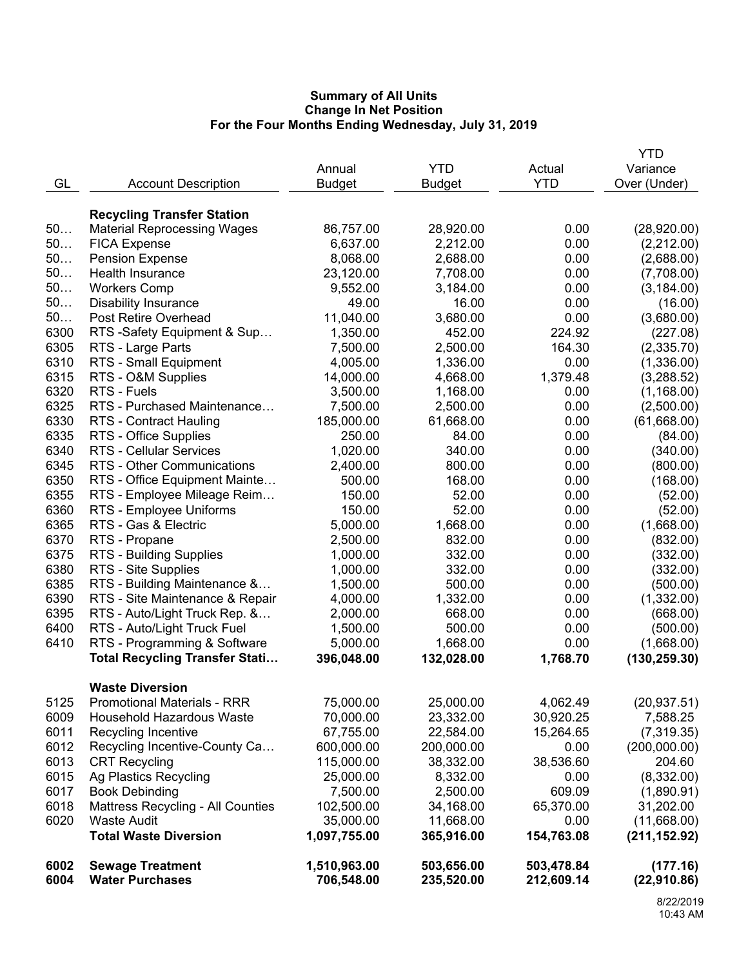|      |                                       |               |               |            | YTD           |
|------|---------------------------------------|---------------|---------------|------------|---------------|
|      |                                       | Annual        | <b>YTD</b>    | Actual     | Variance      |
| GL   | <b>Account Description</b>            | <b>Budget</b> | <b>Budget</b> | <b>YTD</b> | Over (Under)  |
|      |                                       |               |               |            |               |
|      | <b>Recycling Transfer Station</b>     |               |               |            |               |
| 50   | <b>Material Reprocessing Wages</b>    | 86,757.00     | 28,920.00     | 0.00       | (28,920.00)   |
| 50   | <b>FICA Expense</b>                   | 6,637.00      | 2,212.00      | 0.00       | (2,212.00)    |
| 50   | <b>Pension Expense</b>                | 8,068.00      | 2,688.00      | 0.00       | (2,688.00)    |
| 50   | Health Insurance                      | 23,120.00     | 7,708.00      | 0.00       | (7,708.00)    |
| 50   | <b>Workers Comp</b>                   | 9,552.00      | 3,184.00      | 0.00       | (3, 184.00)   |
| 50   | <b>Disability Insurance</b>           | 49.00         | 16.00         | 0.00       | (16.00)       |
| 50   | Post Retire Overhead                  | 11,040.00     | 3,680.00      | 0.00       | (3,680.00)    |
| 6300 | RTS -Safety Equipment & Sup           | 1,350.00      | 452.00        | 224.92     | (227.08)      |
| 6305 | RTS - Large Parts                     | 7,500.00      | 2,500.00      | 164.30     | (2,335.70)    |
| 6310 | RTS - Small Equipment                 | 4,005.00      | 1,336.00      | 0.00       | (1,336.00)    |
| 6315 | RTS - O&M Supplies                    | 14,000.00     | 4,668.00      | 1,379.48   | (3,288.52)    |
| 6320 | RTS - Fuels                           | 3,500.00      | 1,168.00      | 0.00       | (1, 168.00)   |
| 6325 | RTS - Purchased Maintenance           | 7,500.00      | 2,500.00      | 0.00       | (2,500.00)    |
| 6330 | <b>RTS - Contract Hauling</b>         | 185,000.00    | 61,668.00     | 0.00       | (61,668.00)   |
| 6335 | RTS - Office Supplies                 | 250.00        | 84.00         | 0.00       | (84.00)       |
| 6340 | <b>RTS - Cellular Services</b>        | 1,020.00      | 340.00        | 0.00       | (340.00)      |
| 6345 | RTS - Other Communications            | 2,400.00      | 800.00        | 0.00       | (800.00)      |
| 6350 | RTS - Office Equipment Mainte         | 500.00        | 168.00        | 0.00       | (168.00)      |
| 6355 | RTS - Employee Mileage Reim           | 150.00        | 52.00         | 0.00       | (52.00)       |
| 6360 | RTS - Employee Uniforms               | 150.00        | 52.00         | 0.00       | (52.00)       |
| 6365 | RTS - Gas & Electric                  | 5,000.00      | 1,668.00      | 0.00       | (1,668.00)    |
| 6370 | RTS - Propane                         | 2,500.00      | 832.00        | 0.00       | (832.00)      |
| 6375 | RTS - Building Supplies               | 1,000.00      | 332.00        | 0.00       | (332.00)      |
| 6380 | RTS - Site Supplies                   | 1,000.00      | 332.00        | 0.00       | (332.00)      |
| 6385 | RTS - Building Maintenance &          | 1,500.00      | 500.00        | 0.00       | (500.00)      |
| 6390 | RTS - Site Maintenance & Repair       | 4,000.00      | 1,332.00      | 0.00       | (1,332.00)    |
| 6395 | RTS - Auto/Light Truck Rep. &         | 2,000.00      | 668.00        | 0.00       | (668.00)      |
| 6400 | RTS - Auto/Light Truck Fuel           | 1,500.00      | 500.00        | 0.00       | (500.00)      |
| 6410 | RTS - Programming & Software          | 5,000.00      | 1,668.00      | 0.00       | (1,668.00)    |
|      | <b>Total Recycling Transfer Stati</b> | 396,048.00    | 132,028.00    | 1,768.70   | (130, 259.30) |
|      |                                       |               |               |            |               |
|      | <b>Waste Diversion</b>                |               |               |            |               |
| 5125 | <b>Promotional Materials - RRR</b>    | 75,000.00     | 25,000.00     | 4,062.49   | (20, 937.51)  |
| 6009 | Household Hazardous Waste             | 70,000.00     | 23,332.00     | 30,920.25  | 7,588.25      |
| 6011 | Recycling Incentive                   | 67,755.00     | 22,584.00     | 15,264.65  | (7,319.35)    |
| 6012 | Recycling Incentive-County Ca         | 600,000.00    | 200,000.00    | 0.00       | (200,000.00)  |
| 6013 | <b>CRT Recycling</b>                  | 115,000.00    | 38,332.00     | 38,536.60  | 204.60        |
| 6015 | Ag Plastics Recycling                 | 25,000.00     | 8,332.00      | 0.00       | (8,332.00)    |
| 6017 | <b>Book Debinding</b>                 | 7,500.00      | 2,500.00      | 609.09     | (1,890.91)    |
| 6018 | Mattress Recycling - All Counties     | 102,500.00    | 34,168.00     | 65,370.00  | 31,202.00     |
| 6020 | <b>Waste Audit</b>                    | 35,000.00     | 11,668.00     | 0.00       | (11,668.00)   |
|      | <b>Total Waste Diversion</b>          | 1,097,755.00  | 365,916.00    | 154,763.08 | (211, 152.92) |
| 6002 | <b>Sewage Treatment</b>               | 1,510,963.00  | 503,656.00    | 503,478.84 | (177.16)      |
| 6004 | <b>Water Purchases</b>                | 706,548.00    | 235,520.00    | 212,609.14 | (22,910.86)   |
|      |                                       |               |               |            |               |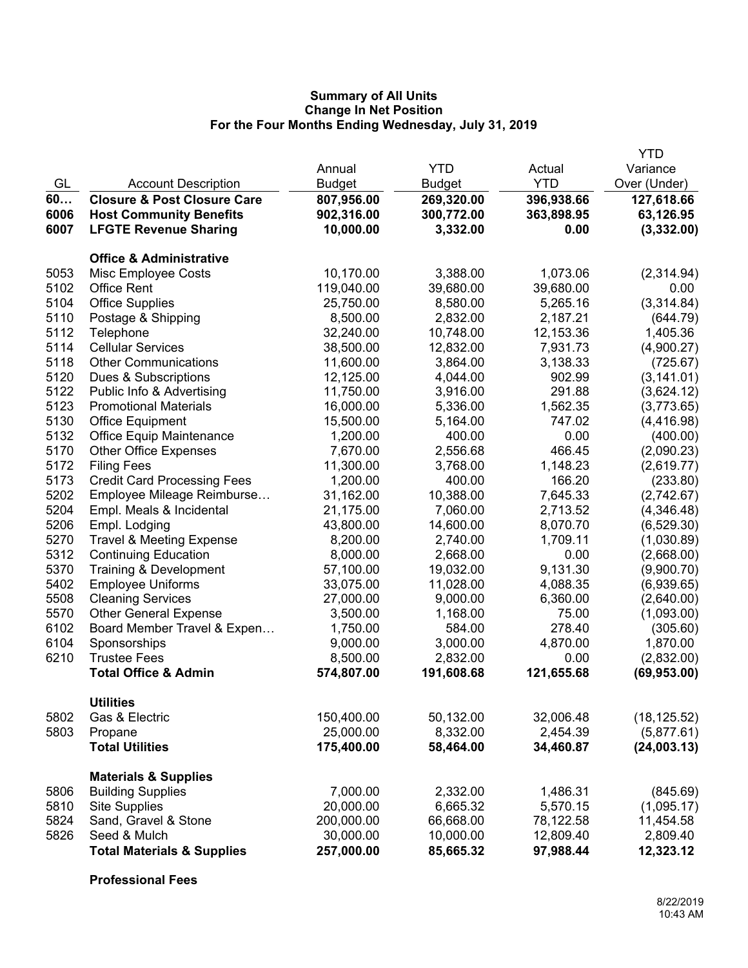|      |                                        |               |               |            | <b>YTD</b>   |
|------|----------------------------------------|---------------|---------------|------------|--------------|
|      |                                        | Annual        | <b>YTD</b>    | Actual     | Variance     |
| GL   | <b>Account Description</b>             | <b>Budget</b> | <b>Budget</b> | <b>YTD</b> | Over (Under) |
| 60   | <b>Closure &amp; Post Closure Care</b> | 807,956.00    | 269,320.00    | 396,938.66 | 127,618.66   |
| 6006 | <b>Host Community Benefits</b>         | 902,316.00    | 300,772.00    | 363,898.95 | 63,126.95    |
| 6007 | <b>LFGTE Revenue Sharing</b>           | 10,000.00     | 3,332.00      | 0.00       | (3,332.00)   |
|      | <b>Office &amp; Administrative</b>     |               |               |            |              |
| 5053 | Misc Employee Costs                    | 10,170.00     | 3,388.00      | 1,073.06   | (2,314.94)   |
| 5102 | <b>Office Rent</b>                     | 119,040.00    | 39,680.00     | 39,680.00  | 0.00         |
| 5104 | <b>Office Supplies</b>                 | 25,750.00     | 8,580.00      | 5,265.16   | (3,314.84)   |
| 5110 | Postage & Shipping                     | 8,500.00      | 2,832.00      | 2,187.21   | (644.79)     |
| 5112 | Telephone                              | 32,240.00     | 10,748.00     | 12,153.36  | 1,405.36     |
| 5114 | <b>Cellular Services</b>               | 38,500.00     | 12,832.00     | 7,931.73   | (4,900.27)   |
| 5118 | <b>Other Communications</b>            | 11,600.00     | 3,864.00      | 3,138.33   | (725.67)     |
| 5120 | Dues & Subscriptions                   | 12,125.00     | 4,044.00      | 902.99     | (3, 141.01)  |
| 5122 | Public Info & Advertising              | 11,750.00     | 3,916.00      | 291.88     | (3,624.12)   |
| 5123 | <b>Promotional Materials</b>           | 16,000.00     | 5,336.00      | 1,562.35   | (3,773.65)   |
| 5130 | <b>Office Equipment</b>                | 15,500.00     | 5,164.00      | 747.02     | (4, 416.98)  |
| 5132 | <b>Office Equip Maintenance</b>        | 1,200.00      | 400.00        | 0.00       | (400.00)     |
| 5170 | <b>Other Office Expenses</b>           | 7,670.00      | 2,556.68      | 466.45     | (2,090.23)   |
| 5172 | <b>Filing Fees</b>                     | 11,300.00     | 3,768.00      | 1,148.23   | (2,619.77)   |
| 5173 | <b>Credit Card Processing Fees</b>     | 1,200.00      | 400.00        | 166.20     | (233.80)     |
| 5202 | Employee Mileage Reimburse             | 31,162.00     | 10,388.00     | 7,645.33   | (2,742.67)   |
| 5204 | Empl. Meals & Incidental               | 21,175.00     | 7,060.00      | 2,713.52   | (4,346.48)   |
| 5206 | Empl. Lodging                          | 43,800.00     | 14,600.00     | 8,070.70   | (6,529.30)   |
| 5270 | <b>Travel &amp; Meeting Expense</b>    | 8,200.00      | 2,740.00      | 1,709.11   | (1,030.89)   |
| 5312 | <b>Continuing Education</b>            | 8,000.00      | 2,668.00      | 0.00       | (2,668.00)   |
| 5370 | Training & Development                 | 57,100.00     | 19,032.00     | 9,131.30   | (9,900.70)   |
| 5402 | <b>Employee Uniforms</b>               | 33,075.00     | 11,028.00     | 4,088.35   | (6,939.65)   |
| 5508 | <b>Cleaning Services</b>               | 27,000.00     | 9,000.00      | 6,360.00   | (2,640.00)   |
| 5570 | <b>Other General Expense</b>           | 3,500.00      | 1,168.00      | 75.00      | (1,093.00)   |
| 6102 | Board Member Travel & Expen            | 1,750.00      | 584.00        | 278.40     | (305.60)     |
| 6104 | Sponsorships                           | 9,000.00      | 3,000.00      | 4,870.00   | 1,870.00     |
| 6210 | <b>Trustee Fees</b>                    | 8,500.00      | 2,832.00      | 0.00       | (2,832.00)   |
|      | <b>Total Office &amp; Admin</b>        | 574,807.00    | 191,608.68    | 121,655.68 | (69, 953.00) |
|      | <b>Utilities</b>                       |               |               |            |              |
| 5802 | Gas & Electric                         | 150,400.00    | 50,132.00     | 32,006.48  | (18, 125.52) |
| 5803 | Propane                                | 25,000.00     | 8,332.00      | 2,454.39   | (5,877.61)   |
|      | <b>Total Utilities</b>                 | 175,400.00    | 58,464.00     | 34,460.87  | (24,003.13)  |
|      | <b>Materials &amp; Supplies</b>        |               |               |            |              |
| 5806 | <b>Building Supplies</b>               | 7,000.00      | 2,332.00      | 1,486.31   | (845.69)     |
| 5810 | <b>Site Supplies</b>                   | 20,000.00     | 6,665.32      | 5,570.15   | (1,095.17)   |
| 5824 | Sand, Gravel & Stone                   | 200,000.00    | 66,668.00     | 78,122.58  | 11,454.58    |
| 5826 | Seed & Mulch                           | 30,000.00     | 10,000.00     | 12,809.40  | 2,809.40     |
|      | <b>Total Materials &amp; Supplies</b>  | 257,000.00    | 85,665.32     | 97,988.44  | 12,323.12    |

**Professional Fees**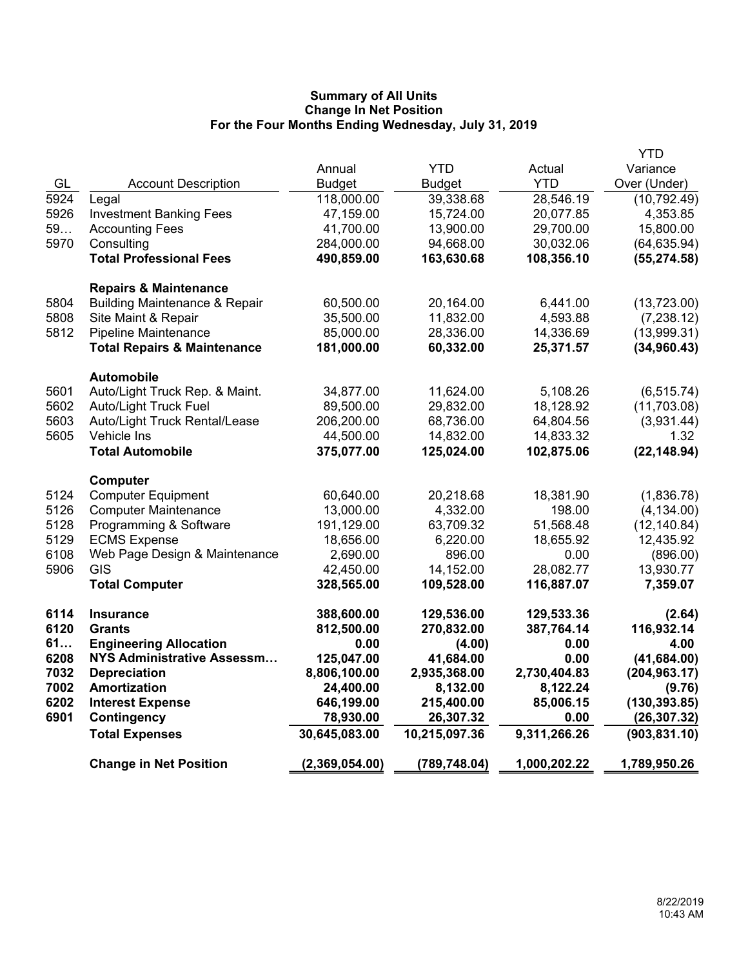|      |                                          |                |               |              | <b>YTD</b>    |
|------|------------------------------------------|----------------|---------------|--------------|---------------|
|      |                                          | Annual         | <b>YTD</b>    | Actual       | Variance      |
| GL   | <b>Account Description</b>               | <b>Budget</b>  | <b>Budget</b> | <b>YTD</b>   | Over (Under)  |
| 5924 | Legal                                    | 118,000.00     | 39,338.68     | 28,546.19    | (10, 792.49)  |
| 5926 | <b>Investment Banking Fees</b>           | 47,159.00      | 15,724.00     | 20,077.85    | 4,353.85      |
| 59   | <b>Accounting Fees</b>                   | 41,700.00      | 13,900.00     | 29,700.00    | 15,800.00     |
| 5970 | Consulting                               | 284,000.00     | 94,668.00     | 30,032.06    | (64, 635.94)  |
|      | <b>Total Professional Fees</b>           | 490,859.00     | 163,630.68    | 108,356.10   | (55, 274.58)  |
|      | <b>Repairs &amp; Maintenance</b>         |                |               |              |               |
| 5804 | <b>Building Maintenance &amp; Repair</b> | 60,500.00      | 20,164.00     | 6,441.00     | (13,723.00)   |
| 5808 | Site Maint & Repair                      | 35,500.00      | 11,832.00     | 4,593.88     | (7, 238.12)   |
| 5812 | Pipeline Maintenance                     | 85,000.00      | 28,336.00     | 14,336.69    | (13,999.31)   |
|      | <b>Total Repairs &amp; Maintenance</b>   | 181,000.00     | 60,332.00     | 25,371.57    | (34,960.43)   |
|      | <b>Automobile</b>                        |                |               |              |               |
| 5601 | Auto/Light Truck Rep. & Maint.           | 34,877.00      | 11,624.00     | 5,108.26     | (6, 515.74)   |
| 5602 | Auto/Light Truck Fuel                    | 89,500.00      | 29,832.00     | 18,128.92    | (11,703.08)   |
| 5603 | Auto/Light Truck Rental/Lease            | 206,200.00     | 68,736.00     | 64,804.56    | (3,931.44)    |
| 5605 | Vehicle Ins                              | 44,500.00      | 14,832.00     | 14,833.32    | 1.32          |
|      | <b>Total Automobile</b>                  | 375,077.00     | 125,024.00    | 102,875.06   | (22, 148.94)  |
|      | <b>Computer</b>                          |                |               |              |               |
| 5124 | <b>Computer Equipment</b>                | 60,640.00      | 20,218.68     | 18,381.90    | (1,836.78)    |
| 5126 | <b>Computer Maintenance</b>              | 13,000.00      | 4,332.00      | 198.00       | (4, 134.00)   |
| 5128 | Programming & Software                   | 191,129.00     | 63,709.32     | 51,568.48    | (12, 140.84)  |
| 5129 | <b>ECMS Expense</b>                      | 18,656.00      | 6,220.00      | 18,655.92    | 12,435.92     |
| 6108 | Web Page Design & Maintenance            | 2,690.00       | 896.00        | 0.00         | (896.00)      |
| 5906 | <b>GIS</b>                               | 42,450.00      | 14,152.00     | 28,082.77    | 13,930.77     |
|      | <b>Total Computer</b>                    | 328,565.00     | 109,528.00    | 116,887.07   | 7,359.07      |
| 6114 | <b>Insurance</b>                         | 388,600.00     | 129,536.00    | 129,533.36   | (2.64)        |
| 6120 | <b>Grants</b>                            | 812,500.00     | 270,832.00    | 387,764.14   | 116,932.14    |
| 61   | <b>Engineering Allocation</b>            | 0.00           | (4.00)        | 0.00         | 4.00          |
| 6208 | NYS Administrative Assessm               | 125,047.00     | 41,684.00     | 0.00         | (41, 684.00)  |
| 7032 | <b>Depreciation</b>                      | 8,806,100.00   | 2,935,368.00  | 2,730,404.83 | (204, 963.17) |
| 7002 | <b>Amortization</b>                      | 24,400.00      | 8,132.00      | 8,122.24     | (9.76)        |
| 6202 | <b>Interest Expense</b>                  | 646,199.00     | 215,400.00    | 85,006.15    | (130, 393.85) |
| 6901 | <b>Contingency</b>                       | 78,930.00      | 26,307.32     | 0.00         | (26, 307.32)  |
|      | <b>Total Expenses</b>                    | 30,645,083.00  | 10,215,097.36 | 9,311,266.26 | (903, 831.10) |
|      | <b>Change in Net Position</b>            | (2,369,054.00) | (789, 748.04) | 1,000,202.22 | 1,789,950.26  |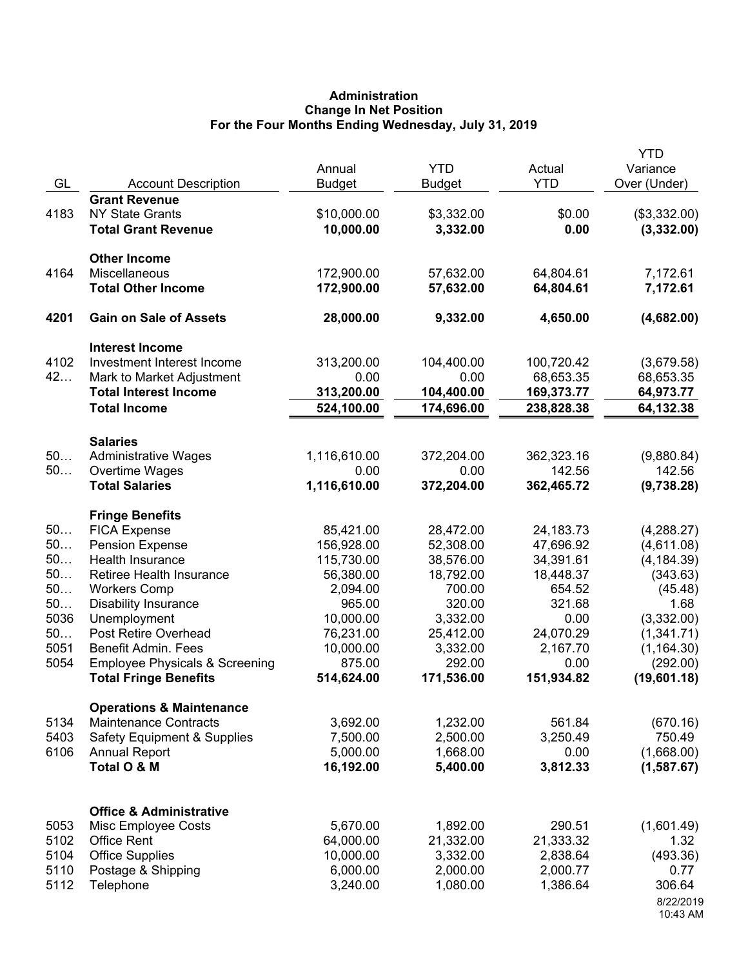# **Administration Change In Net Position For the Four Months Ending Wednesday, July 31, 2019**

| GL           | <b>Account Description</b>                                          | Annual<br><b>Budget</b>  | <b>YTD</b><br><b>Budget</b> | Actual<br><b>YTD</b>   | <b>YTD</b><br>Variance<br>Over (Under) |
|--------------|---------------------------------------------------------------------|--------------------------|-----------------------------|------------------------|----------------------------------------|
| 4183         | <b>Grant Revenue</b><br><b>NY State Grants</b>                      | \$10,000.00              | \$3,332.00                  | \$0.00                 | (\$3,332.00)                           |
|              | <b>Total Grant Revenue</b>                                          | 10,000.00                | 3,332.00                    | 0.00                   | (3,332.00)                             |
|              | <b>Other Income</b>                                                 |                          |                             |                        |                                        |
| 4164         | Miscellaneous<br><b>Total Other Income</b>                          | 172,900.00<br>172,900.00 | 57,632.00<br>57,632.00      | 64,804.61<br>64,804.61 | 7,172.61<br>7,172.61                   |
|              |                                                                     |                          |                             |                        |                                        |
| 4201         | <b>Gain on Sale of Assets</b>                                       | 28,000.00                | 9,332.00                    | 4,650.00               | (4,682.00)                             |
| 4102         | <b>Interest Income</b><br>Investment Interest Income                | 313,200.00               | 104,400.00                  | 100,720.42             |                                        |
| 42           | Mark to Market Adjustment                                           | 0.00                     | 0.00                        | 68,653.35              | (3,679.58)<br>68,653.35                |
|              | <b>Total Interest Income</b>                                        | 313,200.00               | 104,400.00                  | 169,373.77             | 64,973.77                              |
|              | <b>Total Income</b>                                                 | 524,100.00               | 174,696.00                  | 238,828.38             | 64,132.38                              |
|              | <b>Salaries</b>                                                     |                          |                             |                        |                                        |
| 50           | <b>Administrative Wages</b>                                         | 1,116,610.00             | 372,204.00                  | 362,323.16             | (9,880.84)                             |
| 50           | Overtime Wages<br><b>Total Salaries</b>                             | 0.00<br>1,116,610.00     | 0.00<br>372,204.00          | 142.56<br>362,465.72   | 142.56<br>(9,738.28)                   |
|              |                                                                     |                          |                             |                        |                                        |
| 50           | <b>Fringe Benefits</b><br><b>FICA Expense</b>                       | 85,421.00                | 28,472.00                   | 24, 183. 73            | (4, 288.27)                            |
| 50           | Pension Expense                                                     | 156,928.00               | 52,308.00                   | 47,696.92              | (4,611.08)                             |
| 50           | Health Insurance                                                    | 115,730.00               | 38,576.00                   | 34,391.61              | (4, 184.39)                            |
| 50           | Retiree Health Insurance                                            | 56,380.00                | 18,792.00                   | 18,448.37              | (343.63)                               |
| 50           | <b>Workers Comp</b>                                                 | 2,094.00                 | 700.00                      | 654.52                 | (45.48)                                |
| 50           | <b>Disability Insurance</b>                                         | 965.00                   | 320.00                      | 321.68                 | 1.68                                   |
| 5036         | Unemployment                                                        | 10,000.00                | 3,332.00                    | 0.00                   | (3,332.00)                             |
| 50           | Post Retire Overhead                                                | 76,231.00                | 25,412.00                   | 24,070.29              | (1,341.71)                             |
| 5051         | <b>Benefit Admin. Fees</b>                                          | 10,000.00                | 3,332.00                    | 2,167.70               | (1, 164.30)                            |
| 5054         | <b>Employee Physicals &amp; Screening</b>                           | 875.00                   | 292.00                      | 0.00                   | (292.00)                               |
|              | <b>Total Fringe Benefits</b>                                        | 514,624.00               | 171,536.00                  | 151,934.82             | (19,601.18)                            |
| 5134         | <b>Operations &amp; Maintenance</b><br><b>Maintenance Contracts</b> | 3,692.00                 | 1,232.00                    | 561.84                 | (670.16)                               |
| 5403         | <b>Safety Equipment &amp; Supplies</b>                              | 7,500.00                 | 2,500.00                    | 3,250.49               | 750.49                                 |
| 6106         | <b>Annual Report</b>                                                | 5,000.00                 | 1,668.00                    | 0.00                   | (1,668.00)                             |
|              | Total O & M                                                         | 16,192.00                | 5,400.00                    | 3,812.33               | (1,587.67)                             |
|              |                                                                     |                          |                             |                        |                                        |
|              | <b>Office &amp; Administrative</b>                                  |                          |                             |                        |                                        |
| 5053<br>5102 | Misc Employee Costs<br><b>Office Rent</b>                           | 5,670.00<br>64,000.00    | 1,892.00<br>21,332.00       | 290.51<br>21,333.32    | (1,601.49)<br>1.32                     |
| 5104         | <b>Office Supplies</b>                                              | 10,000.00                | 3,332.00                    | 2,838.64               | (493.36)                               |
| 5110         | Postage & Shipping                                                  | 6,000.00                 | 2,000.00                    | 2,000.77               | 0.77                                   |
| 5112         | Telephone                                                           | 3,240.00                 | 1,080.00                    | 1,386.64               | 306.64                                 |
|              |                                                                     |                          |                             |                        | 8/22/2019<br>10:43 AM                  |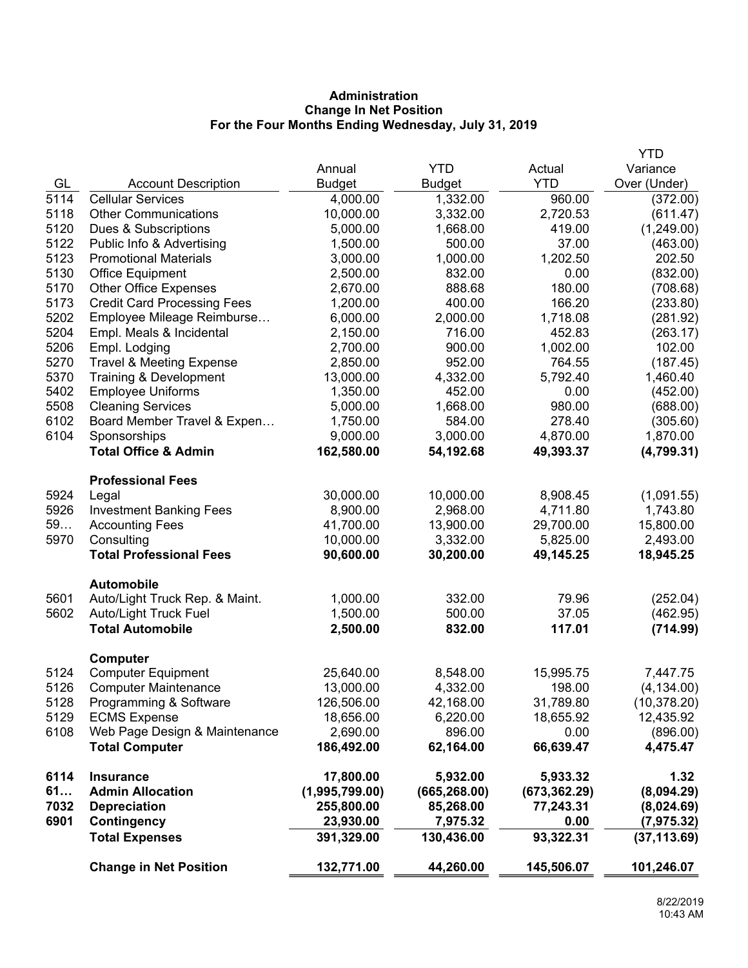# **Administration Change In Net Position For the Four Months Ending Wednesday, July 31, 2019**

|      |                                     |                |               |               | <b>YTD</b>   |
|------|-------------------------------------|----------------|---------------|---------------|--------------|
|      |                                     | Annual         | <b>YTD</b>    | Actual        | Variance     |
| GL   | <b>Account Description</b>          | <b>Budget</b>  | <b>Budget</b> | <b>YTD</b>    | Over (Under) |
| 5114 | <b>Cellular Services</b>            | 4,000.00       | 1,332.00      | 960.00        | (372.00)     |
| 5118 | <b>Other Communications</b>         | 10,000.00      | 3,332.00      | 2,720.53      | (611.47)     |
| 5120 | Dues & Subscriptions                | 5,000.00       | 1,668.00      | 419.00        | (1,249.00)   |
| 5122 | Public Info & Advertising           | 1,500.00       | 500.00        | 37.00         | (463.00)     |
| 5123 | <b>Promotional Materials</b>        | 3,000.00       | 1,000.00      | 1,202.50      | 202.50       |
| 5130 | Office Equipment                    | 2,500.00       | 832.00        | 0.00          | (832.00)     |
| 5170 | <b>Other Office Expenses</b>        | 2,670.00       | 888.68        | 180.00        | (708.68)     |
| 5173 | <b>Credit Card Processing Fees</b>  | 1,200.00       | 400.00        | 166.20        | (233.80)     |
| 5202 | Employee Mileage Reimburse          | 6,000.00       | 2,000.00      | 1,718.08      | (281.92)     |
| 5204 | Empl. Meals & Incidental            | 2,150.00       | 716.00        | 452.83        | (263.17)     |
| 5206 | Empl. Lodging                       | 2,700.00       | 900.00        | 1,002.00      | 102.00       |
| 5270 | <b>Travel &amp; Meeting Expense</b> | 2,850.00       | 952.00        | 764.55        | (187.45)     |
| 5370 | Training & Development              | 13,000.00      | 4,332.00      | 5,792.40      | 1,460.40     |
| 5402 | <b>Employee Uniforms</b>            | 1,350.00       | 452.00        | 0.00          | (452.00)     |
| 5508 | <b>Cleaning Services</b>            | 5,000.00       | 1,668.00      | 980.00        | (688.00)     |
| 6102 | Board Member Travel & Expen         | 1,750.00       | 584.00        | 278.40        | (305.60)     |
| 6104 | Sponsorships                        | 9,000.00       | 3,000.00      | 4,870.00      | 1,870.00     |
|      | <b>Total Office &amp; Admin</b>     | 162,580.00     | 54,192.68     | 49,393.37     | (4,799.31)   |
|      | <b>Professional Fees</b>            |                |               |               |              |
| 5924 | Legal                               | 30,000.00      | 10,000.00     | 8,908.45      | (1,091.55)   |
| 5926 | <b>Investment Banking Fees</b>      | 8,900.00       | 2,968.00      | 4,711.80      | 1,743.80     |
| 59   | <b>Accounting Fees</b>              | 41,700.00      | 13,900.00     | 29,700.00     | 15,800.00    |
| 5970 | Consulting                          | 10,000.00      | 3,332.00      | 5,825.00      | 2,493.00     |
|      | <b>Total Professional Fees</b>      | 90,600.00      | 30,200.00     | 49,145.25     | 18,945.25    |
|      | <b>Automobile</b>                   |                |               |               |              |
| 5601 | Auto/Light Truck Rep. & Maint.      | 1,000.00       | 332.00        | 79.96         | (252.04)     |
| 5602 | Auto/Light Truck Fuel               | 1,500.00       | 500.00        | 37.05         | (462.95)     |
|      | <b>Total Automobile</b>             | 2,500.00       | 832.00        | 117.01        | (714.99)     |
|      | <b>Computer</b>                     |                |               |               |              |
| 5124 | <b>Computer Equipment</b>           | 25,640.00      | 8,548.00      | 15,995.75     | 7,447.75     |
| 5126 | <b>Computer Maintenance</b>         | 13,000.00      | 4,332.00      | 198.00        | (4, 134.00)  |
| 5128 | Programming & Software              | 126,506.00     | 42,168.00     | 31,789.80     | (10, 378.20) |
| 5129 | <b>ECMS Expense</b>                 | 18,656.00      | 6,220.00      | 18,655.92     | 12,435.92    |
| 6108 | Web Page Design & Maintenance       | 2,690.00       | 896.00        | 0.00          | (896.00)     |
|      | <b>Total Computer</b>               | 186,492.00     | 62,164.00     | 66,639.47     | 4,475.47     |
| 6114 | <b>Insurance</b>                    | 17,800.00      | 5,932.00      | 5,933.32      | 1.32         |
| 61   | <b>Admin Allocation</b>             | (1,995,799.00) | (665, 268.00) | (673, 362.29) | (8,094.29)   |
| 7032 | <b>Depreciation</b>                 | 255,800.00     | 85,268.00     | 77,243.31     | (8,024.69)   |
| 6901 | Contingency                         | 23,930.00      | 7,975.32      | 0.00          | (7, 975.32)  |
|      | <b>Total Expenses</b>               | 391,329.00     | 130,436.00    | 93,322.31     | (37, 113.69) |
|      | <b>Change in Net Position</b>       | 132,771.00     | 44,260.00     | 145,506.07    | 101,246.07   |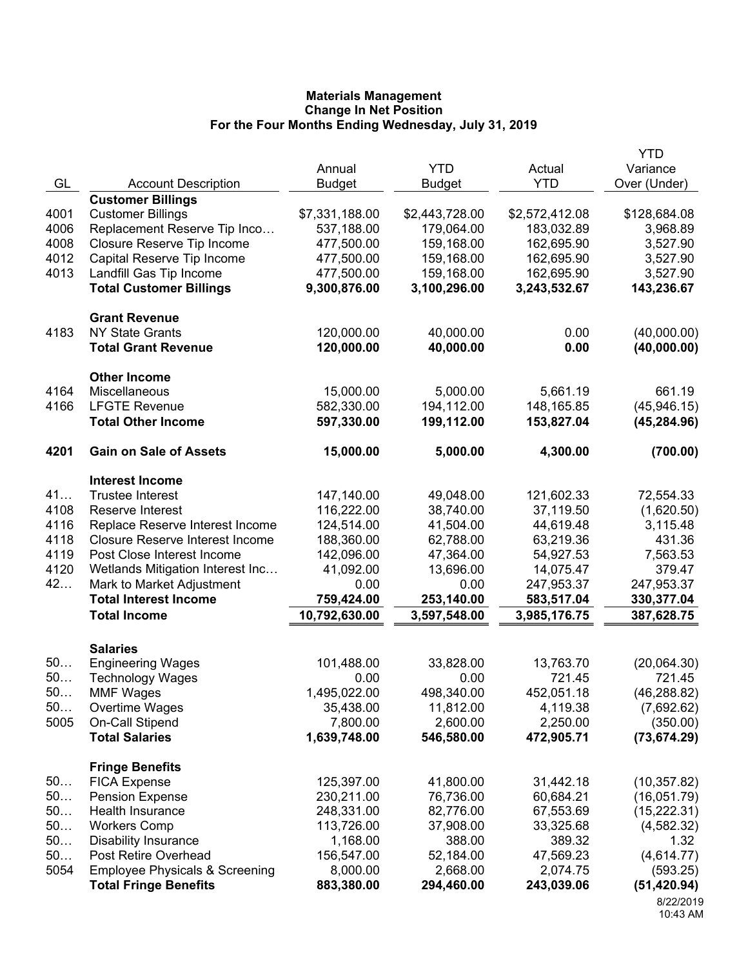|      |                                           |                |                |                | <b>YTD</b>   |
|------|-------------------------------------------|----------------|----------------|----------------|--------------|
|      |                                           | Annual         | <b>YTD</b>     | Actual         | Variance     |
| GL   | <b>Account Description</b>                | <b>Budget</b>  | <b>Budget</b>  | <b>YTD</b>     | Over (Under) |
|      | <b>Customer Billings</b>                  |                |                |                |              |
| 4001 | <b>Customer Billings</b>                  | \$7,331,188.00 | \$2,443,728.00 | \$2,572,412.08 | \$128,684.08 |
| 4006 | Replacement Reserve Tip Inco              | 537,188.00     | 179,064.00     | 183,032.89     | 3,968.89     |
| 4008 | Closure Reserve Tip Income                | 477,500.00     | 159,168.00     | 162,695.90     | 3,527.90     |
| 4012 | Capital Reserve Tip Income                | 477,500.00     | 159,168.00     | 162,695.90     | 3,527.90     |
| 4013 | Landfill Gas Tip Income                   | 477,500.00     | 159,168.00     | 162,695.90     | 3,527.90     |
|      | <b>Total Customer Billings</b>            | 9,300,876.00   | 3,100,296.00   | 3,243,532.67   | 143,236.67   |
|      | <b>Grant Revenue</b>                      |                |                |                |              |
| 4183 | <b>NY State Grants</b>                    | 120,000.00     | 40,000.00      | 0.00           | (40,000.00)  |
|      | <b>Total Grant Revenue</b>                | 120,000.00     | 40,000.00      | 0.00           | (40,000.00)  |
|      | <b>Other Income</b>                       |                |                |                |              |
| 4164 | Miscellaneous                             | 15,000.00      | 5,000.00       | 5,661.19       | 661.19       |
| 4166 | <b>LFGTE Revenue</b>                      | 582,330.00     | 194,112.00     | 148, 165.85    | (45, 946.15) |
|      | <b>Total Other Income</b>                 | 597,330.00     | 199,112.00     | 153,827.04     | (45, 284.96) |
| 4201 | <b>Gain on Sale of Assets</b>             | 15,000.00      | 5,000.00       | 4,300.00       | (700.00)     |
|      | <b>Interest Income</b>                    |                |                |                |              |
| 41   | <b>Trustee Interest</b>                   | 147,140.00     | 49,048.00      | 121,602.33     | 72,554.33    |
| 4108 | Reserve Interest                          | 116,222.00     | 38,740.00      | 37,119.50      | (1,620.50)   |
| 4116 | Replace Reserve Interest Income           | 124,514.00     | 41,504.00      | 44,619.48      | 3,115.48     |
| 4118 | <b>Closure Reserve Interest Income</b>    | 188,360.00     | 62,788.00      | 63,219.36      | 431.36       |
| 4119 | Post Close Interest Income                | 142,096.00     | 47,364.00      | 54,927.53      | 7,563.53     |
| 4120 | Wetlands Mitigation Interest Inc          | 41,092.00      | 13,696.00      | 14,075.47      | 379.47       |
| 42   | Mark to Market Adjustment                 | 0.00           | 0.00           | 247,953.37     | 247,953.37   |
|      | <b>Total Interest Income</b>              | 759,424.00     | 253,140.00     | 583,517.04     | 330,377.04   |
|      | <b>Total Income</b>                       | 10,792,630.00  | 3,597,548.00   | 3,985,176.75   | 387,628.75   |
|      |                                           |                |                |                |              |
|      | <b>Salaries</b>                           |                |                |                |              |
| 50   | <b>Engineering Wages</b>                  | 101,488.00     | 33,828.00      | 13,763.70      | (20,064.30)  |
| 50   | <b>Technology Wages</b>                   | 0.00           | 0.00           | 721.45         | 721.45       |
| 50   | <b>MMF Wages</b>                          | 1,495,022.00   | 498,340.00     | 452,051.18     | (46, 288.82) |
| 50   | Overtime Wages                            | 35,438.00      | 11,812.00      | 4,119.38       | (7,692.62)   |
| 5005 | On-Call Stipend                           | 7,800.00       | 2,600.00       | 2,250.00       | (350.00)     |
|      | <b>Total Salaries</b>                     | 1,639,748.00   | 546,580.00     | 472,905.71     | (73, 674.29) |
|      | <b>Fringe Benefits</b>                    |                |                |                |              |
| 50   | <b>FICA Expense</b>                       | 125,397.00     | 41,800.00      | 31,442.18      | (10, 357.82) |
| 50   | <b>Pension Expense</b>                    | 230,211.00     | 76,736.00      | 60,684.21      | (16,051.79)  |
| 50   | Health Insurance                          | 248,331.00     | 82,776.00      | 67,553.69      | (15, 222.31) |
| 50   | <b>Workers Comp</b>                       | 113,726.00     | 37,908.00      | 33,325.68      | (4, 582.32)  |
| 50   | <b>Disability Insurance</b>               | 1,168.00       | 388.00         | 389.32         | 1.32         |
| 50   | Post Retire Overhead                      | 156,547.00     | 52,184.00      | 47,569.23      | (4,614.77)   |
| 5054 | <b>Employee Physicals &amp; Screening</b> | 8,000.00       | 2,668.00       | 2,074.75       | (593.25)     |
|      | <b>Total Fringe Benefits</b>              | 883,380.00     | 294,460.00     | 243,039.06     | (51, 420.94) |
|      |                                           |                |                |                | 8/22/2019    |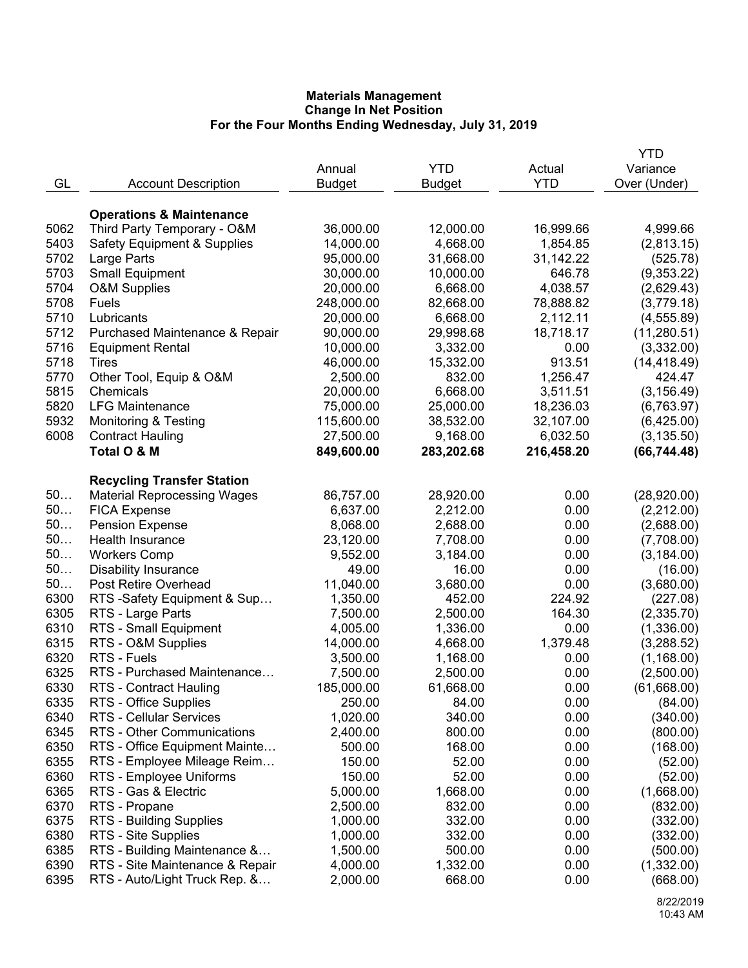|      |                                        |               |               |            | YTD                    |
|------|----------------------------------------|---------------|---------------|------------|------------------------|
|      |                                        | Annual        | <b>YTD</b>    | Actual     | Variance               |
| GL   | <b>Account Description</b>             | <b>Budget</b> | <b>Budget</b> | <b>YTD</b> | Over (Under)           |
|      |                                        |               |               |            |                        |
|      | <b>Operations &amp; Maintenance</b>    |               |               |            |                        |
| 5062 | Third Party Temporary - O&M            | 36,000.00     | 12,000.00     | 16,999.66  | 4,999.66               |
| 5403 | <b>Safety Equipment &amp; Supplies</b> | 14,000.00     | 4,668.00      | 1,854.85   | (2,813.15)             |
| 5702 | Large Parts                            | 95,000.00     | 31,668.00     | 31,142.22  | (525.78)               |
| 5703 | <b>Small Equipment</b>                 | 30,000.00     | 10,000.00     | 646.78     | (9,353.22)             |
| 5704 | <b>O&amp;M Supplies</b>                | 20,000.00     | 6,668.00      | 4,038.57   | (2,629.43)             |
| 5708 | Fuels                                  | 248,000.00    | 82,668.00     | 78,888.82  | (3,779.18)             |
| 5710 | Lubricants                             | 20,000.00     | 6,668.00      | 2,112.11   | (4, 555.89)            |
| 5712 | Purchased Maintenance & Repair         | 90,000.00     | 29,998.68     | 18,718.17  | (11, 280.51)           |
| 5716 | <b>Equipment Rental</b>                | 10,000.00     | 3,332.00      | 0.00       | (3,332.00)             |
| 5718 | Tires                                  | 46,000.00     | 15,332.00     | 913.51     |                        |
| 5770 |                                        | 2,500.00      | 832.00        |            | (14, 418.49)<br>424.47 |
| 5815 | Other Tool, Equip & O&M<br>Chemicals   |               |               | 1,256.47   |                        |
|      |                                        | 20,000.00     | 6,668.00      | 3,511.51   | (3, 156.49)            |
| 5820 | <b>LFG Maintenance</b>                 | 75,000.00     | 25,000.00     | 18,236.03  | (6,763.97)             |
| 5932 | <b>Monitoring &amp; Testing</b>        | 115,600.00    | 38,532.00     | 32,107.00  | (6,425.00)             |
| 6008 | <b>Contract Hauling</b>                | 27,500.00     | 9,168.00      | 6,032.50   | (3, 135.50)            |
|      | Total O & M                            | 849,600.00    | 283,202.68    | 216,458.20 | (66, 744.48)           |
|      |                                        |               |               |            |                        |
|      | <b>Recycling Transfer Station</b>      |               |               |            |                        |
| 50   | <b>Material Reprocessing Wages</b>     | 86,757.00     | 28,920.00     | 0.00       | (28,920.00)            |
| 50   | <b>FICA Expense</b>                    | 6,637.00      | 2,212.00      | 0.00       | (2,212.00)             |
| 50   | <b>Pension Expense</b>                 | 8,068.00      | 2,688.00      | 0.00       | (2,688.00)             |
| 50   | Health Insurance                       | 23,120.00     | 7,708.00      | 0.00       | (7,708.00)             |
| 50   | <b>Workers Comp</b>                    | 9,552.00      | 3,184.00      | 0.00       | (3, 184.00)            |
| 50   | <b>Disability Insurance</b>            | 49.00         | 16.00         | 0.00       | (16.00)                |
| 50   | Post Retire Overhead                   | 11,040.00     | 3,680.00      | 0.00       | (3,680.00)             |
| 6300 | RTS -Safety Equipment & Sup            | 1,350.00      | 452.00        | 224.92     | (227.08)               |
| 6305 | RTS - Large Parts                      | 7,500.00      | 2,500.00      | 164.30     | (2,335.70)             |
| 6310 | RTS - Small Equipment                  | 4,005.00      | 1,336.00      | 0.00       | (1,336.00)             |
| 6315 | RTS - O&M Supplies                     | 14,000.00     | 4,668.00      | 1,379.48   | (3,288.52)             |
| 6320 | RTS - Fuels                            | 3,500.00      | 1,168.00      | 0.00       | (1, 168.00)            |
| 6325 | RTS - Purchased Maintenance            | 7,500.00      | 2,500.00      | 0.00       | (2,500.00)             |
| 6330 | RTS - Contract Hauling                 | 185,000.00    | 61,668.00     | 0.00       | (61,668.00)            |
| 6335 | RTS - Office Supplies                  | 250.00        | 84.00         | 0.00       | (84.00)                |
| 6340 | RTS - Cellular Services                | 1,020.00      | 340.00        | 0.00       | (340.00)               |
| 6345 | RTS - Other Communications             | 2,400.00      | 800.00        | 0.00       | (800.00)               |
| 6350 | RTS - Office Equipment Mainte          | 500.00        | 168.00        | 0.00       | (168.00)               |
| 6355 | RTS - Employee Mileage Reim            | 150.00        | 52.00         | 0.00       | (52.00)                |
| 6360 | RTS - Employee Uniforms                | 150.00        | 52.00         | 0.00       | (52.00)                |
| 6365 | RTS - Gas & Electric                   | 5,000.00      | 1,668.00      | 0.00       | (1,668.00)             |
| 6370 | RTS - Propane                          | 2,500.00      | 832.00        | 0.00       | (832.00)               |
| 6375 | RTS - Building Supplies                | 1,000.00      | 332.00        | 0.00       | (332.00)               |
| 6380 | RTS - Site Supplies                    | 1,000.00      | 332.00        | 0.00       | (332.00)               |
| 6385 | RTS - Building Maintenance &           | 1,500.00      | 500.00        | 0.00       | (500.00)               |
| 6390 | RTS - Site Maintenance & Repair        | 4,000.00      | 1,332.00      | 0.00       | (1,332.00)             |
| 6395 | RTS - Auto/Light Truck Rep. &          | 2,000.00      | 668.00        | 0.00       | (668.00)               |
|      |                                        |               |               |            |                        |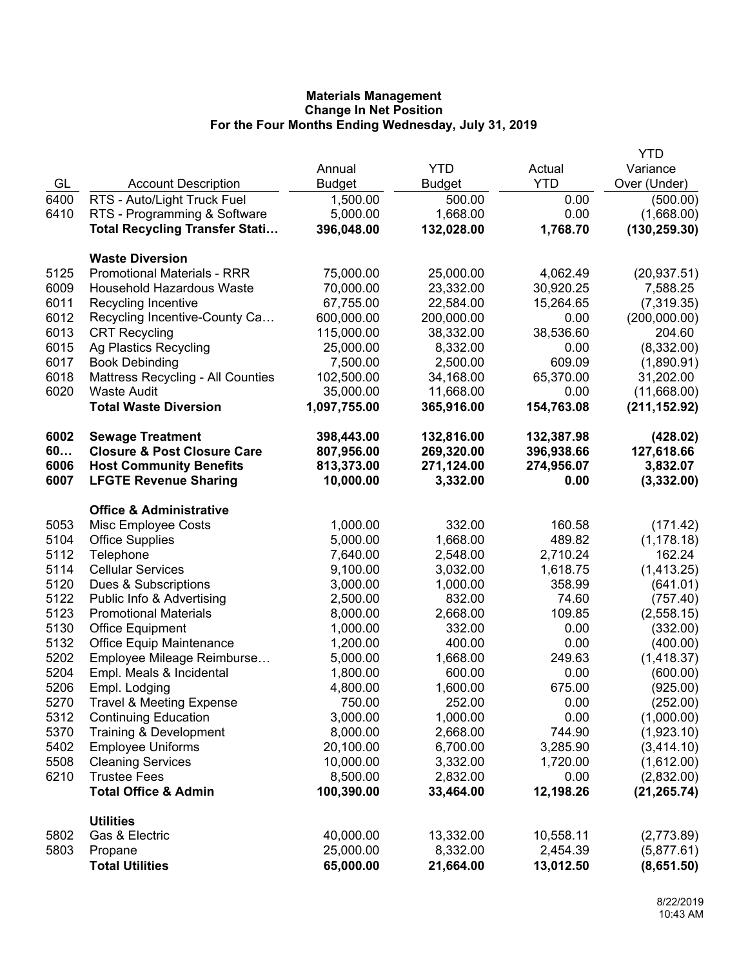|              |                                                     |                      |                  |              | <b>YTD</b>           |
|--------------|-----------------------------------------------------|----------------------|------------------|--------------|----------------------|
|              |                                                     | Annual               | <b>YTD</b>       | Actual       | Variance             |
| GL           | <b>Account Description</b>                          | <b>Budget</b>        | <b>Budget</b>    | <b>YTD</b>   | Over (Under)         |
| 6400         | RTS - Auto/Light Truck Fuel                         | 1,500.00             | 500.00           | 0.00         | (500.00)             |
| 6410         | RTS - Programming & Software                        | 5,000.00             | 1,668.00         | 0.00         | (1,668.00)           |
|              | <b>Total Recycling Transfer Stati</b>               | 396,048.00           | 132,028.00       | 1,768.70     | (130, 259.30)        |
|              | <b>Waste Diversion</b>                              |                      |                  |              |                      |
| 5125         | <b>Promotional Materials - RRR</b>                  | 75,000.00            | 25,000.00        | 4,062.49     | (20, 937.51)         |
| 6009         | <b>Household Hazardous Waste</b>                    | 70,000.00            | 23,332.00        | 30,920.25    | 7,588.25             |
| 6011         | Recycling Incentive                                 | 67,755.00            | 22,584.00        | 15,264.65    | (7,319.35)           |
| 6012         | Recycling Incentive-County Ca                       | 600,000.00           | 200,000.00       | 0.00         | (200,000.00)         |
| 6013         | <b>CRT Recycling</b>                                | 115,000.00           | 38,332.00        | 38,536.60    | 204.60               |
| 6015         | Ag Plastics Recycling                               | 25,000.00            | 8,332.00         | 0.00         | (8,332.00)           |
| 6017         | <b>Book Debinding</b>                               | 7,500.00             | 2,500.00         | 609.09       | (1,890.91)           |
| 6018         | <b>Mattress Recycling - All Counties</b>            | 102,500.00           | 34,168.00        | 65,370.00    | 31,202.00            |
| 6020         | <b>Waste Audit</b>                                  | 35,000.00            | 11,668.00        | 0.00         | (11,668.00)          |
|              | <b>Total Waste Diversion</b>                        | 1,097,755.00         | 365,916.00       | 154,763.08   | (211, 152.92)        |
| 6002         | <b>Sewage Treatment</b>                             | 398,443.00           | 132,816.00       | 132,387.98   | (428.02)             |
| 60           | <b>Closure &amp; Post Closure Care</b>              | 807,956.00           | 269,320.00       | 396,938.66   | 127,618.66           |
| 6006         | <b>Host Community Benefits</b>                      | 813,373.00           | 271,124.00       | 274,956.07   | 3,832.07             |
| 6007         | <b>LFGTE Revenue Sharing</b>                        | 10,000.00            | 3,332.00         | 0.00         | (3,332.00)           |
|              | <b>Office &amp; Administrative</b>                  |                      |                  |              |                      |
| 5053         | Misc Employee Costs                                 | 1,000.00             | 332.00           | 160.58       | (171.42)             |
| 5104         | <b>Office Supplies</b>                              | 5,000.00             | 1,668.00         | 489.82       | (1, 178.18)          |
| 5112         | Telephone                                           | 7,640.00             | 2,548.00         | 2,710.24     | 162.24               |
| 5114         | <b>Cellular Services</b>                            | 9,100.00             | 3,032.00         | 1,618.75     | (1,413.25)           |
| 5120         | Dues & Subscriptions                                | 3,000.00             | 1,000.00         | 358.99       | (641.01)             |
| 5122         | Public Info & Advertising                           | 2,500.00             | 832.00           | 74.60        | (757.40)             |
| 5123         | <b>Promotional Materials</b>                        | 8,000.00             | 2,668.00         | 109.85       | (2,558.15)           |
| 5130<br>5132 | <b>Office Equipment</b><br>Office Equip Maintenance | 1,000.00<br>1,200.00 | 332.00<br>400.00 | 0.00<br>0.00 | (332.00)<br>(400.00) |
| 5202         | Employee Mileage Reimburse                          | 5,000.00             | 1,668.00         | 249.63       | (1,418.37)           |
| 5204         | Empl. Meals & Incidental                            | 1,800.00             | 600.00           | 0.00         | (600.00)             |
| 5206         | Empl. Lodging                                       | 4,800.00             | 1,600.00         | 675.00       | (925.00)             |
| 5270         | <b>Travel &amp; Meeting Expense</b>                 | 750.00               | 252.00           | 0.00         | (252.00)             |
| 5312         | <b>Continuing Education</b>                         | 3,000.00             | 1,000.00         | 0.00         | (1,000.00)           |
| 5370         | Training & Development                              | 8,000.00             | 2,668.00         | 744.90       | (1,923.10)           |
| 5402         | <b>Employee Uniforms</b>                            | 20,100.00            | 6,700.00         | 3,285.90     | (3,414.10)           |
| 5508         | <b>Cleaning Services</b>                            | 10,000.00            | 3,332.00         | 1,720.00     | (1,612.00)           |
| 6210         | <b>Trustee Fees</b>                                 | 8,500.00             | 2,832.00         | 0.00         | (2,832.00)           |
|              | <b>Total Office &amp; Admin</b>                     | 100,390.00           | 33,464.00        | 12,198.26    | (21, 265.74)         |
|              | <b>Utilities</b>                                    |                      |                  |              |                      |
| 5802         | Gas & Electric                                      | 40,000.00            | 13,332.00        | 10,558.11    | (2,773.89)           |
| 5803         | Propane                                             | 25,000.00            | 8,332.00         | 2,454.39     | (5,877.61)           |
|              | <b>Total Utilities</b>                              | 65,000.00            | 21,664.00        | 13,012.50    | (8,651.50)           |
|              |                                                     |                      |                  |              |                      |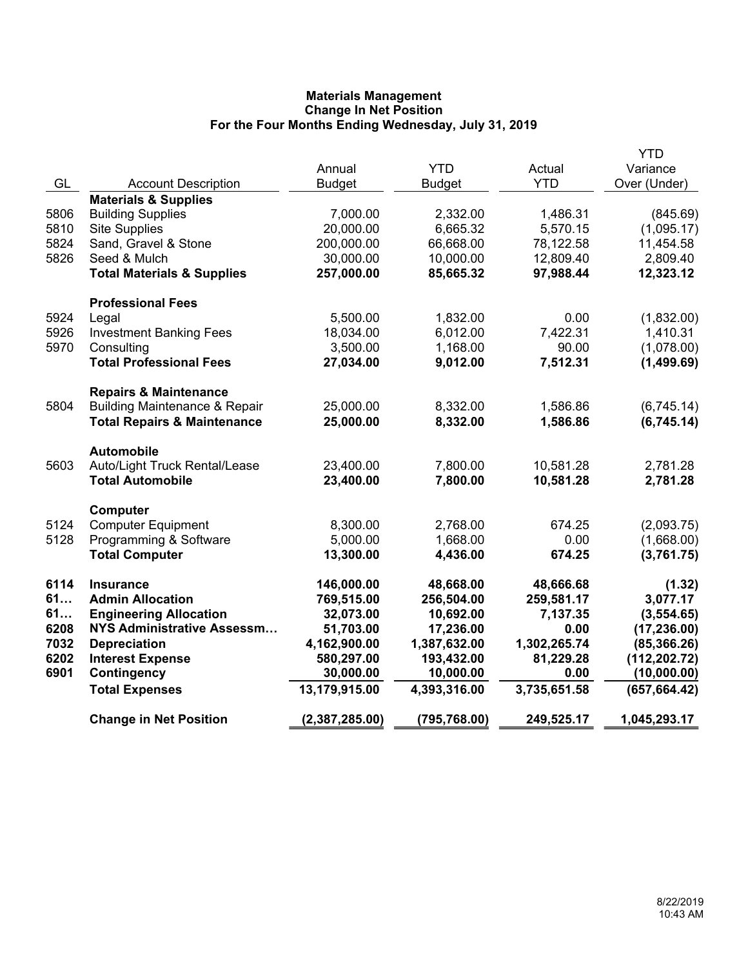|      |                                                               |                |               |                      | YTD                      |
|------|---------------------------------------------------------------|----------------|---------------|----------------------|--------------------------|
|      |                                                               | Annual         | <b>YTD</b>    | Actual<br><b>YTD</b> | Variance<br>Over (Under) |
| GL   | <b>Account Description</b><br><b>Materials &amp; Supplies</b> | <b>Budget</b>  | <b>Budget</b> |                      |                          |
| 5806 | <b>Building Supplies</b>                                      | 7,000.00       | 2,332.00      | 1,486.31             | (845.69)                 |
| 5810 | <b>Site Supplies</b>                                          | 20,000.00      | 6,665.32      | 5,570.15             | (1,095.17)               |
| 5824 | Sand, Gravel & Stone                                          | 200,000.00     | 66,668.00     | 78,122.58            | 11,454.58                |
| 5826 | Seed & Mulch                                                  | 30,000.00      | 10,000.00     | 12,809.40            | 2,809.40                 |
|      | <b>Total Materials &amp; Supplies</b>                         | 257,000.00     | 85,665.32     | 97,988.44            | 12,323.12                |
|      | <b>Professional Fees</b>                                      |                |               |                      |                          |
| 5924 | Legal                                                         | 5,500.00       | 1,832.00      | 0.00                 | (1,832.00)               |
| 5926 | <b>Investment Banking Fees</b>                                | 18,034.00      | 6,012.00      | 7,422.31             | 1,410.31                 |
| 5970 | Consulting                                                    | 3,500.00       | 1,168.00      | 90.00                | (1,078.00)               |
|      | <b>Total Professional Fees</b>                                | 27,034.00      | 9,012.00      | 7,512.31             | (1,499.69)               |
|      | <b>Repairs &amp; Maintenance</b>                              |                |               |                      |                          |
| 5804 | <b>Building Maintenance &amp; Repair</b>                      | 25,000.00      | 8,332.00      | 1,586.86             | (6,745.14)               |
|      | <b>Total Repairs &amp; Maintenance</b>                        | 25,000.00      | 8,332.00      | 1,586.86             | (6,745.14)               |
|      | <b>Automobile</b>                                             |                |               |                      |                          |
| 5603 | Auto/Light Truck Rental/Lease                                 | 23,400.00      | 7,800.00      | 10,581.28            | 2,781.28                 |
|      | <b>Total Automobile</b>                                       | 23,400.00      | 7,800.00      | 10,581.28            | 2,781.28                 |
|      | Computer                                                      |                |               |                      |                          |
| 5124 | <b>Computer Equipment</b>                                     | 8,300.00       | 2,768.00      | 674.25               | (2,093.75)               |
| 5128 | Programming & Software                                        | 5,000.00       | 1,668.00      | 0.00                 | (1,668.00)               |
|      | <b>Total Computer</b>                                         | 13,300.00      | 4,436.00      | 674.25               | (3,761.75)               |
| 6114 | <b>Insurance</b>                                              | 146,000.00     | 48,668.00     | 48,666.68            | (1.32)                   |
| 61   | <b>Admin Allocation</b>                                       | 769,515.00     | 256,504.00    | 259,581.17           | 3,077.17                 |
| 61   | <b>Engineering Allocation</b>                                 | 32,073.00      | 10,692.00     | 7,137.35             | (3,554.65)               |
| 6208 | <b>NYS Administrative Assessm</b>                             | 51,703.00      | 17,236.00     | 0.00                 | (17, 236.00)             |
| 7032 | <b>Depreciation</b>                                           | 4,162,900.00   | 1,387,632.00  | 1,302,265.74         | (85, 366.26)             |
| 6202 | <b>Interest Expense</b>                                       | 580,297.00     | 193,432.00    | 81,229.28            | (112, 202.72)            |
| 6901 | Contingency                                                   | 30,000.00      | 10,000.00     | 0.00                 | (10,000.00)              |
|      | <b>Total Expenses</b>                                         | 13,179,915.00  | 4,393,316.00  | 3,735,651.58         | (657, 664.42)            |
|      | <b>Change in Net Position</b>                                 | (2,387,285.00) | (795, 768.00) | 249,525.17           | 1,045,293.17             |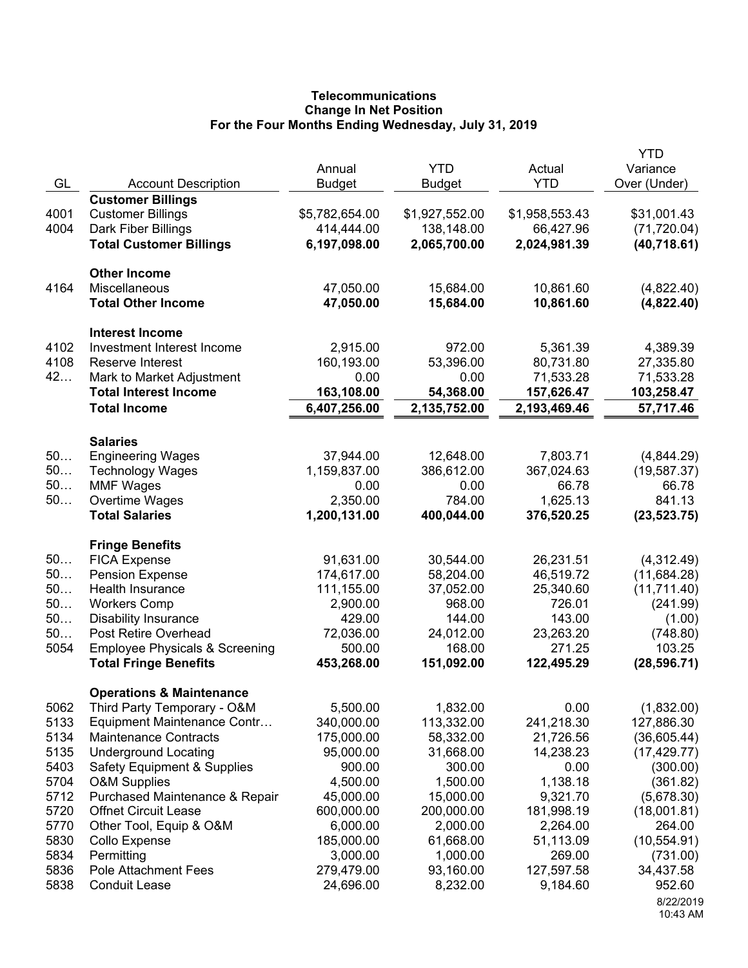# **Telecommunications Change In Net Position For the Four Months Ending Wednesday, July 31, 2019**

|          |                                           | Annual                 | <b>YTD</b>          | Actual              | <b>YTD</b><br>Variance |
|----------|-------------------------------------------|------------------------|---------------------|---------------------|------------------------|
| GL       | <b>Account Description</b>                | <b>Budget</b>          | <b>Budget</b>       | <b>YTD</b>          | Over (Under)           |
|          | <b>Customer Billings</b>                  |                        |                     |                     |                        |
| 4001     | <b>Customer Billings</b>                  | \$5,782,654.00         | \$1,927,552.00      | \$1,958,553.43      | \$31,001.43            |
| 4004     | Dark Fiber Billings                       | 414,444.00             | 138,148.00          | 66,427.96           | (71, 720.04)           |
|          | <b>Total Customer Billings</b>            | 6,197,098.00           | 2,065,700.00        | 2,024,981.39        | (40, 718.61)           |
|          | <b>Other Income</b>                       |                        |                     |                     |                        |
| 4164     | Miscellaneous                             | 47,050.00              | 15,684.00           | 10,861.60           | (4,822.40)             |
|          | <b>Total Other Income</b>                 | 47,050.00              | 15,684.00           | 10,861.60           | (4,822.40)             |
|          | <b>Interest Income</b>                    |                        |                     |                     |                        |
| 4102     | Investment Interest Income                | 2,915.00               | 972.00              | 5,361.39            | 4,389.39               |
| 4108     | Reserve Interest                          | 160,193.00             | 53,396.00           | 80,731.80           | 27,335.80              |
| 42       | Mark to Market Adjustment                 | 0.00                   | 0.00                | 71,533.28           | 71,533.28              |
|          | <b>Total Interest Income</b>              | 163,108.00             | 54,368.00           | 157,626.47          | 103,258.47             |
|          | <b>Total Income</b>                       | 6,407,256.00           | 2,135,752.00        | 2,193,469.46        | 57,717.46              |
|          | <b>Salaries</b>                           |                        |                     |                     |                        |
| 50       | <b>Engineering Wages</b>                  | 37,944.00              | 12,648.00           | 7,803.71            | (4,844.29)             |
| 50       | <b>Technology Wages</b>                   | 1,159,837.00           | 386,612.00          | 367,024.63          | (19, 587.37)           |
| 50       | <b>MMF Wages</b>                          | 0.00                   | 0.00                | 66.78               | 66.78                  |
| 50       | Overtime Wages                            | 2,350.00               | 784.00              | 1,625.13            | 841.13                 |
|          | <b>Total Salaries</b>                     | 1,200,131.00           | 400,044.00          | 376,520.25          | (23, 523.75)           |
|          | <b>Fringe Benefits</b>                    |                        |                     |                     |                        |
| 50       | <b>FICA Expense</b>                       | 91,631.00              | 30,544.00           | 26,231.51           | (4,312.49)             |
| 50<br>50 | <b>Pension Expense</b>                    | 174,617.00             | 58,204.00           | 46,519.72           | (11,684.28)            |
| 50       | Health Insurance<br><b>Workers Comp</b>   | 111,155.00<br>2,900.00 | 37,052.00<br>968.00 | 25,340.60<br>726.01 | (11,711.40)            |
| 50       | <b>Disability Insurance</b>               | 429.00                 | 144.00              | 143.00              | (241.99)               |
| 50       | Post Retire Overhead                      | 72,036.00              | 24,012.00           | 23,263.20           | (1.00)<br>(748.80)     |
| 5054     | <b>Employee Physicals &amp; Screening</b> | 500.00                 | 168.00              | 271.25              | 103.25                 |
|          | <b>Total Fringe Benefits</b>              | 453,268.00             | 151,092.00          | 122,495.29          | (28, 596.71)           |
|          | <b>Operations &amp; Maintenance</b>       |                        |                     |                     |                        |
| 5062     | Third Party Temporary - O&M               | 5,500.00               | 1,832.00            | 0.00                | (1,832.00)             |
| 5133     | Equipment Maintenance Contr               | 340,000.00             | 113,332.00          | 241,218.30          | 127,886.30             |
| 5134     | <b>Maintenance Contracts</b>              | 175,000.00             | 58,332.00           | 21,726.56           | (36,605.44)            |
| 5135     | <b>Underground Locating</b>               | 95,000.00              | 31,668.00           | 14,238.23           | (17, 429.77)           |
| 5403     | <b>Safety Equipment &amp; Supplies</b>    | 900.00                 | 300.00              | 0.00                | (300.00)               |
| 5704     | <b>O&amp;M Supplies</b>                   | 4,500.00               | 1,500.00            | 1,138.18            | (361.82)               |
| 5712     | Purchased Maintenance & Repair            | 45,000.00              | 15,000.00           | 9,321.70            | (5,678.30)             |
| 5720     | <b>Offnet Circuit Lease</b>               | 600,000.00             | 200,000.00          | 181,998.19          | (18,001.81)            |
| 5770     | Other Tool, Equip & O&M                   | 6,000.00               | 2,000.00            | 2,264.00            | 264.00                 |
| 5830     | Collo Expense                             | 185,000.00             | 61,668.00           | 51,113.09           | (10, 554.91)           |
| 5834     | Permitting                                | 3,000.00               | 1,000.00            | 269.00              | (731.00)               |
| 5836     | <b>Pole Attachment Fees</b>               | 279,479.00             | 93,160.00           | 127,597.58          | 34,437.58              |
| 5838     | <b>Conduit Lease</b>                      | 24,696.00              | 8,232.00            | 9,184.60            | 952.60                 |
|          |                                           |                        |                     |                     | 8/22/2019<br>10:43 AM  |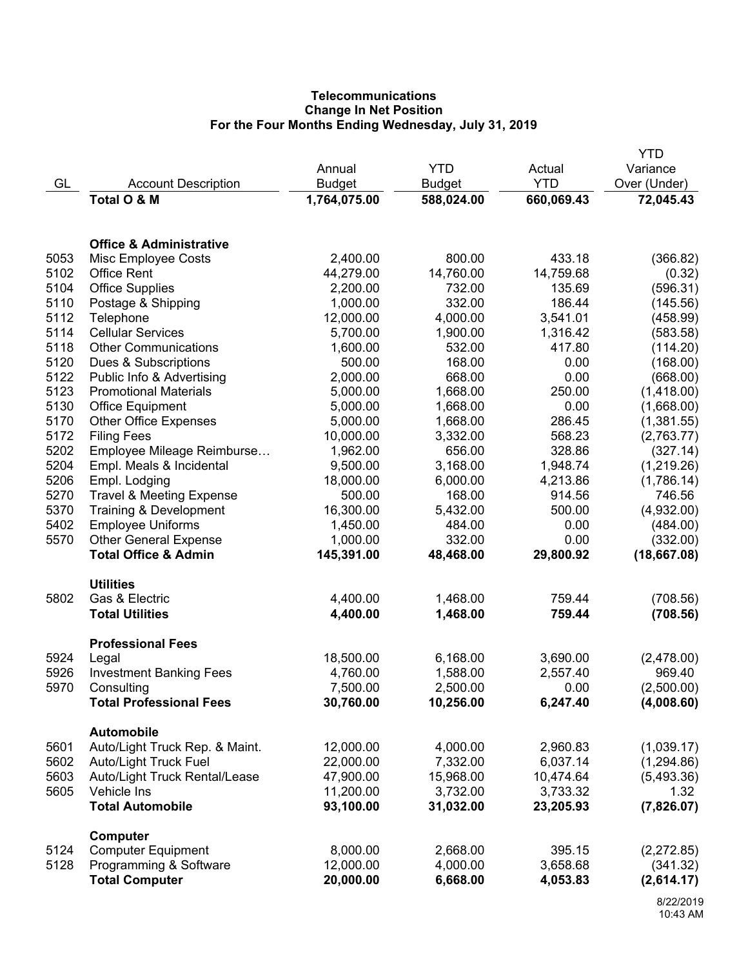# **Telecommunications Change In Net Position For the Four Months Ending Wednesday, July 31, 2019**

|      |                                     |               |               |            | YTD          |
|------|-------------------------------------|---------------|---------------|------------|--------------|
|      |                                     | Annual        | <b>YTD</b>    | Actual     | Variance     |
| GL   | <b>Account Description</b>          | <b>Budget</b> | <b>Budget</b> | <b>YTD</b> | Over (Under) |
|      | Total O & M                         | 1,764,075.00  | 588,024.00    | 660,069.43 | 72,045.43    |
|      | <b>Office &amp; Administrative</b>  |               |               |            |              |
| 5053 | Misc Employee Costs                 | 2,400.00      | 800.00        | 433.18     | (366.82)     |
| 5102 | <b>Office Rent</b>                  | 44,279.00     | 14,760.00     | 14,759.68  | (0.32)       |
| 5104 | <b>Office Supplies</b>              | 2,200.00      | 732.00        | 135.69     | (596.31)     |
| 5110 | Postage & Shipping                  | 1,000.00      | 332.00        | 186.44     | (145.56)     |
| 5112 | Telephone                           | 12,000.00     | 4,000.00      | 3,541.01   | (458.99)     |
| 5114 | <b>Cellular Services</b>            | 5,700.00      | 1,900.00      | 1,316.42   | (583.58)     |
| 5118 | <b>Other Communications</b>         | 1,600.00      | 532.00        | 417.80     | (114.20)     |
| 5120 | Dues & Subscriptions                | 500.00        | 168.00        | 0.00       | (168.00)     |
| 5122 | Public Info & Advertising           | 2,000.00      | 668.00        | 0.00       | (668.00)     |
| 5123 | <b>Promotional Materials</b>        | 5,000.00      | 1,668.00      | 250.00     | (1,418.00)   |
| 5130 | <b>Office Equipment</b>             | 5,000.00      | 1,668.00      | 0.00       | (1,668.00)   |
| 5170 | <b>Other Office Expenses</b>        | 5,000.00      | 1,668.00      | 286.45     | (1,381.55)   |
| 5172 | <b>Filing Fees</b>                  | 10,000.00     | 3,332.00      | 568.23     | (2,763.77)   |
| 5202 | Employee Mileage Reimburse          | 1,962.00      | 656.00        | 328.86     | (327.14)     |
| 5204 | Empl. Meals & Incidental            | 9,500.00      | 3,168.00      | 1,948.74   | (1,219.26)   |
| 5206 | Empl. Lodging                       | 18,000.00     | 6,000.00      | 4,213.86   | (1,786.14)   |
| 5270 | <b>Travel &amp; Meeting Expense</b> | 500.00        | 168.00        | 914.56     | 746.56       |
| 5370 | Training & Development              | 16,300.00     | 5,432.00      | 500.00     | (4,932.00)   |
| 5402 | <b>Employee Uniforms</b>            | 1,450.00      | 484.00        | 0.00       | (484.00)     |
| 5570 | <b>Other General Expense</b>        | 1,000.00      | 332.00        | 0.00       | (332.00)     |
|      | <b>Total Office &amp; Admin</b>     | 145,391.00    | 48,468.00     | 29,800.92  | (18,667.08)  |
| 5802 | <b>Utilities</b><br>Gas & Electric  | 4,400.00      | 1,468.00      | 759.44     | (708.56)     |
|      | <b>Total Utilities</b>              | 4,400.00      | 1,468.00      | 759.44     |              |
|      |                                     |               |               |            | (708.56)     |
| 5924 | <b>Professional Fees</b><br>Legal   | 18,500.00     | 6,168.00      | 3,690.00   | (2,478.00)   |
| 5926 | <b>Investment Banking Fees</b>      | 4,760.00      | 1,588.00      | 2,557.40   | 969.40       |
| 5970 | Consulting                          | 7,500.00      | 2,500.00      | 0.00       | (2,500.00)   |
|      | <b>Total Professional Fees</b>      | 30,760.00     | 10,256.00     | 6,247.40   | (4,008.60)   |
|      | <b>Automobile</b>                   |               |               |            |              |
| 5601 | Auto/Light Truck Rep. & Maint.      | 12,000.00     | 4,000.00      | 2,960.83   | (1,039.17)   |
| 5602 | <b>Auto/Light Truck Fuel</b>        | 22,000.00     | 7,332.00      | 6,037.14   | (1, 294.86)  |
| 5603 | Auto/Light Truck Rental/Lease       | 47,900.00     | 15,968.00     | 10,474.64  | (5,493.36)   |
| 5605 | Vehicle Ins                         | 11,200.00     | 3,732.00      | 3,733.32   | 1.32         |
|      | <b>Total Automobile</b>             | 93,100.00     | 31,032.00     | 23,205.93  | (7,826.07)   |
|      | <b>Computer</b>                     |               |               |            |              |
| 5124 | <b>Computer Equipment</b>           | 8,000.00      | 2,668.00      | 395.15     | (2,272.85)   |
| 5128 | Programming & Software              | 12,000.00     | 4,000.00      | 3,658.68   | (341.32)     |
|      | <b>Total Computer</b>               | 20,000.00     | 6,668.00      | 4,053.83   | (2,614.17)   |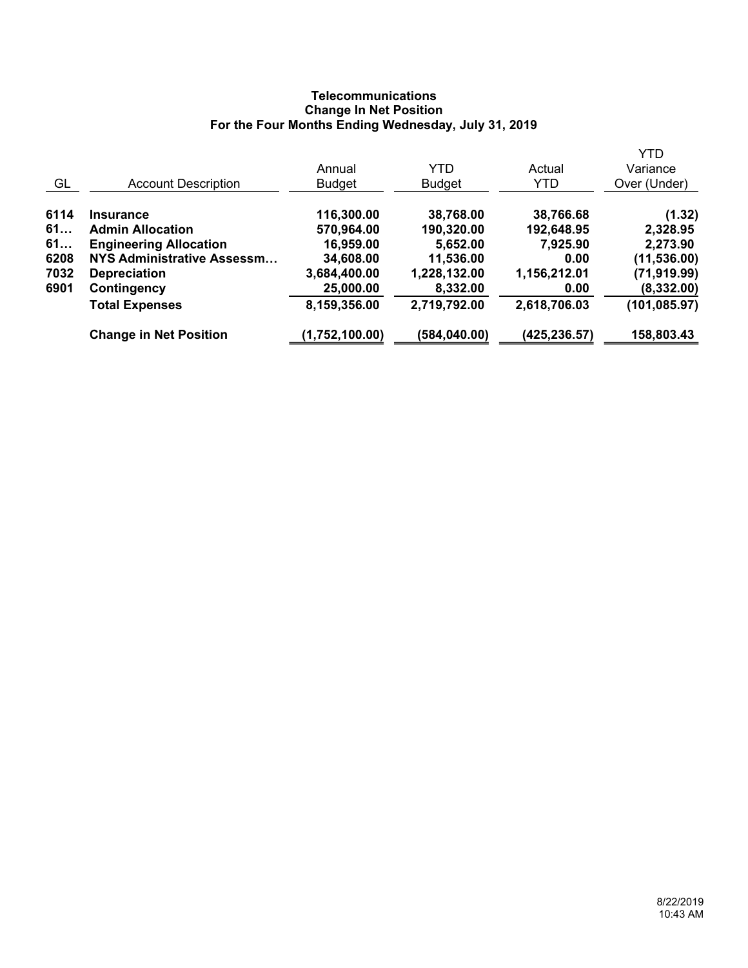# **Telecommunications Change In Net Position For the Four Months Ending Wednesday, July 31, 2019**

|      |                               |                |               |               | <b>YTD</b>    |
|------|-------------------------------|----------------|---------------|---------------|---------------|
|      |                               | Annual         | <b>YTD</b>    | Actual        | Variance      |
| GL   | <b>Account Description</b>    | <b>Budget</b>  | <b>Budget</b> | <b>YTD</b>    | Over (Under)  |
| 6114 | <b>Insurance</b>              | 116,300.00     | 38,768.00     | 38,766.68     | (1.32)        |
| 61   | <b>Admin Allocation</b>       | 570,964.00     | 190,320.00    | 192,648.95    | 2,328.95      |
| 61   | <b>Engineering Allocation</b> | 16,959.00      | 5,652.00      | 7,925.90      | 2,273.90      |
| 6208 | NYS Administrative Assessm    | 34,608.00      | 11,536.00     | 0.00          | (11, 536.00)  |
| 7032 | <b>Depreciation</b>           | 3,684,400.00   | 1,228,132.00  | 1,156,212.01  | (71, 919.99)  |
| 6901 | Contingency                   | 25,000.00      | 8,332.00      | 0.00          | (8,332.00)    |
|      | <b>Total Expenses</b>         | 8,159,356.00   | 2,719,792.00  | 2,618,706.03  | (101, 085.97) |
|      | <b>Change in Net Position</b> | (1,752,100.00) | (584, 040.00) | (425, 236.57) | 158,803.43    |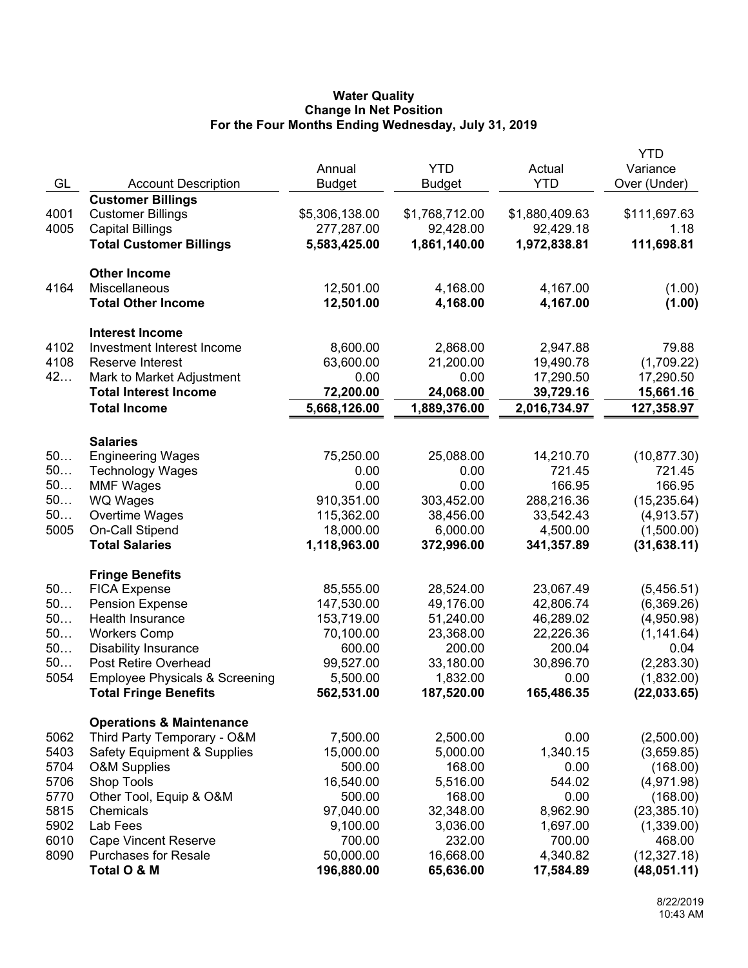## **Water Quality Change In Net Position For the Four Months Ending Wednesday, July 31, 2019**

| <b>YTD</b><br>Annual<br>Actual<br>Variance<br><b>YTD</b><br>GL<br>Over (Under)<br><b>Account Description</b><br><b>Budget</b><br><b>Budget</b><br><b>Customer Billings</b><br>4001<br>\$5,306,138.00<br>\$1,768,712.00<br>\$1,880,409.63<br><b>Customer Billings</b><br>\$111,697.63<br>4005<br><b>Capital Billings</b><br>277,287.00<br>92,428.00<br>92,429.18<br>1.18<br>111,698.81<br><b>Total Customer Billings</b><br>5,583,425.00<br>1,861,140.00<br>1,972,838.81<br><b>Other Income</b><br>4164<br>Miscellaneous<br>12,501.00<br>4,168.00<br>4,167.00<br>(1.00)<br><b>Total Other Income</b><br>12,501.00<br>4,168.00<br>4,167.00<br>(1.00)<br><b>Interest Income</b><br>4102<br>Investment Interest Income<br>8,600.00<br>2,868.00<br>79.88<br>2,947.88<br>4108<br>Reserve Interest<br>63,600.00<br>21,200.00<br>19,490.78<br>(1,709.22)<br>42<br>0.00<br>0.00<br>Mark to Market Adjustment<br>17,290.50<br>17,290.50<br><b>Total Interest Income</b><br>72,200.00<br>24,068.00<br>39,729.16<br>15,661.16<br><b>Total Income</b><br>5,668,126.00<br>1,889,376.00<br>2,016,734.97<br>127,358.97<br><b>Salaries</b><br>50<br><b>Engineering Wages</b><br>75,250.00<br>25,088.00<br>14,210.70<br>(10, 877.30)<br>50<br>721.45<br>721.45<br><b>Technology Wages</b><br>0.00<br>0.00<br>50<br>166.95<br>0.00<br>0.00<br>166.95<br><b>MMF Wages</b><br>50<br>WQ Wages<br>910,351.00<br>303,452.00<br>288,216.36<br>(15, 235.64)<br>50<br>Overtime Wages<br>115,362.00<br>38,456.00<br>33,542.43<br>(4,913.57)<br>5005<br>On-Call Stipend<br>18,000.00<br>4,500.00<br>(1,500.00)<br>6,000.00<br><b>Total Salaries</b><br>1,118,963.00<br>(31, 638.11)<br>372,996.00<br>341,357.89<br><b>Fringe Benefits</b><br>50<br>85,555.00<br>28,524.00<br>23,067.49<br>(5,456.51)<br><b>FICA Expense</b><br>50<br>147,530.00<br><b>Pension Expense</b><br>49,176.00<br>42,806.74<br>(6,369.26)<br>50<br>Health Insurance<br>153,719.00<br>51,240.00<br>46,289.02<br>(4,950.98)<br>50<br><b>Workers Comp</b><br>70,100.00<br>22,226.36<br>23,368.00<br>(1, 141.64)<br>50<br><b>Disability Insurance</b><br>600.00<br>200.00<br>200.04<br>0.04<br>50<br>Post Retire Overhead<br>99,527.00<br>33,180.00<br>30,896.70<br>(2, 283.30)<br>5054<br>1,832.00<br><b>Employee Physicals &amp; Screening</b><br>5,500.00<br>0.00<br>(1,832.00)<br>562,531.00<br>187,520.00<br>165,486.35<br>(22, 033.65)<br><b>Total Fringe Benefits</b><br><b>Operations &amp; Maintenance</b><br>Third Party Temporary - O&M<br>7,500.00<br>2,500.00<br>0.00<br>(2,500.00)<br>5062<br>5403<br>15,000.00<br>1,340.15<br><b>Safety Equipment &amp; Supplies</b><br>5,000.00<br>(3,659.85)<br>5704<br>500.00<br>168.00<br><b>O&amp;M Supplies</b><br>0.00<br>(168.00)<br>5706<br>Shop Tools<br>16,540.00<br>5,516.00<br>544.02<br>(4,971.98)<br>5770<br>Other Tool, Equip & O&M<br>500.00<br>168.00<br>0.00<br>(168.00)<br>5815<br>97,040.00<br>32,348.00<br>8,962.90<br>(23, 385.10)<br>Chemicals<br>5902<br>Lab Fees<br>9,100.00<br>3,036.00<br>1,697.00<br>(1,339.00)<br>6010<br><b>Cape Vincent Reserve</b><br>700.00<br>232.00<br>700.00<br>468.00<br>8090<br><b>Purchases for Resale</b><br>50,000.00<br>16,668.00<br>4,340.82<br>(12, 327.18)<br>Total O & M<br>196,880.00<br>65,636.00<br>17,584.89<br>(48,051.11) |  |  | <b>YTD</b> |
|--------------------------------------------------------------------------------------------------------------------------------------------------------------------------------------------------------------------------------------------------------------------------------------------------------------------------------------------------------------------------------------------------------------------------------------------------------------------------------------------------------------------------------------------------------------------------------------------------------------------------------------------------------------------------------------------------------------------------------------------------------------------------------------------------------------------------------------------------------------------------------------------------------------------------------------------------------------------------------------------------------------------------------------------------------------------------------------------------------------------------------------------------------------------------------------------------------------------------------------------------------------------------------------------------------------------------------------------------------------------------------------------------------------------------------------------------------------------------------------------------------------------------------------------------------------------------------------------------------------------------------------------------------------------------------------------------------------------------------------------------------------------------------------------------------------------------------------------------------------------------------------------------------------------------------------------------------------------------------------------------------------------------------------------------------------------------------------------------------------------------------------------------------------------------------------------------------------------------------------------------------------------------------------------------------------------------------------------------------------------------------------------------------------------------------------------------------------------------------------------------------------------------------------------------------------------------------------------------------------------------------------------------------------------------------------------------------------------------------------------------------------------------------------------------------------------------------------------------------------------------------------------------------------------------------------------------------------------------------------------------------------------------------------------------------------------------------------------------------------------------------------------------------------------------------------------------------------------------------------------------------------------------------------|--|--|------------|
|                                                                                                                                                                                                                                                                                                                                                                                                                                                                                                                                                                                                                                                                                                                                                                                                                                                                                                                                                                                                                                                                                                                                                                                                                                                                                                                                                                                                                                                                                                                                                                                                                                                                                                                                                                                                                                                                                                                                                                                                                                                                                                                                                                                                                                                                                                                                                                                                                                                                                                                                                                                                                                                                                                                                                                                                                                                                                                                                                                                                                                                                                                                                                                                                                                                                                      |  |  |            |
|                                                                                                                                                                                                                                                                                                                                                                                                                                                                                                                                                                                                                                                                                                                                                                                                                                                                                                                                                                                                                                                                                                                                                                                                                                                                                                                                                                                                                                                                                                                                                                                                                                                                                                                                                                                                                                                                                                                                                                                                                                                                                                                                                                                                                                                                                                                                                                                                                                                                                                                                                                                                                                                                                                                                                                                                                                                                                                                                                                                                                                                                                                                                                                                                                                                                                      |  |  |            |
|                                                                                                                                                                                                                                                                                                                                                                                                                                                                                                                                                                                                                                                                                                                                                                                                                                                                                                                                                                                                                                                                                                                                                                                                                                                                                                                                                                                                                                                                                                                                                                                                                                                                                                                                                                                                                                                                                                                                                                                                                                                                                                                                                                                                                                                                                                                                                                                                                                                                                                                                                                                                                                                                                                                                                                                                                                                                                                                                                                                                                                                                                                                                                                                                                                                                                      |  |  |            |
|                                                                                                                                                                                                                                                                                                                                                                                                                                                                                                                                                                                                                                                                                                                                                                                                                                                                                                                                                                                                                                                                                                                                                                                                                                                                                                                                                                                                                                                                                                                                                                                                                                                                                                                                                                                                                                                                                                                                                                                                                                                                                                                                                                                                                                                                                                                                                                                                                                                                                                                                                                                                                                                                                                                                                                                                                                                                                                                                                                                                                                                                                                                                                                                                                                                                                      |  |  |            |
|                                                                                                                                                                                                                                                                                                                                                                                                                                                                                                                                                                                                                                                                                                                                                                                                                                                                                                                                                                                                                                                                                                                                                                                                                                                                                                                                                                                                                                                                                                                                                                                                                                                                                                                                                                                                                                                                                                                                                                                                                                                                                                                                                                                                                                                                                                                                                                                                                                                                                                                                                                                                                                                                                                                                                                                                                                                                                                                                                                                                                                                                                                                                                                                                                                                                                      |  |  |            |
|                                                                                                                                                                                                                                                                                                                                                                                                                                                                                                                                                                                                                                                                                                                                                                                                                                                                                                                                                                                                                                                                                                                                                                                                                                                                                                                                                                                                                                                                                                                                                                                                                                                                                                                                                                                                                                                                                                                                                                                                                                                                                                                                                                                                                                                                                                                                                                                                                                                                                                                                                                                                                                                                                                                                                                                                                                                                                                                                                                                                                                                                                                                                                                                                                                                                                      |  |  |            |
|                                                                                                                                                                                                                                                                                                                                                                                                                                                                                                                                                                                                                                                                                                                                                                                                                                                                                                                                                                                                                                                                                                                                                                                                                                                                                                                                                                                                                                                                                                                                                                                                                                                                                                                                                                                                                                                                                                                                                                                                                                                                                                                                                                                                                                                                                                                                                                                                                                                                                                                                                                                                                                                                                                                                                                                                                                                                                                                                                                                                                                                                                                                                                                                                                                                                                      |  |  |            |
|                                                                                                                                                                                                                                                                                                                                                                                                                                                                                                                                                                                                                                                                                                                                                                                                                                                                                                                                                                                                                                                                                                                                                                                                                                                                                                                                                                                                                                                                                                                                                                                                                                                                                                                                                                                                                                                                                                                                                                                                                                                                                                                                                                                                                                                                                                                                                                                                                                                                                                                                                                                                                                                                                                                                                                                                                                                                                                                                                                                                                                                                                                                                                                                                                                                                                      |  |  |            |
|                                                                                                                                                                                                                                                                                                                                                                                                                                                                                                                                                                                                                                                                                                                                                                                                                                                                                                                                                                                                                                                                                                                                                                                                                                                                                                                                                                                                                                                                                                                                                                                                                                                                                                                                                                                                                                                                                                                                                                                                                                                                                                                                                                                                                                                                                                                                                                                                                                                                                                                                                                                                                                                                                                                                                                                                                                                                                                                                                                                                                                                                                                                                                                                                                                                                                      |  |  |            |
|                                                                                                                                                                                                                                                                                                                                                                                                                                                                                                                                                                                                                                                                                                                                                                                                                                                                                                                                                                                                                                                                                                                                                                                                                                                                                                                                                                                                                                                                                                                                                                                                                                                                                                                                                                                                                                                                                                                                                                                                                                                                                                                                                                                                                                                                                                                                                                                                                                                                                                                                                                                                                                                                                                                                                                                                                                                                                                                                                                                                                                                                                                                                                                                                                                                                                      |  |  |            |
|                                                                                                                                                                                                                                                                                                                                                                                                                                                                                                                                                                                                                                                                                                                                                                                                                                                                                                                                                                                                                                                                                                                                                                                                                                                                                                                                                                                                                                                                                                                                                                                                                                                                                                                                                                                                                                                                                                                                                                                                                                                                                                                                                                                                                                                                                                                                                                                                                                                                                                                                                                                                                                                                                                                                                                                                                                                                                                                                                                                                                                                                                                                                                                                                                                                                                      |  |  |            |
|                                                                                                                                                                                                                                                                                                                                                                                                                                                                                                                                                                                                                                                                                                                                                                                                                                                                                                                                                                                                                                                                                                                                                                                                                                                                                                                                                                                                                                                                                                                                                                                                                                                                                                                                                                                                                                                                                                                                                                                                                                                                                                                                                                                                                                                                                                                                                                                                                                                                                                                                                                                                                                                                                                                                                                                                                                                                                                                                                                                                                                                                                                                                                                                                                                                                                      |  |  |            |
|                                                                                                                                                                                                                                                                                                                                                                                                                                                                                                                                                                                                                                                                                                                                                                                                                                                                                                                                                                                                                                                                                                                                                                                                                                                                                                                                                                                                                                                                                                                                                                                                                                                                                                                                                                                                                                                                                                                                                                                                                                                                                                                                                                                                                                                                                                                                                                                                                                                                                                                                                                                                                                                                                                                                                                                                                                                                                                                                                                                                                                                                                                                                                                                                                                                                                      |  |  |            |
|                                                                                                                                                                                                                                                                                                                                                                                                                                                                                                                                                                                                                                                                                                                                                                                                                                                                                                                                                                                                                                                                                                                                                                                                                                                                                                                                                                                                                                                                                                                                                                                                                                                                                                                                                                                                                                                                                                                                                                                                                                                                                                                                                                                                                                                                                                                                                                                                                                                                                                                                                                                                                                                                                                                                                                                                                                                                                                                                                                                                                                                                                                                                                                                                                                                                                      |  |  |            |
|                                                                                                                                                                                                                                                                                                                                                                                                                                                                                                                                                                                                                                                                                                                                                                                                                                                                                                                                                                                                                                                                                                                                                                                                                                                                                                                                                                                                                                                                                                                                                                                                                                                                                                                                                                                                                                                                                                                                                                                                                                                                                                                                                                                                                                                                                                                                                                                                                                                                                                                                                                                                                                                                                                                                                                                                                                                                                                                                                                                                                                                                                                                                                                                                                                                                                      |  |  |            |
|                                                                                                                                                                                                                                                                                                                                                                                                                                                                                                                                                                                                                                                                                                                                                                                                                                                                                                                                                                                                                                                                                                                                                                                                                                                                                                                                                                                                                                                                                                                                                                                                                                                                                                                                                                                                                                                                                                                                                                                                                                                                                                                                                                                                                                                                                                                                                                                                                                                                                                                                                                                                                                                                                                                                                                                                                                                                                                                                                                                                                                                                                                                                                                                                                                                                                      |  |  |            |
|                                                                                                                                                                                                                                                                                                                                                                                                                                                                                                                                                                                                                                                                                                                                                                                                                                                                                                                                                                                                                                                                                                                                                                                                                                                                                                                                                                                                                                                                                                                                                                                                                                                                                                                                                                                                                                                                                                                                                                                                                                                                                                                                                                                                                                                                                                                                                                                                                                                                                                                                                                                                                                                                                                                                                                                                                                                                                                                                                                                                                                                                                                                                                                                                                                                                                      |  |  |            |
|                                                                                                                                                                                                                                                                                                                                                                                                                                                                                                                                                                                                                                                                                                                                                                                                                                                                                                                                                                                                                                                                                                                                                                                                                                                                                                                                                                                                                                                                                                                                                                                                                                                                                                                                                                                                                                                                                                                                                                                                                                                                                                                                                                                                                                                                                                                                                                                                                                                                                                                                                                                                                                                                                                                                                                                                                                                                                                                                                                                                                                                                                                                                                                                                                                                                                      |  |  |            |
|                                                                                                                                                                                                                                                                                                                                                                                                                                                                                                                                                                                                                                                                                                                                                                                                                                                                                                                                                                                                                                                                                                                                                                                                                                                                                                                                                                                                                                                                                                                                                                                                                                                                                                                                                                                                                                                                                                                                                                                                                                                                                                                                                                                                                                                                                                                                                                                                                                                                                                                                                                                                                                                                                                                                                                                                                                                                                                                                                                                                                                                                                                                                                                                                                                                                                      |  |  |            |
|                                                                                                                                                                                                                                                                                                                                                                                                                                                                                                                                                                                                                                                                                                                                                                                                                                                                                                                                                                                                                                                                                                                                                                                                                                                                                                                                                                                                                                                                                                                                                                                                                                                                                                                                                                                                                                                                                                                                                                                                                                                                                                                                                                                                                                                                                                                                                                                                                                                                                                                                                                                                                                                                                                                                                                                                                                                                                                                                                                                                                                                                                                                                                                                                                                                                                      |  |  |            |
|                                                                                                                                                                                                                                                                                                                                                                                                                                                                                                                                                                                                                                                                                                                                                                                                                                                                                                                                                                                                                                                                                                                                                                                                                                                                                                                                                                                                                                                                                                                                                                                                                                                                                                                                                                                                                                                                                                                                                                                                                                                                                                                                                                                                                                                                                                                                                                                                                                                                                                                                                                                                                                                                                                                                                                                                                                                                                                                                                                                                                                                                                                                                                                                                                                                                                      |  |  |            |
|                                                                                                                                                                                                                                                                                                                                                                                                                                                                                                                                                                                                                                                                                                                                                                                                                                                                                                                                                                                                                                                                                                                                                                                                                                                                                                                                                                                                                                                                                                                                                                                                                                                                                                                                                                                                                                                                                                                                                                                                                                                                                                                                                                                                                                                                                                                                                                                                                                                                                                                                                                                                                                                                                                                                                                                                                                                                                                                                                                                                                                                                                                                                                                                                                                                                                      |  |  |            |
|                                                                                                                                                                                                                                                                                                                                                                                                                                                                                                                                                                                                                                                                                                                                                                                                                                                                                                                                                                                                                                                                                                                                                                                                                                                                                                                                                                                                                                                                                                                                                                                                                                                                                                                                                                                                                                                                                                                                                                                                                                                                                                                                                                                                                                                                                                                                                                                                                                                                                                                                                                                                                                                                                                                                                                                                                                                                                                                                                                                                                                                                                                                                                                                                                                                                                      |  |  |            |
|                                                                                                                                                                                                                                                                                                                                                                                                                                                                                                                                                                                                                                                                                                                                                                                                                                                                                                                                                                                                                                                                                                                                                                                                                                                                                                                                                                                                                                                                                                                                                                                                                                                                                                                                                                                                                                                                                                                                                                                                                                                                                                                                                                                                                                                                                                                                                                                                                                                                                                                                                                                                                                                                                                                                                                                                                                                                                                                                                                                                                                                                                                                                                                                                                                                                                      |  |  |            |
|                                                                                                                                                                                                                                                                                                                                                                                                                                                                                                                                                                                                                                                                                                                                                                                                                                                                                                                                                                                                                                                                                                                                                                                                                                                                                                                                                                                                                                                                                                                                                                                                                                                                                                                                                                                                                                                                                                                                                                                                                                                                                                                                                                                                                                                                                                                                                                                                                                                                                                                                                                                                                                                                                                                                                                                                                                                                                                                                                                                                                                                                                                                                                                                                                                                                                      |  |  |            |
|                                                                                                                                                                                                                                                                                                                                                                                                                                                                                                                                                                                                                                                                                                                                                                                                                                                                                                                                                                                                                                                                                                                                                                                                                                                                                                                                                                                                                                                                                                                                                                                                                                                                                                                                                                                                                                                                                                                                                                                                                                                                                                                                                                                                                                                                                                                                                                                                                                                                                                                                                                                                                                                                                                                                                                                                                                                                                                                                                                                                                                                                                                                                                                                                                                                                                      |  |  |            |
|                                                                                                                                                                                                                                                                                                                                                                                                                                                                                                                                                                                                                                                                                                                                                                                                                                                                                                                                                                                                                                                                                                                                                                                                                                                                                                                                                                                                                                                                                                                                                                                                                                                                                                                                                                                                                                                                                                                                                                                                                                                                                                                                                                                                                                                                                                                                                                                                                                                                                                                                                                                                                                                                                                                                                                                                                                                                                                                                                                                                                                                                                                                                                                                                                                                                                      |  |  |            |
|                                                                                                                                                                                                                                                                                                                                                                                                                                                                                                                                                                                                                                                                                                                                                                                                                                                                                                                                                                                                                                                                                                                                                                                                                                                                                                                                                                                                                                                                                                                                                                                                                                                                                                                                                                                                                                                                                                                                                                                                                                                                                                                                                                                                                                                                                                                                                                                                                                                                                                                                                                                                                                                                                                                                                                                                                                                                                                                                                                                                                                                                                                                                                                                                                                                                                      |  |  |            |
|                                                                                                                                                                                                                                                                                                                                                                                                                                                                                                                                                                                                                                                                                                                                                                                                                                                                                                                                                                                                                                                                                                                                                                                                                                                                                                                                                                                                                                                                                                                                                                                                                                                                                                                                                                                                                                                                                                                                                                                                                                                                                                                                                                                                                                                                                                                                                                                                                                                                                                                                                                                                                                                                                                                                                                                                                                                                                                                                                                                                                                                                                                                                                                                                                                                                                      |  |  |            |
|                                                                                                                                                                                                                                                                                                                                                                                                                                                                                                                                                                                                                                                                                                                                                                                                                                                                                                                                                                                                                                                                                                                                                                                                                                                                                                                                                                                                                                                                                                                                                                                                                                                                                                                                                                                                                                                                                                                                                                                                                                                                                                                                                                                                                                                                                                                                                                                                                                                                                                                                                                                                                                                                                                                                                                                                                                                                                                                                                                                                                                                                                                                                                                                                                                                                                      |  |  |            |
|                                                                                                                                                                                                                                                                                                                                                                                                                                                                                                                                                                                                                                                                                                                                                                                                                                                                                                                                                                                                                                                                                                                                                                                                                                                                                                                                                                                                                                                                                                                                                                                                                                                                                                                                                                                                                                                                                                                                                                                                                                                                                                                                                                                                                                                                                                                                                                                                                                                                                                                                                                                                                                                                                                                                                                                                                                                                                                                                                                                                                                                                                                                                                                                                                                                                                      |  |  |            |
|                                                                                                                                                                                                                                                                                                                                                                                                                                                                                                                                                                                                                                                                                                                                                                                                                                                                                                                                                                                                                                                                                                                                                                                                                                                                                                                                                                                                                                                                                                                                                                                                                                                                                                                                                                                                                                                                                                                                                                                                                                                                                                                                                                                                                                                                                                                                                                                                                                                                                                                                                                                                                                                                                                                                                                                                                                                                                                                                                                                                                                                                                                                                                                                                                                                                                      |  |  |            |
|                                                                                                                                                                                                                                                                                                                                                                                                                                                                                                                                                                                                                                                                                                                                                                                                                                                                                                                                                                                                                                                                                                                                                                                                                                                                                                                                                                                                                                                                                                                                                                                                                                                                                                                                                                                                                                                                                                                                                                                                                                                                                                                                                                                                                                                                                                                                                                                                                                                                                                                                                                                                                                                                                                                                                                                                                                                                                                                                                                                                                                                                                                                                                                                                                                                                                      |  |  |            |
|                                                                                                                                                                                                                                                                                                                                                                                                                                                                                                                                                                                                                                                                                                                                                                                                                                                                                                                                                                                                                                                                                                                                                                                                                                                                                                                                                                                                                                                                                                                                                                                                                                                                                                                                                                                                                                                                                                                                                                                                                                                                                                                                                                                                                                                                                                                                                                                                                                                                                                                                                                                                                                                                                                                                                                                                                                                                                                                                                                                                                                                                                                                                                                                                                                                                                      |  |  |            |
|                                                                                                                                                                                                                                                                                                                                                                                                                                                                                                                                                                                                                                                                                                                                                                                                                                                                                                                                                                                                                                                                                                                                                                                                                                                                                                                                                                                                                                                                                                                                                                                                                                                                                                                                                                                                                                                                                                                                                                                                                                                                                                                                                                                                                                                                                                                                                                                                                                                                                                                                                                                                                                                                                                                                                                                                                                                                                                                                                                                                                                                                                                                                                                                                                                                                                      |  |  |            |
|                                                                                                                                                                                                                                                                                                                                                                                                                                                                                                                                                                                                                                                                                                                                                                                                                                                                                                                                                                                                                                                                                                                                                                                                                                                                                                                                                                                                                                                                                                                                                                                                                                                                                                                                                                                                                                                                                                                                                                                                                                                                                                                                                                                                                                                                                                                                                                                                                                                                                                                                                                                                                                                                                                                                                                                                                                                                                                                                                                                                                                                                                                                                                                                                                                                                                      |  |  |            |
|                                                                                                                                                                                                                                                                                                                                                                                                                                                                                                                                                                                                                                                                                                                                                                                                                                                                                                                                                                                                                                                                                                                                                                                                                                                                                                                                                                                                                                                                                                                                                                                                                                                                                                                                                                                                                                                                                                                                                                                                                                                                                                                                                                                                                                                                                                                                                                                                                                                                                                                                                                                                                                                                                                                                                                                                                                                                                                                                                                                                                                                                                                                                                                                                                                                                                      |  |  |            |
|                                                                                                                                                                                                                                                                                                                                                                                                                                                                                                                                                                                                                                                                                                                                                                                                                                                                                                                                                                                                                                                                                                                                                                                                                                                                                                                                                                                                                                                                                                                                                                                                                                                                                                                                                                                                                                                                                                                                                                                                                                                                                                                                                                                                                                                                                                                                                                                                                                                                                                                                                                                                                                                                                                                                                                                                                                                                                                                                                                                                                                                                                                                                                                                                                                                                                      |  |  |            |
|                                                                                                                                                                                                                                                                                                                                                                                                                                                                                                                                                                                                                                                                                                                                                                                                                                                                                                                                                                                                                                                                                                                                                                                                                                                                                                                                                                                                                                                                                                                                                                                                                                                                                                                                                                                                                                                                                                                                                                                                                                                                                                                                                                                                                                                                                                                                                                                                                                                                                                                                                                                                                                                                                                                                                                                                                                                                                                                                                                                                                                                                                                                                                                                                                                                                                      |  |  |            |
|                                                                                                                                                                                                                                                                                                                                                                                                                                                                                                                                                                                                                                                                                                                                                                                                                                                                                                                                                                                                                                                                                                                                                                                                                                                                                                                                                                                                                                                                                                                                                                                                                                                                                                                                                                                                                                                                                                                                                                                                                                                                                                                                                                                                                                                                                                                                                                                                                                                                                                                                                                                                                                                                                                                                                                                                                                                                                                                                                                                                                                                                                                                                                                                                                                                                                      |  |  |            |
|                                                                                                                                                                                                                                                                                                                                                                                                                                                                                                                                                                                                                                                                                                                                                                                                                                                                                                                                                                                                                                                                                                                                                                                                                                                                                                                                                                                                                                                                                                                                                                                                                                                                                                                                                                                                                                                                                                                                                                                                                                                                                                                                                                                                                                                                                                                                                                                                                                                                                                                                                                                                                                                                                                                                                                                                                                                                                                                                                                                                                                                                                                                                                                                                                                                                                      |  |  |            |
|                                                                                                                                                                                                                                                                                                                                                                                                                                                                                                                                                                                                                                                                                                                                                                                                                                                                                                                                                                                                                                                                                                                                                                                                                                                                                                                                                                                                                                                                                                                                                                                                                                                                                                                                                                                                                                                                                                                                                                                                                                                                                                                                                                                                                                                                                                                                                                                                                                                                                                                                                                                                                                                                                                                                                                                                                                                                                                                                                                                                                                                                                                                                                                                                                                                                                      |  |  |            |
|                                                                                                                                                                                                                                                                                                                                                                                                                                                                                                                                                                                                                                                                                                                                                                                                                                                                                                                                                                                                                                                                                                                                                                                                                                                                                                                                                                                                                                                                                                                                                                                                                                                                                                                                                                                                                                                                                                                                                                                                                                                                                                                                                                                                                                                                                                                                                                                                                                                                                                                                                                                                                                                                                                                                                                                                                                                                                                                                                                                                                                                                                                                                                                                                                                                                                      |  |  |            |
|                                                                                                                                                                                                                                                                                                                                                                                                                                                                                                                                                                                                                                                                                                                                                                                                                                                                                                                                                                                                                                                                                                                                                                                                                                                                                                                                                                                                                                                                                                                                                                                                                                                                                                                                                                                                                                                                                                                                                                                                                                                                                                                                                                                                                                                                                                                                                                                                                                                                                                                                                                                                                                                                                                                                                                                                                                                                                                                                                                                                                                                                                                                                                                                                                                                                                      |  |  |            |
|                                                                                                                                                                                                                                                                                                                                                                                                                                                                                                                                                                                                                                                                                                                                                                                                                                                                                                                                                                                                                                                                                                                                                                                                                                                                                                                                                                                                                                                                                                                                                                                                                                                                                                                                                                                                                                                                                                                                                                                                                                                                                                                                                                                                                                                                                                                                                                                                                                                                                                                                                                                                                                                                                                                                                                                                                                                                                                                                                                                                                                                                                                                                                                                                                                                                                      |  |  |            |
|                                                                                                                                                                                                                                                                                                                                                                                                                                                                                                                                                                                                                                                                                                                                                                                                                                                                                                                                                                                                                                                                                                                                                                                                                                                                                                                                                                                                                                                                                                                                                                                                                                                                                                                                                                                                                                                                                                                                                                                                                                                                                                                                                                                                                                                                                                                                                                                                                                                                                                                                                                                                                                                                                                                                                                                                                                                                                                                                                                                                                                                                                                                                                                                                                                                                                      |  |  |            |
|                                                                                                                                                                                                                                                                                                                                                                                                                                                                                                                                                                                                                                                                                                                                                                                                                                                                                                                                                                                                                                                                                                                                                                                                                                                                                                                                                                                                                                                                                                                                                                                                                                                                                                                                                                                                                                                                                                                                                                                                                                                                                                                                                                                                                                                                                                                                                                                                                                                                                                                                                                                                                                                                                                                                                                                                                                                                                                                                                                                                                                                                                                                                                                                                                                                                                      |  |  |            |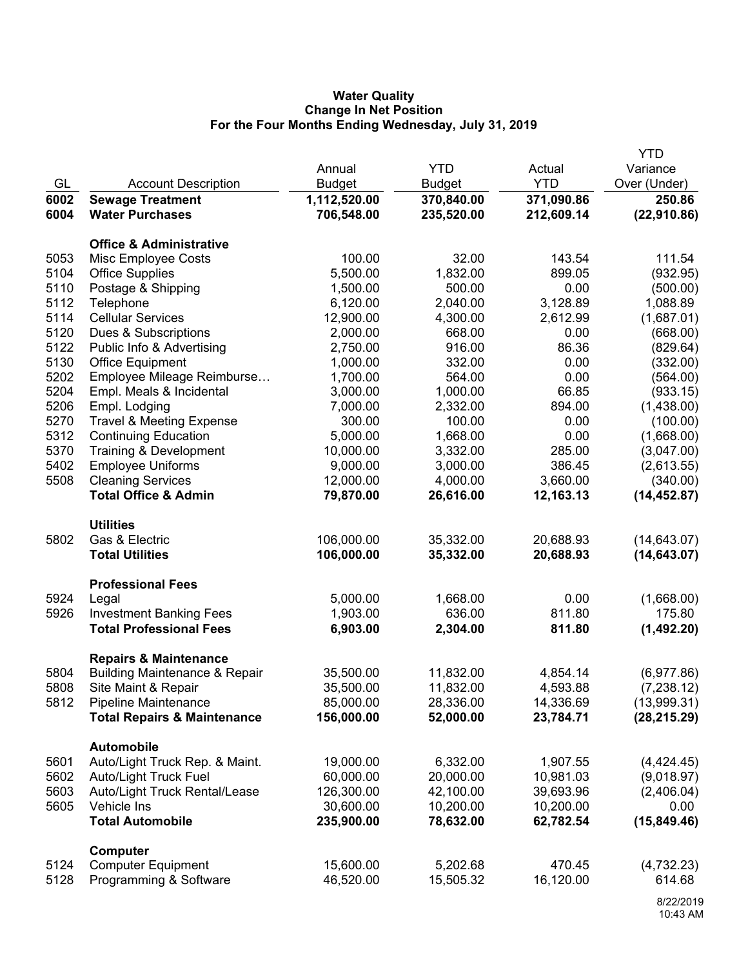## **Water Quality Change In Net Position For the Four Months Ending Wednesday, July 31, 2019**

|      |                                          |               |               |            | <b>YTD</b>   |
|------|------------------------------------------|---------------|---------------|------------|--------------|
|      |                                          | Annual        | <b>YTD</b>    | Actual     | Variance     |
| GL   | <b>Account Description</b>               | <b>Budget</b> | <b>Budget</b> | <b>YTD</b> | Over (Under) |
| 6002 | <b>Sewage Treatment</b>                  | 1,112,520.00  | 370,840.00    | 371,090.86 | 250.86       |
| 6004 | <b>Water Purchases</b>                   | 706,548.00    | 235,520.00    | 212,609.14 | (22, 910.86) |
|      | <b>Office &amp; Administrative</b>       |               |               |            |              |
| 5053 | Misc Employee Costs                      | 100.00        | 32.00         | 143.54     | 111.54       |
| 5104 | <b>Office Supplies</b>                   | 5,500.00      | 1,832.00      | 899.05     | (932.95)     |
| 5110 | Postage & Shipping                       | 1,500.00      | 500.00        | 0.00       | (500.00)     |
| 5112 | Telephone                                | 6,120.00      | 2,040.00      | 3,128.89   | 1,088.89     |
| 5114 | <b>Cellular Services</b>                 | 12,900.00     | 4,300.00      | 2,612.99   | (1,687.01)   |
| 5120 | Dues & Subscriptions                     | 2,000.00      | 668.00        | 0.00       | (668.00)     |
| 5122 | Public Info & Advertising                | 2,750.00      | 916.00        | 86.36      | (829.64)     |
| 5130 | <b>Office Equipment</b>                  | 1,000.00      | 332.00        | 0.00       | (332.00)     |
| 5202 | Employee Mileage Reimburse               | 1,700.00      | 564.00        | 0.00       | (564.00)     |
| 5204 | Empl. Meals & Incidental                 | 3,000.00      | 1,000.00      | 66.85      | (933.15)     |
| 5206 | Empl. Lodging                            | 7,000.00      | 2,332.00      | 894.00     | (1,438.00)   |
| 5270 | <b>Travel &amp; Meeting Expense</b>      | 300.00        | 100.00        | 0.00       | (100.00)     |
| 5312 | <b>Continuing Education</b>              | 5,000.00      | 1,668.00      | 0.00       | (1,668.00)   |
| 5370 | Training & Development                   | 10,000.00     | 3,332.00      | 285.00     | (3,047.00)   |
| 5402 | <b>Employee Uniforms</b>                 | 9,000.00      | 3,000.00      | 386.45     | (2,613.55)   |
| 5508 | <b>Cleaning Services</b>                 | 12,000.00     | 4,000.00      | 3,660.00   | (340.00)     |
|      | <b>Total Office &amp; Admin</b>          | 79,870.00     | 26,616.00     | 12,163.13  | (14, 452.87) |
|      | <b>Utilities</b>                         |               |               |            |              |
| 5802 | Gas & Electric                           | 106,000.00    | 35,332.00     | 20,688.93  | (14, 643.07) |
|      | <b>Total Utilities</b>                   | 106,000.00    | 35,332.00     | 20,688.93  | (14, 643.07) |
|      | <b>Professional Fees</b>                 |               |               |            |              |
| 5924 | Legal                                    | 5,000.00      | 1,668.00      | 0.00       | (1,668.00)   |
| 5926 | <b>Investment Banking Fees</b>           | 1,903.00      | 636.00        | 811.80     | 175.80       |
|      | <b>Total Professional Fees</b>           | 6,903.00      | 2,304.00      | 811.80     | (1,492.20)   |
|      | <b>Repairs &amp; Maintenance</b>         |               |               |            |              |
| 5804 | <b>Building Maintenance &amp; Repair</b> | 35,500.00     | 11,832.00     | 4,854.14   | (6,977.86)   |
| 5808 | Site Maint & Repair                      | 35,500.00     | 11,832.00     | 4,593.88   | (7, 238.12)  |
| 5812 | <b>Pipeline Maintenance</b>              | 85,000.00     | 28,336.00     | 14,336.69  | (13,999.31)  |
|      | <b>Total Repairs &amp; Maintenance</b>   | 156,000.00    | 52,000.00     | 23,784.71  | (28, 215.29) |
|      | <b>Automobile</b>                        |               |               |            |              |
| 5601 | Auto/Light Truck Rep. & Maint.           | 19,000.00     | 6,332.00      | 1,907.55   | (4,424.45)   |
| 5602 | <b>Auto/Light Truck Fuel</b>             | 60,000.00     | 20,000.00     | 10,981.03  | (9,018.97)   |
| 5603 | Auto/Light Truck Rental/Lease            | 126,300.00    | 42,100.00     | 39,693.96  | (2,406.04)   |
| 5605 | Vehicle Ins                              | 30,600.00     | 10,200.00     | 10,200.00  | 0.00         |
|      | <b>Total Automobile</b>                  | 235,900.00    | 78,632.00     | 62,782.54  | (15, 849.46) |
|      | Computer                                 |               |               |            |              |
| 5124 | <b>Computer Equipment</b>                | 15,600.00     | 5,202.68      | 470.45     | (4,732.23)   |
| 5128 | Programming & Software                   | 46,520.00     | 15,505.32     | 16,120.00  | 614.68       |
|      |                                          |               |               |            | 0.0000046    |

<sup>8/22/2019</sup> 10:43 AM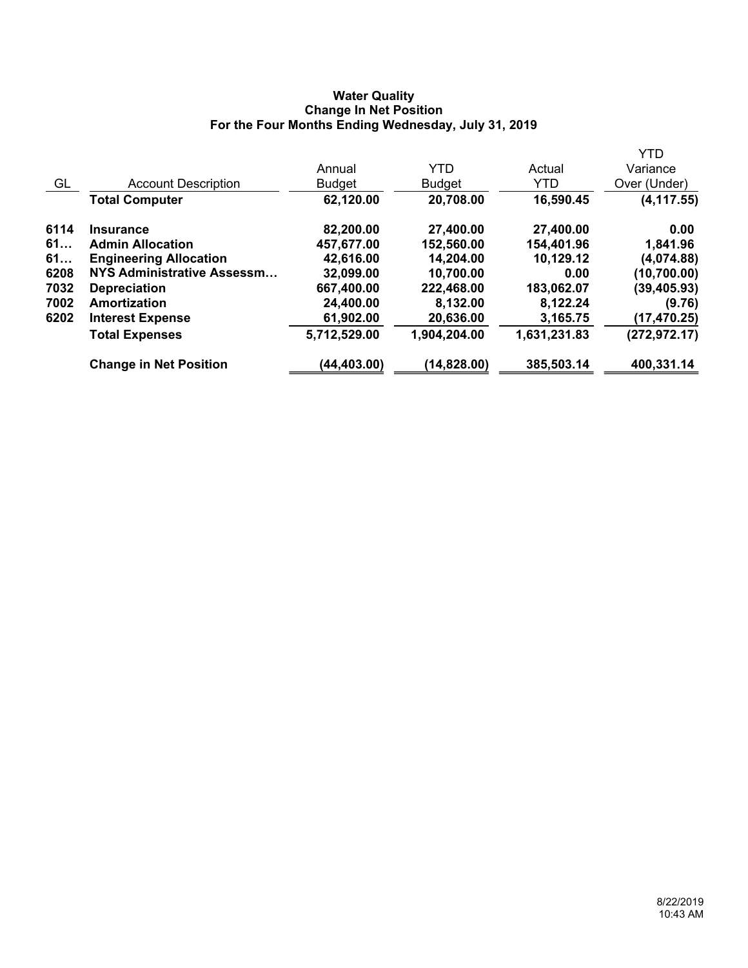## **Water Quality Change In Net Position For the Four Months Ending Wednesday, July 31, 2019**

|      |                                   |               |               |              | <b>YTD</b>    |
|------|-----------------------------------|---------------|---------------|--------------|---------------|
|      |                                   | Annual        | <b>YTD</b>    | Actual       | Variance      |
| GL   | <b>Account Description</b>        | <b>Budget</b> | <b>Budget</b> | <b>YTD</b>   | Over (Under)  |
|      | <b>Total Computer</b>             | 62,120.00     | 20,708.00     | 16,590.45    | (4, 117.55)   |
| 6114 | <b>Insurance</b>                  | 82,200.00     | 27,400.00     | 27,400.00    | 0.00          |
| 61   | <b>Admin Allocation</b>           | 457,677.00    | 152,560.00    | 154,401.96   | 1,841.96      |
| 61   | <b>Engineering Allocation</b>     | 42,616.00     | 14,204.00     | 10,129.12    | (4,074.88)    |
| 6208 | <b>NYS Administrative Assessm</b> | 32,099.00     | 10,700.00     | 0.00         | (10,700.00)   |
| 7032 | <b>Depreciation</b>               | 667,400.00    | 222,468.00    | 183,062.07   | (39, 405.93)  |
| 7002 | Amortization                      | 24,400.00     | 8,132.00      | 8,122.24     | (9.76)        |
| 6202 | <b>Interest Expense</b>           | 61,902.00     | 20,636.00     | 3,165.75     | (17, 470.25)  |
|      | <b>Total Expenses</b>             | 5,712,529.00  | 1,904,204.00  | 1,631,231.83 | (272, 972.17) |
|      | <b>Change in Net Position</b>     | (44,403.00)   | (14,828.00)   | 385,503.14   | 400,331.14    |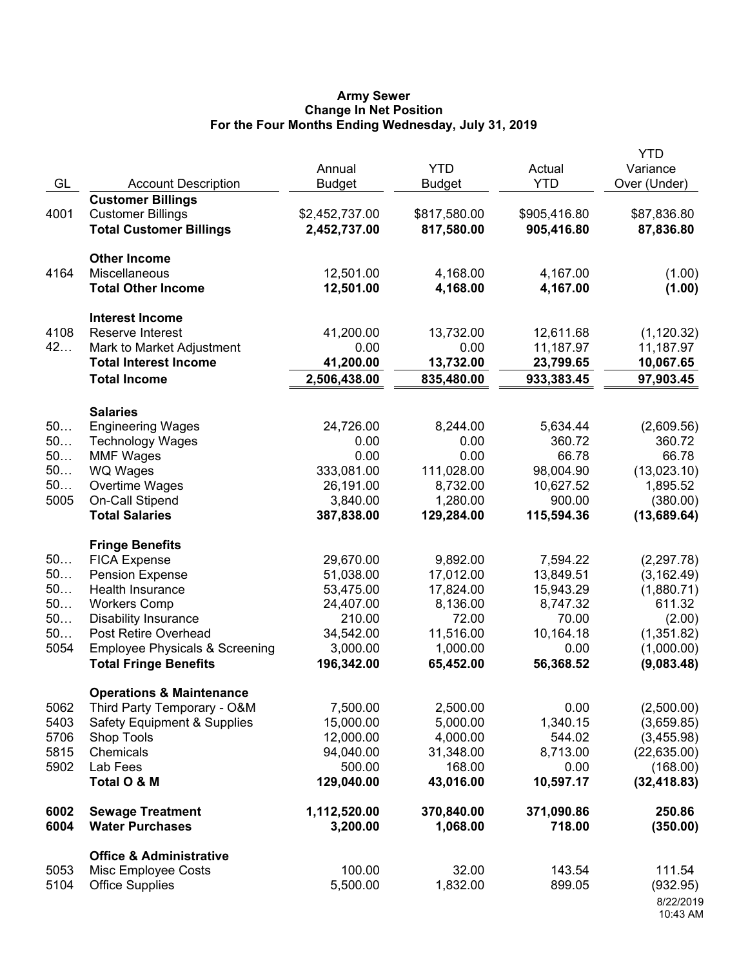## **Army Sewer Change In Net Position For the Four Months Ending Wednesday, July 31, 2019**

| GL           | <b>Account Description</b>                           | Annual<br><b>Budget</b> | <b>YTD</b><br><b>Budget</b> | Actual<br><b>YTD</b> | <b>YTD</b><br>Variance<br>Over (Under) |
|--------------|------------------------------------------------------|-------------------------|-----------------------------|----------------------|----------------------------------------|
|              | <b>Customer Billings</b>                             |                         |                             |                      |                                        |
| 4001         | <b>Customer Billings</b>                             | \$2,452,737.00          | \$817,580.00                | \$905,416.80         | \$87,836.80                            |
|              | <b>Total Customer Billings</b>                       | 2,452,737.00            | 817,580.00                  | 905,416.80           | 87,836.80                              |
|              | <b>Other Income</b>                                  |                         |                             |                      |                                        |
| 4164         | Miscellaneous                                        | 12,501.00               | 4,168.00                    | 4,167.00             | (1.00)                                 |
|              | <b>Total Other Income</b>                            | 12,501.00               | 4,168.00                    | 4,167.00             | (1.00)                                 |
|              | <b>Interest Income</b>                               |                         |                             |                      |                                        |
| 4108         | Reserve Interest                                     | 41,200.00               | 13,732.00                   | 12,611.68            | (1, 120.32)                            |
| 42           | Mark to Market Adjustment                            | 0.00                    | 0.00                        | 11,187.97            | 11,187.97                              |
|              | <b>Total Interest Income</b><br><b>Total Income</b>  | 41,200.00               | 13,732.00                   | 23,799.65            | 10,067.65<br>97,903.45                 |
|              |                                                      | 2,506,438.00            | 835,480.00                  | 933,383.45           |                                        |
|              | <b>Salaries</b>                                      |                         |                             |                      |                                        |
| 50           | <b>Engineering Wages</b>                             | 24,726.00               | 8,244.00                    | 5,634.44             | (2,609.56)                             |
| 50<br>50     | <b>Technology Wages</b>                              | 0.00<br>0.00            | 0.00<br>0.00                | 360.72<br>66.78      | 360.72<br>66.78                        |
| 50           | <b>MMF Wages</b><br><b>WQ Wages</b>                  | 333,081.00              | 111,028.00                  | 98,004.90            | (13,023.10)                            |
| 50           | Overtime Wages                                       | 26,191.00               | 8,732.00                    | 10,627.52            | 1,895.52                               |
| 5005         | <b>On-Call Stipend</b>                               | 3,840.00                | 1,280.00                    | 900.00               | (380.00)                               |
|              | <b>Total Salaries</b>                                | 387,838.00              | 129,284.00                  | 115,594.36           | (13,689.64)                            |
|              | <b>Fringe Benefits</b>                               |                         |                             |                      |                                        |
| 50           | <b>FICA Expense</b>                                  | 29,670.00               | 9,892.00                    | 7,594.22             | (2, 297.78)                            |
| 50           | <b>Pension Expense</b>                               | 51,038.00               | 17,012.00                   | 13,849.51            | (3, 162.49)                            |
| 50           | Health Insurance                                     | 53,475.00               | 17,824.00                   | 15,943.29            | (1,880.71)                             |
| 50           | <b>Workers Comp</b>                                  | 24,407.00               | 8,136.00                    | 8,747.32             | 611.32                                 |
| 50           | <b>Disability Insurance</b>                          | 210.00                  | 72.00                       | 70.00                | (2.00)                                 |
| 50           | Post Retire Overhead                                 | 34,542.00               | 11,516.00                   | 10,164.18            | (1,351.82)                             |
| 5054         | <b>Employee Physicals &amp; Screening</b>            | 3,000.00                | 1,000.00                    | 0.00                 | (1,000.00)                             |
|              | <b>Total Fringe Benefits</b>                         | 196,342.00              | 65,452.00                   | 56,368.52            | (9,083.48)                             |
|              | <b>Operations &amp; Maintenance</b>                  |                         |                             |                      |                                        |
| 5062<br>5403 | Third Party Temporary - O&M                          | 7,500.00                | 2,500.00<br>5,000.00        | 0.00                 | (2,500.00)                             |
| 5706         | <b>Safety Equipment &amp; Supplies</b><br>Shop Tools | 15,000.00<br>12,000.00  | 4,000.00                    | 1,340.15<br>544.02   | (3,659.85)<br>(3,455.98)               |
| 5815         | Chemicals                                            | 94,040.00               | 31,348.00                   | 8,713.00             | (22, 635.00)                           |
| 5902         | Lab Fees                                             | 500.00                  | 168.00                      | 0.00                 | (168.00)                               |
|              | Total O & M                                          | 129,040.00              | 43,016.00                   | 10,597.17            | (32, 418.83)                           |
| 6002         | <b>Sewage Treatment</b>                              | 1,112,520.00            | 370,840.00                  | 371,090.86           | 250.86                                 |
| 6004         | <b>Water Purchases</b>                               | 3,200.00                | 1,068.00                    | 718.00               | (350.00)                               |
|              | <b>Office &amp; Administrative</b>                   |                         |                             |                      |                                        |
| 5053         | Misc Employee Costs                                  | 100.00                  | 32.00                       | 143.54               | 111.54                                 |
| 5104         | <b>Office Supplies</b>                               | 5,500.00                | 1,832.00                    | 899.05               | (932.95)                               |
|              |                                                      |                         |                             |                      | 8/22/2019<br>10:43 AM                  |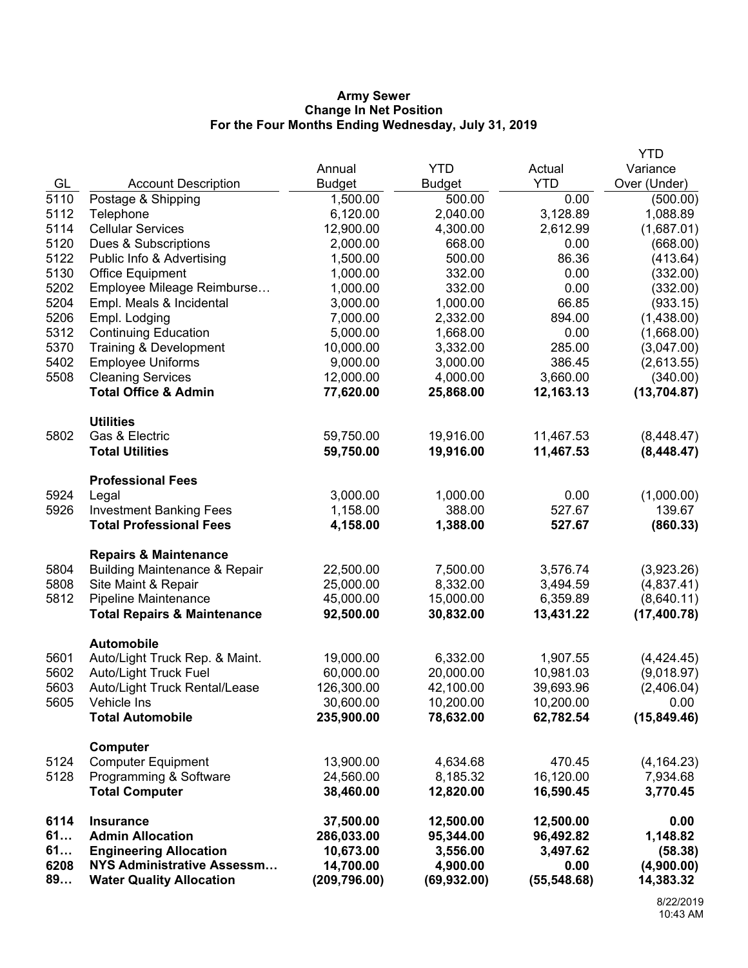### **Army Sewer Change In Net Position For the Four Months Ending Wednesday, July 31, 2019**

|              |                                                      |                       |                      |                    | <b>YTD</b>             |
|--------------|------------------------------------------------------|-----------------------|----------------------|--------------------|------------------------|
|              |                                                      | Annual                | <b>YTD</b>           | Actual             | Variance               |
| GL           | <b>Account Description</b>                           | <b>Budget</b>         | <b>Budget</b>        | <b>YTD</b>         | Over (Under)           |
| 5110         | Postage & Shipping                                   | 1,500.00              | 500.00               | 0.00               | (500.00)               |
| 5112         | Telephone                                            | 6,120.00              | 2,040.00             | 3,128.89           | 1,088.89               |
| 5114         | <b>Cellular Services</b>                             | 12,900.00             | 4,300.00             | 2,612.99           | (1,687.01)             |
| 5120         | Dues & Subscriptions                                 | 2,000.00              | 668.00               | 0.00               | (668.00)               |
| 5122         | Public Info & Advertising                            | 1,500.00              | 500.00               | 86.36              | (413.64)               |
| 5130         | <b>Office Equipment</b>                              | 1,000.00              | 332.00               | 0.00               | (332.00)               |
| 5202         | Employee Mileage Reimburse                           | 1,000.00              | 332.00               | 0.00               | (332.00)               |
| 5204         | Empl. Meals & Incidental                             | 3,000.00              | 1,000.00             | 66.85              | (933.15)               |
| 5206         | Empl. Lodging                                        | 7,000.00              | 2,332.00             | 894.00             | (1,438.00)             |
| 5312         | <b>Continuing Education</b>                          | 5,000.00              | 1,668.00             | 0.00               | (1,668.00)             |
| 5370         | Training & Development                               | 10,000.00             | 3,332.00             | 285.00             | (3,047.00)             |
| 5402<br>5508 | <b>Employee Uniforms</b><br><b>Cleaning Services</b> | 9,000.00<br>12,000.00 | 3,000.00<br>4,000.00 | 386.45<br>3,660.00 | (2,613.55)<br>(340.00) |
|              | <b>Total Office &amp; Admin</b>                      | 77,620.00             | 25,868.00            | 12,163.13          | (13,704.87)            |
|              |                                                      |                       |                      |                    |                        |
|              | <b>Utilities</b>                                     |                       |                      |                    |                        |
| 5802         | Gas & Electric                                       | 59,750.00             | 19,916.00            | 11,467.53          | (8,448.47)             |
|              | <b>Total Utilities</b>                               | 59,750.00             | 19,916.00            | 11,467.53          | (8,448.47)             |
|              |                                                      |                       |                      |                    |                        |
| 5924         | <b>Professional Fees</b>                             | 3,000.00              | 1,000.00             | 0.00               | (1,000.00)             |
| 5926         | Legal<br><b>Investment Banking Fees</b>              | 1,158.00              | 388.00               | 527.67             | 139.67                 |
|              | <b>Total Professional Fees</b>                       | 4,158.00              | 1,388.00             | 527.67             | (860.33)               |
|              |                                                      |                       |                      |                    |                        |
|              | <b>Repairs &amp; Maintenance</b>                     |                       |                      |                    |                        |
| 5804         | <b>Building Maintenance &amp; Repair</b>             | 22,500.00             | 7,500.00             | 3,576.74           | (3,923.26)             |
| 5808         | Site Maint & Repair                                  | 25,000.00             | 8,332.00             | 3,494.59           | (4,837.41)             |
| 5812         | Pipeline Maintenance                                 | 45,000.00             | 15,000.00            | 6,359.89           | (8,640.11)             |
|              | <b>Total Repairs &amp; Maintenance</b>               | 92,500.00             | 30,832.00            | 13,431.22          | (17, 400.78)           |
|              | <b>Automobile</b>                                    |                       |                      |                    |                        |
| 5601         | Auto/Light Truck Rep. & Maint.                       | 19,000.00             | 6,332.00             | 1,907.55           | (4,424.45)             |
| 5602         | <b>Auto/Light Truck Fuel</b>                         | 60,000.00             | 20,000.00            | 10,981.03          | (9,018.97)             |
| 5603         | Auto/Light Truck Rental/Lease                        | 126,300.00            | 42,100.00            | 39,693.96          | (2,406.04)             |
| 5605         | Vehicle Ins                                          | 30,600.00             | 10,200.00            | 10,200.00          | 0.00                   |
|              | <b>Total Automobile</b>                              | 235,900.00            | 78,632.00            | 62,782.54          | (15, 849.46)           |
|              | Computer                                             |                       |                      |                    |                        |
| 5124         | <b>Computer Equipment</b>                            | 13,900.00             | 4,634.68             | 470.45             | (4, 164.23)            |
| 5128         | Programming & Software                               | 24,560.00             | 8,185.32             | 16,120.00          | 7,934.68               |
|              | <b>Total Computer</b>                                | 38,460.00             | 12,820.00            | 16,590.45          | 3,770.45               |
| 6114         | <b>Insurance</b>                                     | 37,500.00             | 12,500.00            | 12,500.00          | 0.00                   |
| 61           | <b>Admin Allocation</b>                              | 286,033.00            | 95,344.00            | 96,492.82          | 1,148.82               |
| 61           | <b>Engineering Allocation</b>                        | 10,673.00             | 3,556.00             | 3,497.62           | (58.38)                |
| 6208         | NYS Administrative Assessm                           | 14,700.00             | 4,900.00             | 0.00               | (4,900.00)             |
| 89           | <b>Water Quality Allocation</b>                      | (209, 796.00)         | (69, 932.00)         | (55, 548.68)       | 14,383.32              |
|              |                                                      |                       |                      |                    |                        |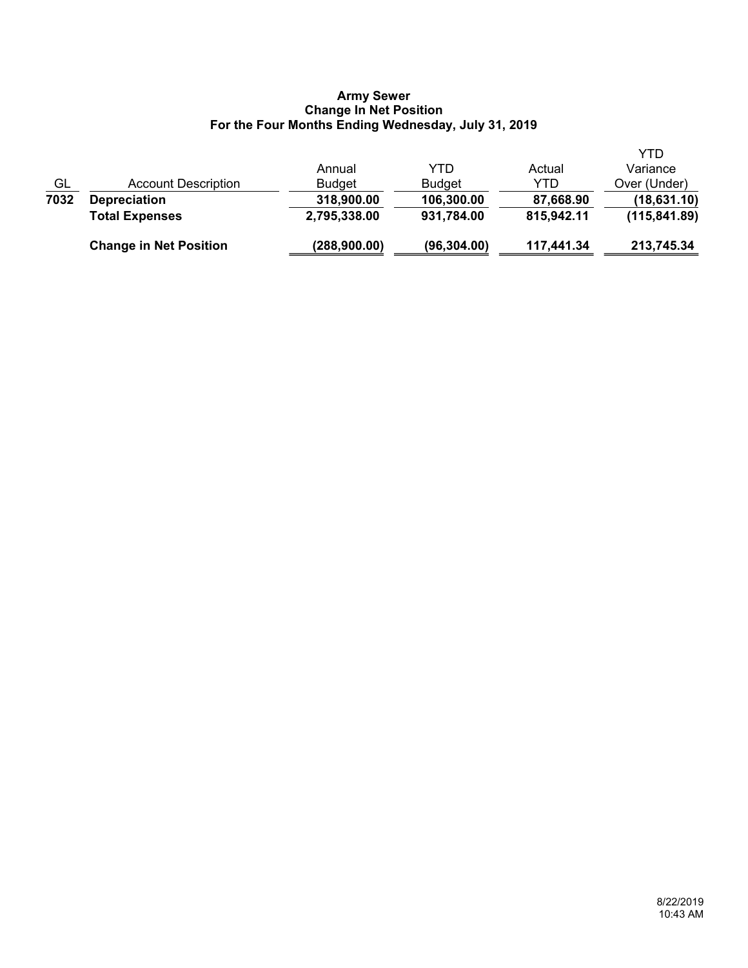### **Army Sewer Change In Net Position For the Four Months Ending Wednesday, July 31, 2019**

|                           | <b>Change in Net Position</b> | (288,900.00)  | (96, 304.00)  | 117,441.34 | 213,745.34    |
|---------------------------|-------------------------------|---------------|---------------|------------|---------------|
|                           | <b>Total Expenses</b>         | 2,795,338.00  | 931,784.00    | 815,942.11 | (115, 841.89) |
| 7032                      | <b>Depreciation</b>           | 318,900.00    | 106,300.00    | 87,668.90  | (18,631.10)   |
| $\underline{\mathsf{GL}}$ | <b>Account Description</b>    | <b>Budget</b> | <b>Budget</b> | YTD        | Over (Under)  |
|                           |                               | Annual        | YTD           | Actual     | Variance      |
|                           |                               |               |               |            | YTD           |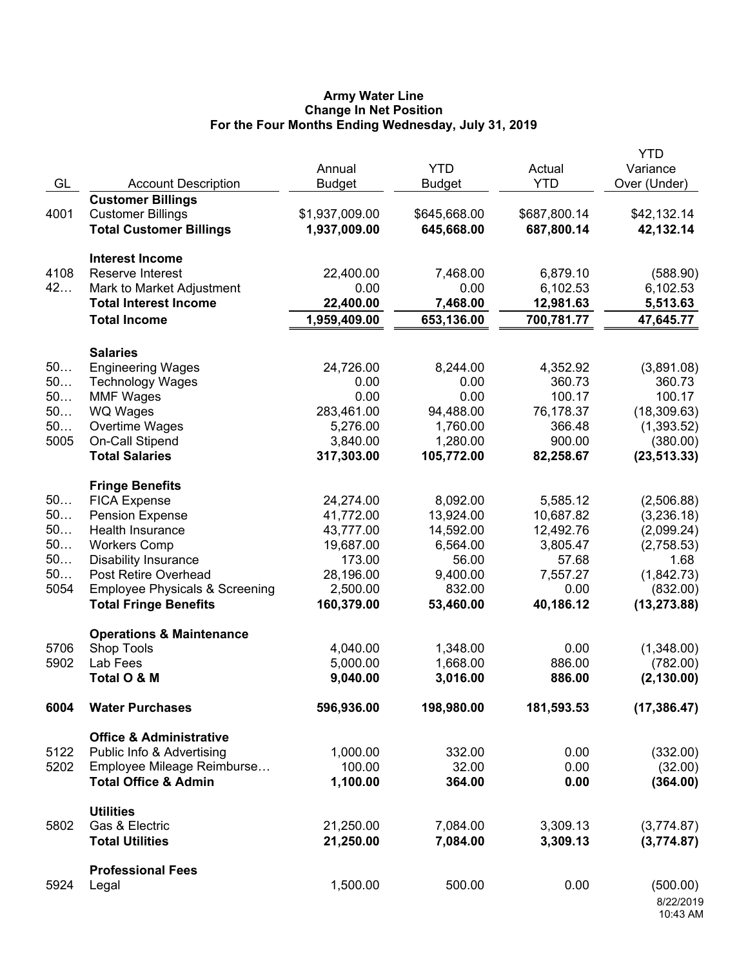## **Army Water Line Change In Net Position For the Four Months Ending Wednesday, July 31, 2019**

|      |                                           |                |               |              | <b>YTD</b>   |
|------|-------------------------------------------|----------------|---------------|--------------|--------------|
|      |                                           | Annual         | <b>YTD</b>    | Actual       | Variance     |
| GL   | <b>Account Description</b>                | <b>Budget</b>  | <b>Budget</b> | <b>YTD</b>   | Over (Under) |
|      | <b>Customer Billings</b>                  |                |               |              |              |
| 4001 | <b>Customer Billings</b>                  | \$1,937,009.00 | \$645,668.00  | \$687,800.14 | \$42,132.14  |
|      | <b>Total Customer Billings</b>            | 1,937,009.00   | 645,668.00    | 687,800.14   | 42,132.14    |
|      |                                           |                |               |              |              |
|      | <b>Interest Income</b>                    |                |               |              |              |
| 4108 | Reserve Interest                          | 22,400.00      | 7,468.00      | 6,879.10     | (588.90)     |
| 42   | Mark to Market Adjustment                 | 0.00           | 0.00          | 6,102.53     | 6,102.53     |
|      | <b>Total Interest Income</b>              | 22,400.00      | 7,468.00      | 12,981.63    | 5,513.63     |
|      | <b>Total Income</b>                       | 1,959,409.00   | 653,136.00    | 700,781.77   | 47,645.77    |
|      |                                           |                |               |              |              |
|      | <b>Salaries</b>                           |                |               |              |              |
| 50   | <b>Engineering Wages</b>                  | 24,726.00      | 8,244.00      | 4,352.92     | (3,891.08)   |
| 50   | <b>Technology Wages</b>                   | 0.00           | 0.00          | 360.73       | 360.73       |
| 50   | <b>MMF Wages</b>                          | 0.00           | 0.00          | 100.17       | 100.17       |
| 50   | WQ Wages                                  | 283,461.00     | 94,488.00     | 76,178.37    | (18, 309.63) |
| 50   | Overtime Wages                            | 5,276.00       | 1,760.00      | 366.48       | (1,393.52)   |
| 5005 | On-Call Stipend                           | 3,840.00       | 1,280.00      | 900.00       | (380.00)     |
|      | <b>Total Salaries</b>                     | 317,303.00     | 105,772.00    | 82,258.67    | (23, 513.33) |
|      |                                           |                |               |              |              |
|      | <b>Fringe Benefits</b>                    |                |               |              |              |
| 50   | <b>FICA Expense</b>                       | 24,274.00      | 8,092.00      | 5,585.12     | (2,506.88)   |
| 50   | <b>Pension Expense</b>                    | 41,772.00      | 13,924.00     | 10,687.82    | (3,236.18)   |
| 50   | Health Insurance                          | 43,777.00      | 14,592.00     | 12,492.76    | (2,099.24)   |
| 50   | <b>Workers Comp</b>                       | 19,687.00      | 6,564.00      | 3,805.47     | (2,758.53)   |
| 50   | <b>Disability Insurance</b>               | 173.00         | 56.00         | 57.68        | 1.68         |
| 50   | Post Retire Overhead                      | 28,196.00      | 9,400.00      | 7,557.27     | (1,842.73)   |
| 5054 | <b>Employee Physicals &amp; Screening</b> | 2,500.00       | 832.00        | 0.00         | (832.00)     |
|      | <b>Total Fringe Benefits</b>              | 160,379.00     | 53,460.00     | 40,186.12    | (13, 273.88) |
|      |                                           |                |               |              |              |
|      | <b>Operations &amp; Maintenance</b>       |                |               |              |              |
| 5706 | Shop Tools                                | 4,040.00       | 1,348.00      | 0.00         | (1,348.00)   |
| 5902 | Lab Fees                                  | 5,000.00       | 1,668.00      | 886.00       | (782.00)     |
|      | Total O & M                               | 9,040.00       | 3,016.00      | 886.00       | (2, 130.00)  |
| 6004 | <b>Water Purchases</b>                    | 596,936.00     | 198,980.00    | 181,593.53   | (17, 386.47) |
|      |                                           |                |               |              |              |
| 5122 | <b>Office &amp; Administrative</b>        |                |               |              |              |
|      | Public Info & Advertising                 | 1,000.00       | 332.00        | 0.00         | (332.00)     |
| 5202 | Employee Mileage Reimburse                | 100.00         | 32.00         | 0.00         | (32.00)      |
|      | <b>Total Office &amp; Admin</b>           | 1,100.00       | 364.00        | 0.00         | (364.00)     |
|      | <b>Utilities</b>                          |                |               |              |              |
| 5802 | Gas & Electric                            | 21,250.00      | 7,084.00      | 3,309.13     | (3,774.87)   |
|      | <b>Total Utilities</b>                    | 21,250.00      | 7,084.00      | 3,309.13     | (3,774.87)   |
|      |                                           |                |               |              |              |
|      | <b>Professional Fees</b>                  |                |               |              |              |
| 5924 | Legal                                     | 1,500.00       | 500.00        | 0.00         | (500.00)     |
|      |                                           |                |               |              | 8/22/2019    |
|      |                                           |                |               |              | 10:43 AM     |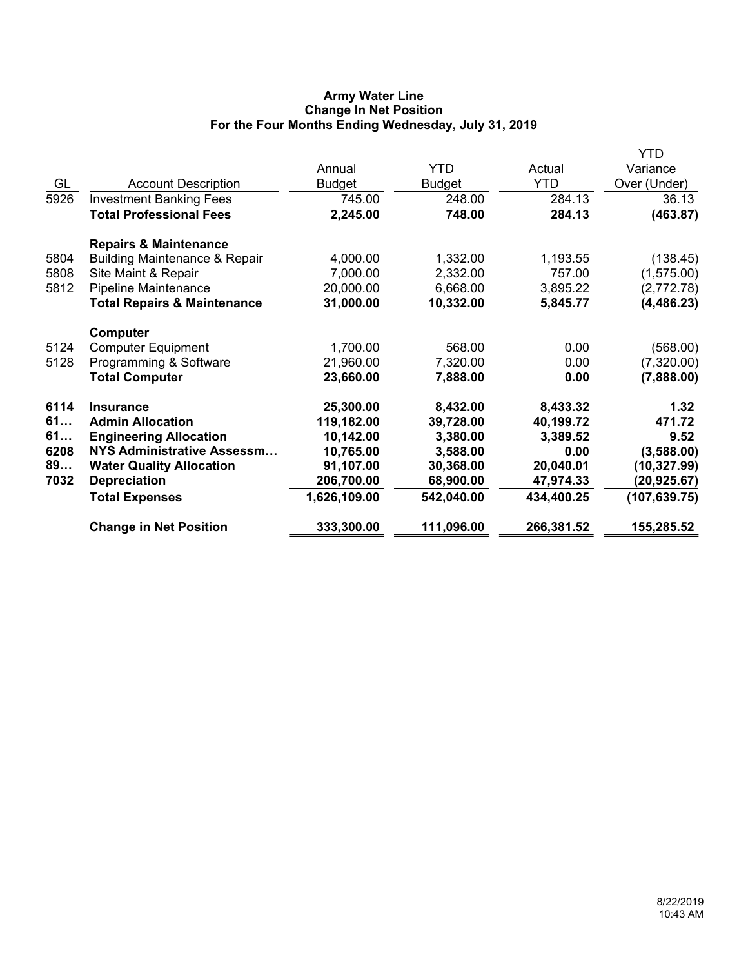# **Army Water Line Change In Net Position For the Four Months Ending Wednesday, July 31, 2019**

|      |                                          |               |               |            | YTD           |
|------|------------------------------------------|---------------|---------------|------------|---------------|
|      |                                          | Annual        | <b>YTD</b>    | Actual     | Variance      |
| GL   | <b>Account Description</b>               | <b>Budget</b> | <b>Budget</b> | <b>YTD</b> | Over (Under)  |
| 5926 | <b>Investment Banking Fees</b>           | 745.00        | 248.00        | 284.13     | 36.13         |
|      | <b>Total Professional Fees</b>           | 2,245.00      | 748.00        | 284.13     | (463.87)      |
|      | <b>Repairs &amp; Maintenance</b>         |               |               |            |               |
| 5804 | <b>Building Maintenance &amp; Repair</b> | 4,000.00      | 1,332.00      | 1,193.55   | (138.45)      |
| 5808 | Site Maint & Repair                      | 7,000.00      | 2,332.00      | 757.00     | (1,575.00)    |
| 5812 | <b>Pipeline Maintenance</b>              | 20,000.00     | 6,668.00      | 3,895.22   | (2,772.78)    |
|      | <b>Total Repairs &amp; Maintenance</b>   | 31,000.00     | 10,332.00     | 5,845.77   | (4, 486.23)   |
|      | Computer                                 |               |               |            |               |
| 5124 | <b>Computer Equipment</b>                | 1,700.00      | 568.00        | 0.00       | (568.00)      |
| 5128 | Programming & Software                   | 21,960.00     | 7,320.00      | 0.00       | (7,320.00)    |
|      | <b>Total Computer</b>                    | 23,660.00     | 7,888.00      | 0.00       | (7,888.00)    |
| 6114 | <b>Insurance</b>                         | 25,300.00     | 8,432.00      | 8,433.32   | 1.32          |
| 61   | <b>Admin Allocation</b>                  | 119,182.00    | 39,728.00     | 40,199.72  | 471.72        |
| 61   | <b>Engineering Allocation</b>            | 10,142.00     | 3,380.00      | 3,389.52   | 9.52          |
| 6208 | <b>NYS Administrative Assessm</b>        | 10,765.00     | 3,588.00      | 0.00       | (3,588.00)    |
| 89   | <b>Water Quality Allocation</b>          | 91,107.00     | 30,368.00     | 20,040.01  | (10, 327.99)  |
| 7032 | <b>Depreciation</b>                      | 206,700.00    | 68,900.00     | 47,974.33  | (20,925.67)   |
|      | <b>Total Expenses</b>                    | 1,626,109.00  | 542,040.00    | 434,400.25 | (107, 639.75) |
|      | <b>Change in Net Position</b>            | 333,300.00    | 111,096.00    | 266,381.52 | 155,285.52    |
|      |                                          |               |               |            |               |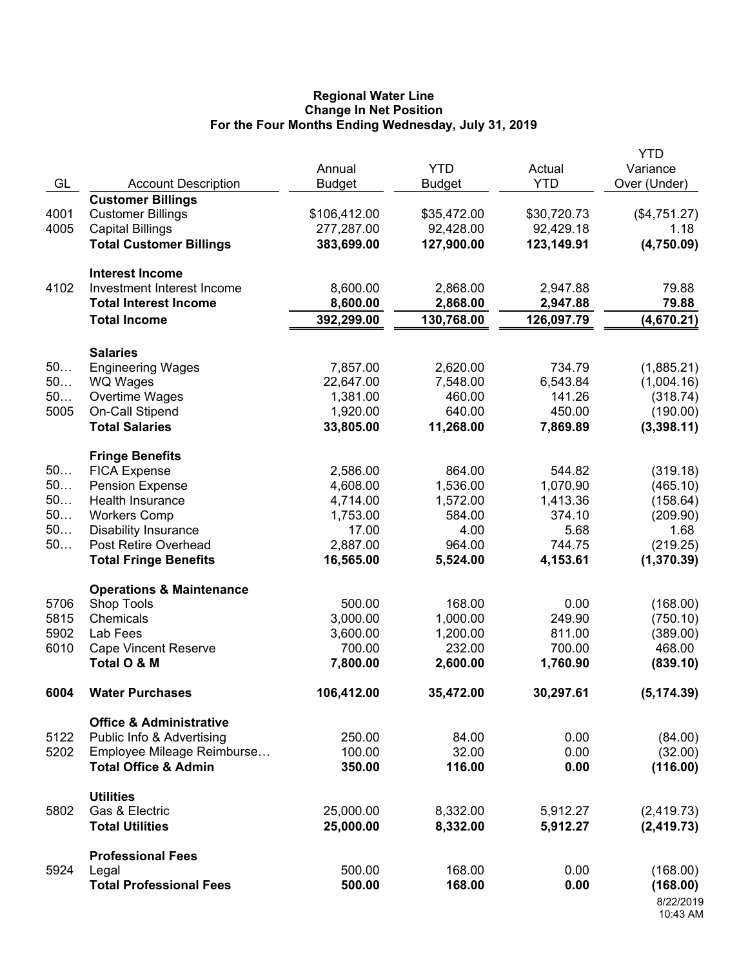### **Regional Water Line Change In Net Position For the Four Months Ending Wednesday, July 31, 2019**

|      |                                                   | Annual        | <b>YTD</b>    | Actual      | <b>YTD</b><br>Variance |
|------|---------------------------------------------------|---------------|---------------|-------------|------------------------|
| GL   | <b>Account Description</b>                        | <b>Budget</b> | <b>Budget</b> | <b>YTD</b>  | Over (Under)           |
|      | <b>Customer Billings</b>                          |               |               |             |                        |
| 4001 | <b>Customer Billings</b>                          | \$106,412.00  | \$35,472.00   | \$30,720.73 | (\$4,751.27)           |
| 4005 | <b>Capital Billings</b>                           | 277,287.00    | 92,428.00     | 92,429.18   | 1.18                   |
|      | <b>Total Customer Billings</b>                    | 383,699.00    | 127,900.00    | 123,149.91  | (4,750.09)             |
|      |                                                   |               |               |             |                        |
|      | <b>Interest Income</b>                            |               |               |             |                        |
| 4102 | Investment Interest Income                        | 8,600.00      | 2,868.00      | 2,947.88    | 79.88                  |
|      | <b>Total Interest Income</b>                      | 8,600.00      | 2,868.00      | 2,947.88    | 79.88                  |
|      | <b>Total Income</b>                               | 392,299.00    | 130,768.00    | 126,097.79  | (4,670.21)             |
|      |                                                   |               |               |             |                        |
|      | <b>Salaries</b>                                   |               |               |             |                        |
| 50   | <b>Engineering Wages</b>                          | 7,857.00      | 2,620.00      | 734.79      | (1,885.21)             |
| 50   | <b>WQ Wages</b>                                   | 22,647.00     | 7,548.00      | 6,543.84    | (1,004.16)             |
| 50   | Overtime Wages                                    | 1,381.00      | 460.00        | 141.26      | (318.74)               |
| 5005 | On-Call Stipend                                   | 1,920.00      | 640.00        | 450.00      | (190.00)               |
|      | <b>Total Salaries</b>                             | 33,805.00     | 11,268.00     | 7,869.89    | (3,398.11)             |
|      | <b>Fringe Benefits</b>                            |               |               |             |                        |
| 50   | <b>FICA Expense</b>                               | 2,586.00      | 864.00        | 544.82      | (319.18)               |
| 50   | <b>Pension Expense</b>                            | 4,608.00      | 1,536.00      | 1,070.90    | (465.10)               |
| 50   | Health Insurance                                  | 4,714.00      | 1,572.00      | 1,413.36    | (158.64)               |
| 50   | <b>Workers Comp</b>                               | 1,753.00      | 584.00        | 374.10      | (209.90)               |
| 50   | <b>Disability Insurance</b>                       | 17.00         | 4.00          | 5.68        | 1.68                   |
| 50   | Post Retire Overhead                              | 2,887.00      | 964.00        | 744.75      | (219.25)               |
|      | <b>Total Fringe Benefits</b>                      | 16,565.00     | 5,524.00      | 4,153.61    | (1,370.39)             |
|      |                                                   |               |               |             |                        |
| 5706 | <b>Operations &amp; Maintenance</b><br>Shop Tools | 500.00        | 168.00        | 0.00        | (168.00)               |
| 5815 | Chemicals                                         | 3,000.00      | 1,000.00      | 249.90      | (750.10)               |
| 5902 | Lab Fees                                          | 3,600.00      | 1,200.00      | 811.00      | (389.00)               |
| 6010 | <b>Cape Vincent Reserve</b>                       | 700.00        | 232.00        | 700.00      | 468.00                 |
|      | Total O & M                                       | 7,800.00      | 2,600.00      | 1,760.90    | (839.10)               |
|      |                                                   |               |               |             |                        |
| 6004 | <b>Water Purchases</b>                            | 106,412.00    | 35,472.00     | 30,297.61   | (5, 174.39)            |
|      | <b>Office &amp; Administrative</b>                |               |               |             |                        |
| 5122 | Public Info & Advertising                         | 250.00        | 84.00         | 0.00        | (84.00)                |
| 5202 | Employee Mileage Reimburse                        | 100.00        | 32.00         | 0.00        | (32.00)                |
|      | <b>Total Office &amp; Admin</b>                   | 350.00        | 116.00        | 0.00        | (116.00)               |
|      |                                                   |               |               |             |                        |
| 5802 | <b>Utilities</b><br>Gas & Electric                | 25,000.00     | 8,332.00      | 5,912.27    | (2, 419.73)            |
|      | <b>Total Utilities</b>                            | 25,000.00     | 8,332.00      | 5,912.27    | (2, 419.73)            |
|      |                                                   |               |               |             |                        |
|      | <b>Professional Fees</b>                          |               |               |             |                        |
| 5924 | Legal                                             | 500.00        | 168.00        | 0.00        | (168.00)               |
|      | <b>Total Professional Fees</b>                    | 500.00        | 168.00        | 0.00        | (168.00)               |
|      |                                                   |               |               |             | 8/22/2019              |
|      |                                                   |               |               |             | 10:43 AM               |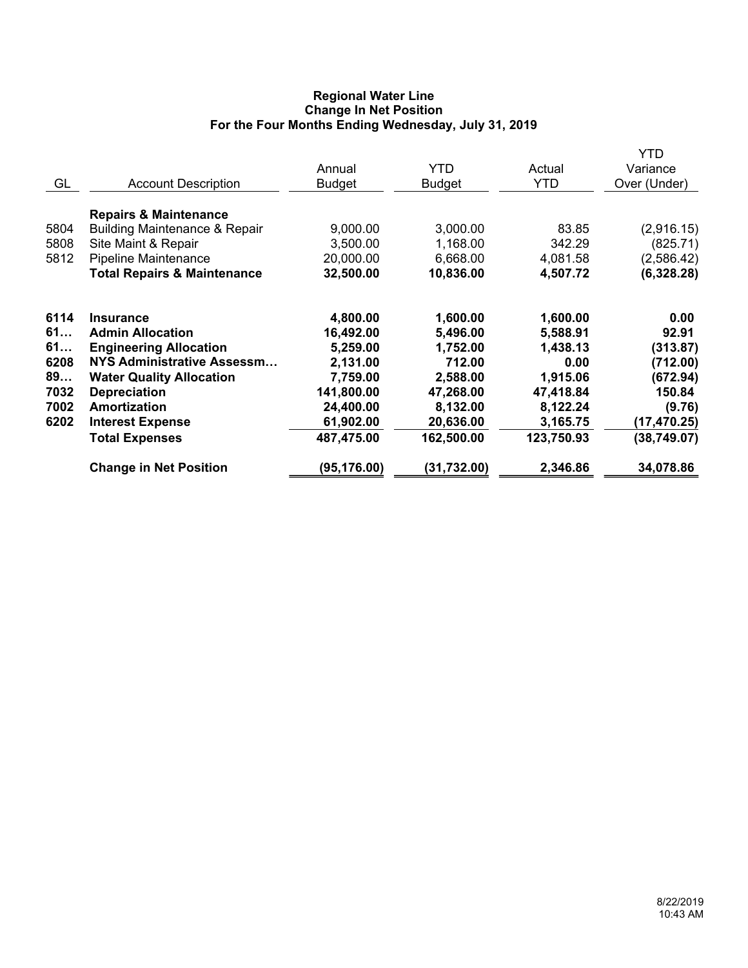# **Regional Water Line Change In Net Position For the Four Months Ending Wednesday, July 31, 2019**

| GL                                                     | <b>Account Description</b>                                                                                                                                                                                                                             | Annual<br><b>Budget</b>                                                                                         | <b>YTD</b><br><b>Budget</b>                                                                                | Actual<br><b>YTD</b>                                                                                    | YTD<br>Variance<br>Over (Under)                                                                       |
|--------------------------------------------------------|--------------------------------------------------------------------------------------------------------------------------------------------------------------------------------------------------------------------------------------------------------|-----------------------------------------------------------------------------------------------------------------|------------------------------------------------------------------------------------------------------------|---------------------------------------------------------------------------------------------------------|-------------------------------------------------------------------------------------------------------|
| 5804<br>5808<br>5812                                   | <b>Repairs &amp; Maintenance</b><br><b>Building Maintenance &amp; Repair</b><br>Site Maint & Repair<br><b>Pipeline Maintenance</b><br><b>Total Repairs &amp; Maintenance</b>                                                                           | 9,000.00<br>3,500.00<br>20,000.00<br>32,500.00                                                                  | 3,000.00<br>1,168.00<br>6,668.00<br>10,836.00                                                              | 83.85<br>342.29<br>4,081.58<br>4,507.72                                                                 | (2,916.15)<br>(825.71)<br>(2,586.42)<br>(6,328.28)                                                    |
| 6114<br>61<br>61<br>6208<br>89<br>7032<br>7002<br>6202 | <b>Insurance</b><br><b>Admin Allocation</b><br><b>Engineering Allocation</b><br><b>NYS Administrative Assessm</b><br><b>Water Quality Allocation</b><br><b>Depreciation</b><br><b>Amortization</b><br><b>Interest Expense</b><br><b>Total Expenses</b> | 4,800.00<br>16,492.00<br>5,259.00<br>2,131.00<br>7,759.00<br>141,800.00<br>24,400.00<br>61,902.00<br>487,475.00 | 1,600.00<br>5,496.00<br>1,752.00<br>712.00<br>2,588.00<br>47,268.00<br>8,132.00<br>20,636.00<br>162,500.00 | 1,600.00<br>5,588.91<br>1,438.13<br>0.00<br>1,915.06<br>47,418.84<br>8,122.24<br>3,165.75<br>123,750.93 | 0.00<br>92.91<br>(313.87)<br>(712.00)<br>(672.94)<br>150.84<br>(9.76)<br>(17, 470.25)<br>(38, 749.07) |
|                                                        | <b>Change in Net Position</b>                                                                                                                                                                                                                          | (95, 176.00)                                                                                                    | (31,732.00)                                                                                                | 2,346.86                                                                                                | 34,078.86                                                                                             |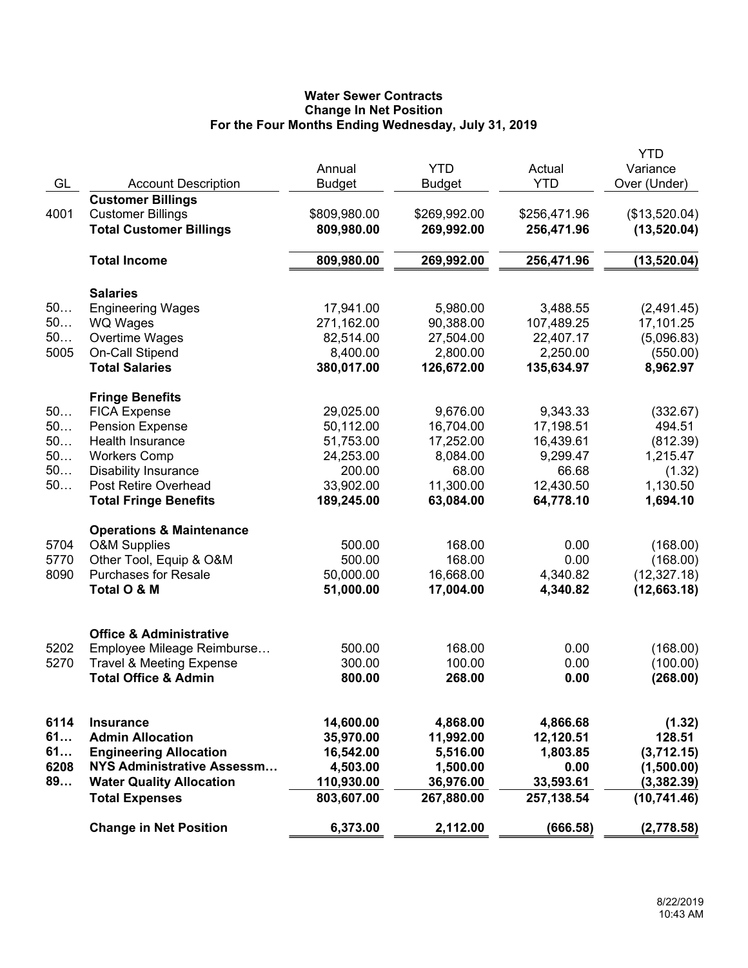# **Water Sewer Contracts Change In Net Position For the Four Months Ending Wednesday, July 31, 2019**

|      |                                                                        |                          |               |              | <b>YTD</b>    |
|------|------------------------------------------------------------------------|--------------------------|---------------|--------------|---------------|
|      |                                                                        | Annual                   | <b>YTD</b>    | Actual       | Variance      |
| GL   | <b>Account Description</b>                                             | <b>Budget</b>            | <b>Budget</b> | <b>YTD</b>   | Over (Under)  |
|      | <b>Customer Billings</b>                                               |                          |               |              |               |
| 4001 | <b>Customer Billings</b>                                               | \$809,980.00             | \$269,992.00  | \$256,471.96 | (\$13,520.04) |
|      | <b>Total Customer Billings</b>                                         | 809,980.00               | 269,992.00    | 256,471.96   | (13,520.04)   |
|      | <b>Total Income</b>                                                    | 809,980.00               | 269,992.00    | 256,471.96   | (13,520.04)   |
|      | <b>Salaries</b>                                                        |                          |               |              |               |
| 50   | <b>Engineering Wages</b>                                               | 17,941.00                | 5,980.00      | 3,488.55     | (2,491.45)    |
| 50   | <b>WQ Wages</b>                                                        | 271,162.00               | 90,388.00     | 107,489.25   | 17,101.25     |
| 50   | Overtime Wages                                                         | 82,514.00                | 27,504.00     | 22,407.17    | (5,096.83)    |
| 5005 |                                                                        | 8,400.00                 | 2,800.00      | 2,250.00     |               |
|      | On-Call Stipend<br><b>Total Salaries</b>                               |                          |               |              | (550.00)      |
|      |                                                                        | 380,017.00               | 126,672.00    | 135,634.97   | 8,962.97      |
|      | <b>Fringe Benefits</b>                                                 |                          |               |              |               |
| 50   | <b>FICA Expense</b>                                                    | 29,025.00                | 9,676.00      | 9,343.33     | (332.67)      |
| 50   | <b>Pension Expense</b>                                                 | 50,112.00                | 16,704.00     | 17,198.51    | 494.51        |
| 50   | <b>Health Insurance</b>                                                | 51,753.00                | 17,252.00     | 16,439.61    | (812.39)      |
| 50   | <b>Workers Comp</b>                                                    | 24,253.00                | 8,084.00      | 9,299.47     | 1,215.47      |
| 50   | <b>Disability Insurance</b>                                            | 200.00                   | 68.00         | 66.68        | (1.32)        |
| 50   | Post Retire Overhead                                                   | 33,902.00                | 11,300.00     | 12,430.50    | 1,130.50      |
|      | <b>Total Fringe Benefits</b>                                           | 189,245.00               | 63,084.00     | 64,778.10    | 1,694.10      |
|      | <b>Operations &amp; Maintenance</b>                                    |                          |               |              |               |
| 5704 | <b>O&amp;M Supplies</b>                                                | 500.00                   | 168.00        | 0.00         | (168.00)      |
| 5770 | Other Tool, Equip & O&M                                                | 500.00                   | 168.00        | 0.00         | (168.00)      |
| 8090 | <b>Purchases for Resale</b>                                            | 50,000.00                | 16,668.00     | 4,340.82     | (12, 327.18)  |
|      | Total O & M                                                            | 51,000.00                | 17,004.00     | 4,340.82     | (12,663.18)   |
|      |                                                                        |                          |               |              |               |
|      | <b>Office &amp; Administrative</b>                                     | 500.00                   | 168.00        | 0.00         |               |
| 5202 | Employee Mileage Reimburse                                             |                          |               |              | (168.00)      |
| 5270 | <b>Travel &amp; Meeting Expense</b><br><b>Total Office &amp; Admin</b> | 300.00                   | 100.00        | 0.00         | (100.00)      |
|      |                                                                        | 800.00                   | 268.00        | 0.00         | (268.00)      |
| 6114 | <b>Insurance</b>                                                       | 14,600.00                | 4,868.00      | 4,866.68     | (1.32)        |
| 61   | <b>Admin Allocation</b>                                                | 35,970.00                | 11,992.00     | 12,120.51    | 128.51        |
| 61   | <b>Engineering Allocation</b>                                          | 16,542.00                | 5,516.00      | 1,803.85     | (3,712.15)    |
| 6208 | NYS Administrative Assessm                                             | 4,503.00                 | 1,500.00      | 0.00         |               |
| 89   |                                                                        |                          | 36,976.00     |              | (1,500.00)    |
|      | <b>Water Quality Allocation</b><br><b>Total Expenses</b>               | 110,930.00<br>803,607.00 |               | 33,593.61    | (3,382.39)    |
|      |                                                                        |                          | 267,880.00    | 257,138.54   | (10, 741.46)  |
|      | <b>Change in Net Position</b>                                          | 6,373.00                 | 2,112.00      | (666.58)     | (2,778.58)    |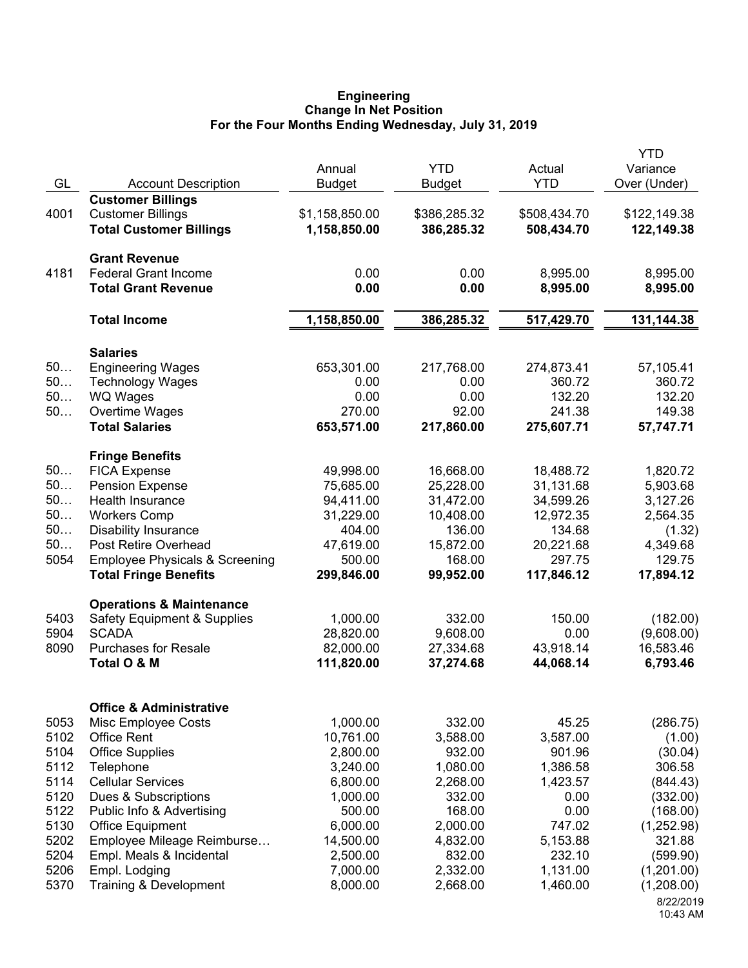## **Engineering Change In Net Position For the Four Months Ending Wednesday, July 31, 2019**

| GL                                                                                           | <b>Account Description</b>                                                                                                                                                                                                                                                                                                              | Annual<br><b>Budget</b>                                                                                                                      | <b>YTD</b><br><b>Budget</b>                                                                                                        | Actual<br><b>YTD</b>                                                                                                        | <b>YTD</b><br>Variance<br>Over (Under)                                                                                                                               |
|----------------------------------------------------------------------------------------------|-----------------------------------------------------------------------------------------------------------------------------------------------------------------------------------------------------------------------------------------------------------------------------------------------------------------------------------------|----------------------------------------------------------------------------------------------------------------------------------------------|------------------------------------------------------------------------------------------------------------------------------------|-----------------------------------------------------------------------------------------------------------------------------|----------------------------------------------------------------------------------------------------------------------------------------------------------------------|
| 4001                                                                                         | <b>Customer Billings</b><br><b>Customer Billings</b><br><b>Total Customer Billings</b>                                                                                                                                                                                                                                                  | \$1,158,850.00<br>1,158,850.00                                                                                                               | \$386,285.32<br>386,285.32                                                                                                         | \$508,434.70<br>508,434.70                                                                                                  | \$122,149.38<br>122,149.38                                                                                                                                           |
| 4181                                                                                         | <b>Grant Revenue</b><br><b>Federal Grant Income</b><br><b>Total Grant Revenue</b>                                                                                                                                                                                                                                                       | 0.00<br>0.00                                                                                                                                 | 0.00<br>0.00                                                                                                                       | 8,995.00<br>8,995.00                                                                                                        | 8,995.00<br>8,995.00                                                                                                                                                 |
|                                                                                              | <b>Total Income</b>                                                                                                                                                                                                                                                                                                                     | 1,158,850.00                                                                                                                                 | 386,285.32                                                                                                                         | 517,429.70                                                                                                                  | 131,144.38                                                                                                                                                           |
| 50<br>50<br>50<br>50                                                                         | <b>Salaries</b><br><b>Engineering Wages</b><br><b>Technology Wages</b><br><b>WQ Wages</b><br>Overtime Wages<br><b>Total Salaries</b>                                                                                                                                                                                                    | 653,301.00<br>0.00<br>0.00<br>270.00<br>653,571.00                                                                                           | 217,768.00<br>0.00<br>0.00<br>92.00<br>217,860.00                                                                                  | 274,873.41<br>360.72<br>132.20<br>241.38<br>275,607.71                                                                      | 57,105.41<br>360.72<br>132.20<br>149.38<br>57,747.71                                                                                                                 |
| 50<br>50<br>50<br>50<br>50<br>50<br>5054                                                     | <b>Fringe Benefits</b><br><b>FICA Expense</b><br><b>Pension Expense</b><br>Health Insurance<br><b>Workers Comp</b><br><b>Disability Insurance</b><br>Post Retire Overhead<br><b>Employee Physicals &amp; Screening</b><br><b>Total Fringe Benefits</b>                                                                                  | 49,998.00<br>75,685.00<br>94,411.00<br>31,229.00<br>404.00<br>47,619.00<br>500.00<br>299,846.00                                              | 16,668.00<br>25,228.00<br>31,472.00<br>10,408.00<br>136.00<br>15,872.00<br>168.00<br>99,952.00                                     | 18,488.72<br>31,131.68<br>34,599.26<br>12,972.35<br>134.68<br>20,221.68<br>297.75<br>117,846.12                             | 1,820.72<br>5,903.68<br>3,127.26<br>2,564.35<br>(1.32)<br>4,349.68<br>129.75<br>17,894.12                                                                            |
| 5403<br>5904<br>8090                                                                         | <b>Operations &amp; Maintenance</b><br><b>Safety Equipment &amp; Supplies</b><br><b>SCADA</b><br><b>Purchases for Resale</b><br>Total O & M                                                                                                                                                                                             | 1,000.00<br>28,820.00<br>82,000.00<br>111,820.00                                                                                             | 332.00<br>9,608.00<br>27,334.68<br>37,274.68                                                                                       | 150.00<br>0.00<br>43,918.14<br>44,068.14                                                                                    | (182.00)<br>(9,608.00)<br>16,583.46<br>6,793.46                                                                                                                      |
| 5053<br>5102<br>5104<br>5112<br>5114<br>5120<br>5122<br>5130<br>5202<br>5204<br>5206<br>5370 | <b>Office &amp; Administrative</b><br>Misc Employee Costs<br><b>Office Rent</b><br><b>Office Supplies</b><br>Telephone<br><b>Cellular Services</b><br>Dues & Subscriptions<br>Public Info & Advertising<br><b>Office Equipment</b><br>Employee Mileage Reimburse<br>Empl. Meals & Incidental<br>Empl. Lodging<br>Training & Development | 1,000.00<br>10,761.00<br>2,800.00<br>3,240.00<br>6,800.00<br>1,000.00<br>500.00<br>6,000.00<br>14,500.00<br>2,500.00<br>7,000.00<br>8,000.00 | 332.00<br>3,588.00<br>932.00<br>1,080.00<br>2,268.00<br>332.00<br>168.00<br>2,000.00<br>4,832.00<br>832.00<br>2,332.00<br>2,668.00 | 45.25<br>3,587.00<br>901.96<br>1,386.58<br>1,423.57<br>0.00<br>0.00<br>747.02<br>5,153.88<br>232.10<br>1,131.00<br>1,460.00 | (286.75)<br>(1.00)<br>(30.04)<br>306.58<br>(844.43)<br>(332.00)<br>(168.00)<br>(1,252.98)<br>321.88<br>(599.90)<br>(1,201.00)<br>(1,208.00)<br>8/22/2019<br>10:43 AM |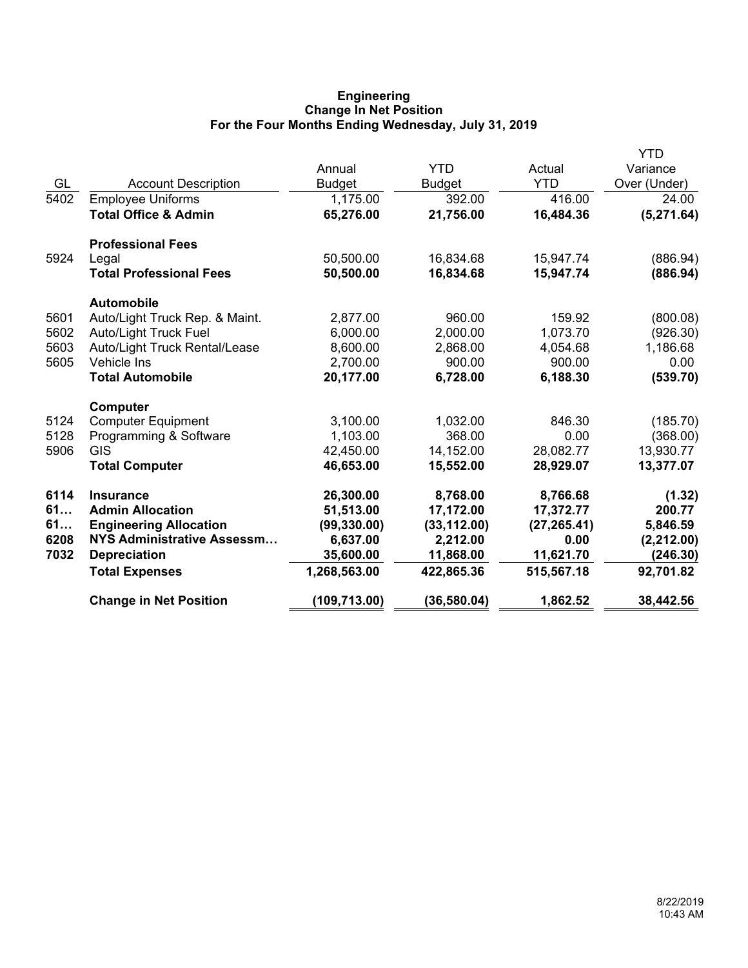# **Engineering Change In Net Position For the Four Months Ending Wednesday, July 31, 2019**

|      |                                 |               |               |              | <b>YTD</b>   |
|------|---------------------------------|---------------|---------------|--------------|--------------|
|      |                                 | Annual        | <b>YTD</b>    | Actual       | Variance     |
| GL   | <b>Account Description</b>      | <b>Budget</b> | <b>Budget</b> | <b>YTD</b>   | Over (Under) |
| 5402 | <b>Employee Uniforms</b>        | 1,175.00      | 392.00        | 416.00       | 24.00        |
|      | <b>Total Office &amp; Admin</b> | 65,276.00     | 21,756.00     | 16,484.36    | (5,271.64)   |
|      | <b>Professional Fees</b>        |               |               |              |              |
| 5924 | Legal                           | 50,500.00     | 16,834.68     | 15,947.74    | (886.94)     |
|      | <b>Total Professional Fees</b>  | 50,500.00     | 16,834.68     | 15,947.74    | (886.94)     |
|      | <b>Automobile</b>               |               |               |              |              |
| 5601 | Auto/Light Truck Rep. & Maint.  | 2,877.00      | 960.00        | 159.92       | (800.08)     |
| 5602 | <b>Auto/Light Truck Fuel</b>    | 6,000.00      | 2,000.00      | 1,073.70     | (926.30)     |
| 5603 | Auto/Light Truck Rental/Lease   | 8,600.00      | 2,868.00      | 4,054.68     | 1,186.68     |
| 5605 | Vehicle Ins                     | 2,700.00      | 900.00        | 900.00       | 0.00         |
|      | <b>Total Automobile</b>         | 20,177.00     | 6,728.00      | 6,188.30     | (539.70)     |
|      | Computer                        |               |               |              |              |
| 5124 | <b>Computer Equipment</b>       | 3,100.00      | 1,032.00      | 846.30       | (185.70)     |
| 5128 | Programming & Software          | 1,103.00      | 368.00        | 0.00         | (368.00)     |
| 5906 | <b>GIS</b>                      | 42,450.00     | 14,152.00     | 28,082.77    | 13,930.77    |
|      | <b>Total Computer</b>           | 46,653.00     | 15,552.00     | 28,929.07    | 13,377.07    |
| 6114 | <b>Insurance</b>                | 26,300.00     | 8,768.00      | 8,766.68     | (1.32)       |
| 61   | <b>Admin Allocation</b>         | 51,513.00     | 17,172.00     | 17,372.77    | 200.77       |
| 61   | <b>Engineering Allocation</b>   | (99, 330.00)  | (33, 112.00)  | (27, 265.41) | 5,846.59     |
| 6208 | NYS Administrative Assessm      | 6,637.00      | 2,212.00      | 0.00         | (2, 212.00)  |
| 7032 | <b>Depreciation</b>             | 35,600.00     | 11,868.00     | 11,621.70    | (246.30)     |
|      | <b>Total Expenses</b>           | 1,268,563.00  | 422,865.36    | 515,567.18   | 92,701.82    |
|      | <b>Change in Net Position</b>   | (109, 713.00) | (36, 580.04)  | 1,862.52     | 38,442.56    |
|      |                                 |               |               |              |              |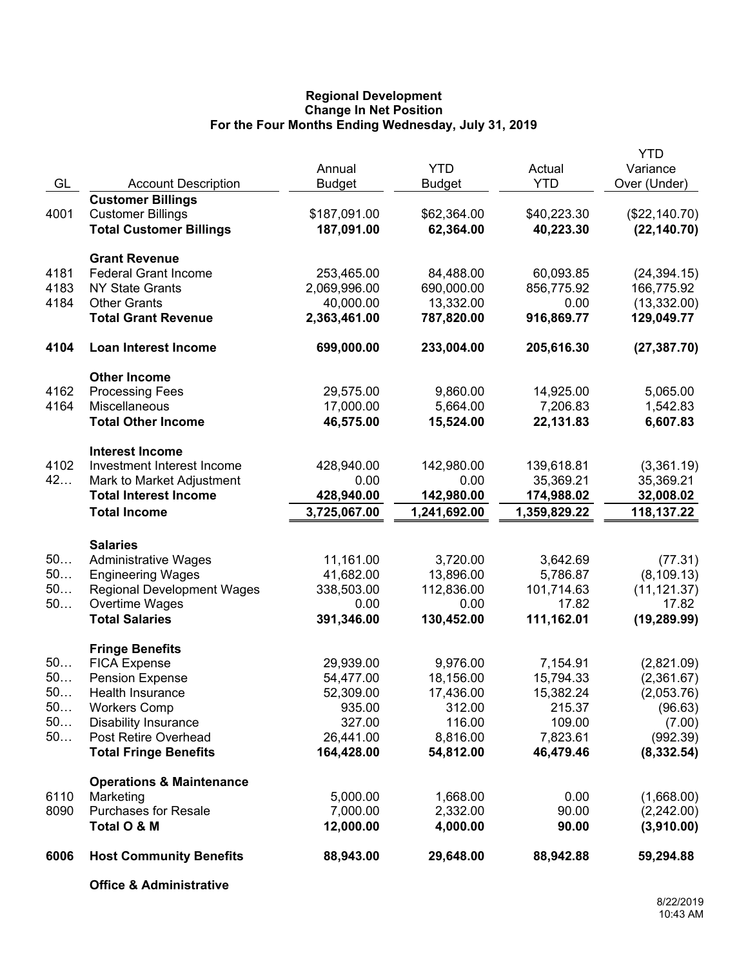## **Regional Development Change In Net Position For the Four Months Ending Wednesday, July 31, 2019**

|      |                                     |               |               |              | <b>YTD</b>    |
|------|-------------------------------------|---------------|---------------|--------------|---------------|
|      |                                     | Annual        | <b>YTD</b>    | Actual       | Variance      |
| GL   | <b>Account Description</b>          | <b>Budget</b> | <b>Budget</b> | <b>YTD</b>   | Over (Under)  |
|      | <b>Customer Billings</b>            |               |               |              |               |
| 4001 | <b>Customer Billings</b>            | \$187,091.00  | \$62,364.00   | \$40,223.30  | (\$22,140.70) |
|      | <b>Total Customer Billings</b>      | 187,091.00    | 62,364.00     | 40,223.30    | (22, 140.70)  |
|      | <b>Grant Revenue</b>                |               |               |              |               |
| 4181 | <b>Federal Grant Income</b>         | 253,465.00    | 84,488.00     | 60,093.85    | (24, 394.15)  |
| 4183 | <b>NY State Grants</b>              | 2,069,996.00  | 690,000.00    | 856,775.92   | 166,775.92    |
| 4184 | <b>Other Grants</b>                 | 40,000.00     | 13,332.00     | 0.00         | (13, 332.00)  |
|      | <b>Total Grant Revenue</b>          | 2,363,461.00  | 787,820.00    | 916,869.77   | 129,049.77    |
| 4104 | <b>Loan Interest Income</b>         | 699,000.00    | 233,004.00    | 205,616.30   | (27, 387.70)  |
|      | <b>Other Income</b>                 |               |               |              |               |
| 4162 | <b>Processing Fees</b>              | 29,575.00     | 9,860.00      | 14,925.00    | 5,065.00      |
| 4164 | Miscellaneous                       | 17,000.00     | 5,664.00      | 7,206.83     | 1,542.83      |
|      | <b>Total Other Income</b>           | 46,575.00     | 15,524.00     | 22,131.83    | 6,607.83      |
|      | <b>Interest Income</b>              |               |               |              |               |
| 4102 | Investment Interest Income          | 428,940.00    | 142,980.00    | 139,618.81   | (3,361.19)    |
| 42   | Mark to Market Adjustment           | 0.00          | 0.00          | 35,369.21    | 35,369.21     |
|      | <b>Total Interest Income</b>        | 428,940.00    | 142,980.00    | 174,988.02   | 32,008.02     |
|      | <b>Total Income</b>                 | 3,725,067.00  | 1,241,692.00  | 1,359,829.22 | 118,137.22    |
|      | <b>Salaries</b>                     |               |               |              |               |
| 50   | <b>Administrative Wages</b>         | 11,161.00     | 3,720.00      | 3,642.69     | (77.31)       |
| 50   | <b>Engineering Wages</b>            | 41,682.00     | 13,896.00     | 5,786.87     | (8, 109.13)   |
| 50   | <b>Regional Development Wages</b>   | 338,503.00    | 112,836.00    | 101,714.63   | (11, 121.37)  |
| 50   | Overtime Wages                      | 0.00          | 0.00          | 17.82        | 17.82         |
|      | <b>Total Salaries</b>               | 391,346.00    | 130,452.00    | 111,162.01   | (19, 289.99)  |
|      | <b>Fringe Benefits</b>              |               |               |              |               |
| 50   | <b>FICA Expense</b>                 | 29,939.00     | 9,976.00      | 7,154.91     | (2,821.09)    |
| 50   | <b>Pension Expense</b>              | 54,477.00     | 18,156.00     | 15,794.33    | (2,361.67)    |
| 50.  | Health Insurance                    | 52,309.00     | 17,436.00     | 15,382.24    | (2,053.76)    |
| 50   | <b>Workers Comp</b>                 | 935.00        | 312.00        | 215.37       | (96.63)       |
| 50   | <b>Disability Insurance</b>         | 327.00        | 116.00        | 109.00       | (7.00)        |
| 50   | Post Retire Overhead                | 26,441.00     | 8,816.00      | 7,823.61     | (992.39)      |
|      | <b>Total Fringe Benefits</b>        | 164,428.00    | 54,812.00     | 46,479.46    | (8, 332.54)   |
|      | <b>Operations &amp; Maintenance</b> |               |               |              |               |
| 6110 | Marketing                           | 5,000.00      | 1,668.00      | 0.00         | (1,668.00)    |
| 8090 | <b>Purchases for Resale</b>         | 7,000.00      | 2,332.00      | 90.00        | (2,242.00)    |
|      | Total O & M                         | 12,000.00     | 4,000.00      | 90.00        | (3,910.00)    |
| 6006 | <b>Host Community Benefits</b>      | 88,943.00     | 29,648.00     | 88,942.88    | 59,294.88     |
|      | <b>Office &amp; Administrative</b>  |               |               |              |               |